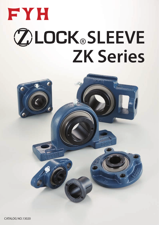

# **ZOLOCK®SLEEVE ZK Series**

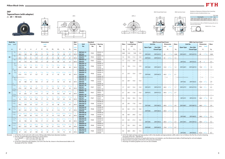ZKP2 ZKPX, 3





Variations of tolerance of distance from mounting bottom to center of spherical bore  $(\varDelta_{H\mathrm{s}})$ 





#### **ZKP**

**Tapered bore (with adapter)**

Forms and dimensions of  $H_{2c}$  of P205JE3 (housing with cast iron cover) are shown below.

|                                   | Unit: mm    |
|-----------------------------------|-------------|
| Housing No.                       | $\Delta$ Hs |
| P205~P210   PX05~PX10   P305~P310 | $+0.15$     |
| P211~P212 PX11~PX12 P311~P312     | $+0.2$      |



P205JE3 *H*2c = 77 mm

|                 | <b>Shaft Dia.</b>          |                       |                     |                  |                      |               | <b>Dimensions</b>  |             |                 |                      |                   | Bolt          |                                      | <b>Standard</b> |                      |      |           | <b>Basic</b>        | <b>Factor</b> |                          | <b>With Pressed Steel Cover</b>              |      |                          |                          |                                 | <b>With Cast Iron Cover</b>                                        |                          |                |          |
|-----------------|----------------------------|-----------------------|---------------------|------------------|----------------------|---------------|--------------------|-------------|-----------------|----------------------|-------------------|---------------|--------------------------------------|-----------------|----------------------|------|-----------|---------------------|---------------|--------------------------|----------------------------------------------|------|--------------------------|--------------------------|---------------------------------|--------------------------------------------------------------------|--------------------------|----------------|----------|
|                 | mm inch                    |                       |                     |                  |                      |               | inch               |             |                 |                      |                   | Size          | <b>Unit</b>                          | <b>Housing</b>  | <b>Bearing</b>       | Mass |           | <b>Load Ratings</b> |               |                          | <b>Unit No.</b>                              |      | <b>Dimension</b>         | <b>Mass</b>              | <b>Unit No.</b>                 |                                                                    | <b>Dimension</b>         |                | Mass     |
|                 |                            |                       |                     |                  |                      |               | mm                 |             |                 |                      |                   | inch          | No.                                  | No.             | No.                  |      |           | kN                  |               | <b>Open Type</b>         | <b>One Side</b>                              | mm   | inch                     |                          | <b>Open Type</b>                | <b>One Side</b>                                                    | mm                       | inch           |          |
|                 | $d_1$                      | Н                     |                     | $\boldsymbol{A}$ |                      | N             | $N_1$              | $H_1$       | $H_2$           | $L_1$                | $B_1$             | mm            |                                      |                 |                      | kg   | $C_{r}$   | $C_{0r}$            | $f_0$         |                          | <b>Closed Type</b>                           |      | $A_{\rm s}$              | kg                       |                                 | <b>Closed Type</b>                                                 | $A_{c}$                  |                | kg       |
|                 | $^{3}/_{4}$                | $1^{7}/_{16}$         | $5^{1/2}$           | $1^{1/2}$        | $4^{1}/8$            | $\frac{1}{2}$ | 23/32              | 5/8         | $2^{3}/4$       | $1^{1/2}$            | $1^{15}/_{32}$    | $^{3}/_{8}$   | ZKP205-12                            |                 | ZK205-12             |      |           |                     |               |                          |                                              |      |                          |                          |                                 |                                                                    | $\overline{\phantom{m}}$ |                |          |
|                 |                            | 36.5                  | 140                 | 38               | 105                  | 13            | 18                 | 16          | 70              | 38                   | 37                | M10           | <b>ZKP205</b>                        | P205            | ZK205                | 0.84 | 14.0      | 7.85                | 13.9          | <b>ZKP205C</b>           | ZKP205CD                                     | 49   | $1^{15}/_{16}$           | 0.84                     | ZKP205FC                        | ZKP205FCD                                                          | 49                       | $1^{15}/_{16}$ | 0.84     |
|                 | $^{3}/_{4}$                | $1^{3}/4$             | $6^{1}/4$           | $\overline{2}$   | 411/16               | 21/32         | 31/32              | 5/8         | $3^{3}/8$       | $1^{27}/_{32}$       | $1 \frac{15}{32}$ | $\frac{1}{2}$ | <b>ZKPX05-12</b>                     |                 | ZKX05-12             |      |           |                     |               |                          | $\qquad \qquad -$                            |      |                          | $\overline{\phantom{a}}$ |                                 |                                                                    |                          |                |          |
| 20              |                            | 44.4                  | 159                 | 51               | 119                  | 17            | 25                 | 16          | 86              | 47                   | 37                | M14           | ZKPX05                               | <b>PX05</b>     | ZKX05                | 1.5  |           | 19.5 11.3           | 13.9          | ZKPX05C                  | ZKPX05CD                                     | 53   | $2^{3}/_{32}$            | 1.5                      |                                 |                                                                    |                          |                |          |
|                 | $^{3}/_{4}$                |                       | $6^{7}/s$           | $1^{3}/4$        | $5^{3}/_{16}$        | 21/32         | 25/32              | $^{5}/_{8}$ | $3^{11}/_{32}$  | $2^{5}/_{32}$        | $1^{15}/_{32}$    | $\frac{1}{2}$ | ZKP305-12                            | P305            | ZK305-12             | 1.7  | 21.2 10.9 |                     | 12.6          |                          | $\hspace{0.1mm}-\hspace{0.1mm}$              |      |                          | $\equiv$                 | $\hspace{0.1mm}-\hspace{0.1mm}$ | $\qquad \qquad -$                                                  | $\overline{\phantom{a}}$ |                | $\equiv$ |
|                 |                            | 45                    | 175                 | 45               | 132                  | 17            | 20                 | 16          | 85              | 55                   | 37                | M14           | <b>ZKP305</b>                        |                 | ZK305                |      |           |                     |               |                          |                                              |      |                          |                          | <b>ZKP305C</b>                  | ZKP305CD                                                           | 76                       |                | 2.3      |
|                 | $^{7}/_8$<br>15/16         | $1^{11}/_{16}$        | $6^{1/2}$           | $1^{7}/8$        | $4^{3}/4$            | 21/32         | 13/16              | 21/32       | $3^{5}/_{16}$   | $1^{7}/8$            | $1\frac{9}{16}$   | $^{1/2}$      | ZKP206-14<br><b>ZKP206-15</b>        |                 | ZK206-14<br>ZK206-15 |      |           |                     |               |                          | $\sim$<br>$\sim$                             |      |                          | $\overline{\phantom{a}}$ |                                 | $\hspace{0.1mm}-\hspace{0.1mm}$<br>$\hspace{0.1mm}-\hspace{0.1mm}$ | $\overline{\phantom{m}}$ |                |          |
|                 |                            | 42.9                  | 165                 | 48               | 121                  | 17            | 21                 | 17          | 84              | 48                   | 40                | M14           | <b>ZKP206</b>                        | P206            | ZK206                | 1.4  |           | 19.5 11.3           | 13.9          | <b>ZKP206C</b>           | <b>ZKP206CD</b>                              | 53.0 | $2^{3}/_{32}$            | $1.4^{\circ}$            | ZKP206FC                        | ZKP206FCD                                                          | 70.0                     | $2^{3}/4$      | 1.9      |
|                 |                            |                       |                     |                  |                      |               |                    |             |                 |                      |                   |               | <b>ZKP206-16</b>                     |                 | ZK206-16             |      |           |                     |               |                          |                                              |      |                          |                          |                                 |                                                                    |                          |                |          |
|                 | $^{7}/_{8}$                |                       |                     |                  |                      |               |                    |             |                 |                      |                   |               | <b>ZKPX06-14</b>                     |                 | ZKX06-14             |      |           |                     |               |                          | $\hspace{0.1mm}$                             |      |                          |                          |                                 |                                                                    |                          |                |          |
| 25              | 15/16                      | $1^{7}/8$             | $6^{7}/s$           |                  |                      | 21/32         | 31/32              | 21/32       | $3^{21}/_{32}$  | $2^{5}/_{32}$        | $1\frac{9}{16}$   | $^{1/2}$      | <b>ZKPX06-15</b>                     | <b>PX06</b>     | ZKX06-15             | 2.1  | 25.7      | 15.4                | 13.9          |                          | $\hspace{0.1mm}$                             |      |                          |                          |                                 |                                                                    |                          |                |          |
|                 |                            | 47.6                  | 175                 | 57               | 127                  | 17            | 25                 | 17          | 93              | 55                   | 40                | M14           | ZKPX06                               |                 | ZKX06                |      |           |                     |               | ZKPX06C                  | ZKPX06CD                                     | 60.0 | $2^{3}/8$                | 2.1                      |                                 |                                                                    |                          |                |          |
|                 | $^{7}/_8$                  |                       |                     |                  |                      |               |                    |             |                 |                      |                   |               | <b>ZKPX06-16</b><br>ZKP306-14        |                 | ZKX06-16<br>ZK306-14 |      |           |                     |               |                          | $\sim$<br>$\hspace{0.1mm}-\hspace{0.1mm}$    |      |                          |                          |                                 |                                                                    |                          |                |          |
|                 | 15/16                      | 131/32                | $7^{3}/_{32}$       | $1^{31}/32$      | $5\frac{1}{2}$       | 21/32         | 25/32              | 21/32       | $3^{3}/4$       | $2^{3}/_{32}$        | $1\frac{9}{16}$   | $^{1/2}$      | ZKP306-15                            |                 | ZK306-15             |      |           |                     |               |                          |                                              |      |                          |                          |                                 |                                                                    |                          |                |          |
|                 |                            | 50                    | 180                 | 50               | 140                  | 17            | 20                 | 17          | 95              | 53                   | 40                | M14           | <b>ZKP306</b>                        | P306            | ZK306                | 2.3  | 26.7      | 15.0                | 13.3          |                          |                                              |      |                          |                          | <b>ZKP306C</b>                  | <b>ZKP306CD</b>                                                    | 82.0                     | $3^{7}/_{32}$  | 2.9      |
|                 |                            |                       |                     |                  |                      |               |                    |             |                 |                      |                   |               | ZKP306-16                            |                 | ZK306-16             |      |           |                     |               |                          |                                              |      |                          |                          |                                 |                                                                    |                          |                |          |
|                 | $1^{1/8}$                  | $1^{7}/8$             | $6\frac{9}{16}$     | $1^{7}/8$        | - 5                  | 21/32         | 13/16              | 23/32       | $3^{3}/_{4}$    | $1 \frac{27}{32}$    | 147/64            | $^{1/2}$      | <b>ZKP207-18</b>                     |                 | ZK207-18             |      |           |                     |               |                          | $\hspace{0.1mm}$                             |      |                          |                          |                                 | $\equiv$                                                           |                          |                |          |
|                 |                            | 47.6                  | 167                 | 48               | 127                  | 17            | 21                 | 18          | 95              | 47                   | 44                | M14           | <b>ZKP207</b>                        | P207            | ZK207                | 1.7  | 25.7      | 15.4                | 13.9          | <b>ZKP207C</b>           | ZKP207CD                                     | 60.0 | $2^{3}/8$                | 1.7                      | ZKP207FC                        | ZKP207FCD                                                          | 78.0                     | $3^{1/6}$      | 2.5      |
|                 | $1^{3}/_{16}$<br>$1^{1/8}$ |                       |                     |                  |                      |               |                    |             |                 |                      |                   |               | <b>ZKP207-19</b><br><b>ZKPX07-18</b> |                 | ZK207-19<br>ZKX07-18 |      |           |                     |               | $\overline{\phantom{a}}$ | $\equiv$<br>$\equiv$                         |      |                          | $\sim$                   |                                 |                                                                    | $\overline{\phantom{m}}$ |                | $\equiv$ |
| 30              |                            | $2^{1/s}$             |                     | $2^{1/4}$        | $5^{21}/31$          | 21/32         | $1^{3}/16$         | $^{3}/_{4}$ | $4^{1}/8$       | $2^{17}/_{32}$       | 147/64            | $^{1/2}$      | ZKPX07                               | <b>PX07</b>     | ZKX07                | 2.7  | 29.1      | 17.8                | 14.0          | ZKPX07C                  | ZKPX07CD                                     | 69.0 | $2^{23}/_{32}$           | 2.7                      |                                 |                                                                    |                          |                |          |
|                 | $1 \frac{3}{16}$           | 54                    | 203                 | 57               | 144                  | 17            | 30                 | 19          | 105             | 64                   | 44                | M14           | <b>ZKPX07-19</b>                     |                 | ZKX07-19             |      |           |                     |               |                          | $\sim$                                       |      |                          |                          |                                 |                                                                    |                          |                |          |
|                 | $1\frac{1}{8}$             | $2^{13}/64$           | $8\frac{9}{32}$     | $2^{7}/_{32}$    | $6\frac{5}{16}$      | 21/32         | 31/32              | $^{3}/_{4}$ | 47/32           | $2\frac{9}{16}$      | 147/64            | $^{1/2}$      | <b>ZKP307-18</b>                     |                 | ZK307-18             |      |           |                     |               |                          | $\hspace{0.1mm}-\hspace{0.1mm}$              |      |                          | $\overline{\phantom{a}}$ |                                 | $\qquad \qquad -$                                                  | $\overline{\phantom{m}}$ |                |          |
|                 |                            | 56                    | 210                 | 56               | 160                  | 17            | 25                 | 19          | 107             | 65                   | 44                | M14           | <b>ZKP307</b>                        | P307            | ZK307                | 3.0  | 33.4 19.3 |                     | 13.2          |                          |                                              |      |                          |                          | <b>ZKP307C</b>                  | ZKP307CD                                                           | 88.0                     | $3^{15}/_{32}$ | 3.9      |
|                 | $1^{3}/_{16}$              |                       |                     |                  |                      |               |                    |             |                 |                      |                   |               | ZKP307-19                            |                 | ZK307-19             |      |           |                     |               |                          |                                              |      |                          |                          |                                 |                                                                    |                          |                |          |
|                 | $1^{1}/4$<br>$1^{3}/8$     | 115/16                | $7^{1}/4$           | $2^{1}/8$        | $5^{13}/32$          | 21/32         | 13/16              | 23/32       | $3^{27}/32$     | $2^{3}/_{32}$        | 155/64            | 1/2           | <b>ZKP208-20</b><br><b>ZKP208-22</b> | P208            | ZK208-20<br>ZK208-22 | 2.0  | 29.1      | 17.8                | 14.0          |                          | $\overline{\phantom{0}}$<br>$\hspace{0.1mm}$ |      | $\overline{\phantom{m}}$ |                          | $\overline{\phantom{0}}$        | $\equiv$                                                           | $\overline{\phantom{m}}$ |                |          |
|                 |                            | 49.2                  | 184                 | 54               | 137                  | 17            | 21                 | 18          | 98              | 53                   | 47                | M14           | <b>ZKP208</b>                        |                 | ZK208                |      |           |                     |               | ZKP208C                  | ZKP208CD                                     | 69.0 | $2^{23}/32$              | 2.0                      | ZKP208FC                        | ZKP208FCD                                                          | 86.0                     | $3^{3}/8$      | 2.9      |
|                 | $1^{1/4}$                  |                       |                     |                  |                      |               |                    |             | $4^{1/2}$       |                      |                   |               | <b>ZKPX08-20</b>                     |                 | ZKX08-20             |      |           |                     |               |                          | $\hspace{0.1mm}-\hspace{0.1mm}$              |      |                          |                          |                                 |                                                                    |                          |                |          |
| 35 <sub>2</sub> | $1^{3}/8$                  | $2^{5}/_{16}$<br>58.7 | $8^{3}/_{4}$<br>222 | $2^{5}/8$<br>67  | $6^{5}/_{32}$<br>156 | 25/32<br>20   | $1^{1}/4$<br>32    | 13/16<br>21 | 114             | $2^{25}/_{32}$<br>71 | 155/64<br>47      | 5/8<br>M16    | <b>ZKPX08-22</b>                     | PX08            | ZKX08-22             | 3.5  | 34.1 21.3 |                     | 14.0          | $\sim$                   | $\hspace{0.1mm}$                             |      |                          | $\overline{\phantom{a}}$ |                                 |                                                                    |                          |                |          |
|                 |                            |                       |                     |                  |                      |               |                    |             |                 |                      |                   |               | ZKPX08                               |                 | ZKX08                |      |           |                     |               | ZKPX08C                  | ZKPX08CD                                     | 69.0 | $2^{23}/_{32}$           | 3.5                      |                                 |                                                                    |                          |                |          |
|                 | $1^{1}/4$<br>$1^{3}/8$     | $2^{23}/64$           | $8^{21}/_{32}$      | $2^{3}/8$        | $6^{11}/_{16}$       | 21/32         | $1\frac{1}{16}$    | $^{3}/_{4}$ | $4^{21}/_{32}$  | $2\frac{9}{16}$      | $1^{55}/_{64}$    | $\frac{1}{2}$ | <b>ZKP308-20</b>                     |                 | ZK308-20             | 3.8  |           |                     |               |                          |                                              |      |                          |                          |                                 |                                                                    | $\overline{\phantom{a}}$ |                |          |
|                 |                            | 60                    | 220                 | 60               | 170                  | 17            | 27                 | 19          | 118             | 65                   | 47                | M14           | <b>ZKP308-22</b><br><b>ZKP308</b>    | P308            | ZK308-22<br>ZK308    |      | 40.7 24.0 |                     | 13.2          |                          |                                              |      |                          | $\overline{\phantom{a}}$ | <b>ZKP308C</b>                  | ZKP308CD                                                           | 96.0                     | $3^{25}/_{32}$ | 5.2      |
|                 | $1^{7}/_{16}$              |                       |                     |                  |                      |               |                    |             |                 |                      |                   |               | <b>ZKP209-23</b>                     |                 | ZK209-23             |      |           |                     |               |                          | $\hspace{0.1mm}-\hspace{0.1mm}$              |      | $\overline{\phantom{a}}$ |                          |                                 | $\sim$                                                             |                          |                |          |
|                 | $1^{1/2}$                  | $2^{1/8}$             | $7 \frac{15}{32}$   | $2^{1/8}$        | $5^{3}/4$            | 21/32         | 13/16              | 25/32       | $4^{3}/_{16}$   | $2^{5}/_{32}$        | 115/16            | $\frac{1}{2}$ | <b>ZKP209-24</b>                     | P209            | ZK209-24             | 2.3  | 34.1      | 21.3                | 14.0          |                          |                                              |      |                          |                          |                                 |                                                                    |                          |                |          |
|                 |                            | 54                    | 190                 | 54               | 146                  | 17            | 21                 | 20          | 106             | 55                   | 49                | M14           | <b>ZKP209</b>                        |                 | ZK209                |      |           |                     |               | ZKP209C                  | ZKP209CD                                     | 69.0 | $2^{23}/32$              | 2.3                      | ZKP209FC                        | ZKP209FCD                                                          | 88.0                     | $3^{15}/32$    | 3.2      |
|                 | $1\frac{7}{16}$            |                       |                     | $2^{5}/8$        | $6^{5}/_{32}$        | 25/32         | $1\frac{5}{16}$    |             | $4\frac{9}{16}$ | $2^{25}/_{32}$       | 115/16            | 5/8           | <b>ZKPX09-23</b>                     |                 | ZKX09-23             |      |           |                     |               |                          | $\overline{\phantom{0}}$                     |      |                          |                          |                                 |                                                                    |                          |                |          |
| 40              | $1^{1/2}$                  | 58.7                  | 222                 | 67               | 156                  | 20            | 33                 | 21          | 116             | 71                   | 49                | M16           | <b>ZKPX09-24</b>                     | PX09            | ZKX09-24             | 3.7  | 35.1      | 23.3                | 14.4          | $\overline{\phantom{a}}$ | $\hspace{0.1mm}$                             |      |                          | $\overline{\phantom{a}}$ |                                 |                                                                    |                          |                |          |
|                 | $1^{7}/_{16}$              |                       |                     |                  |                      |               |                    |             |                 |                      |                   |               | ZKPX09<br><b>ZKP309-23</b>           |                 | ZKX09<br>ZK309-23    |      |           |                     |               | ZKPX09C                  | ZKPX09CD                                     | 73.0 | $2^{29/32}$              | 3.7                      |                                 |                                                                    |                          |                |          |
|                 | $1^{1/2}$                  |                       |                     | $2^{5}/8$        |                      | 25/32         | 1 <sup>3</sup> /16 | 13/16       | $5^{3}/_{16}$   | $2^{15}/16$          | $1^{15}/_{16}$    | $^{5}/_8$     | <b>ZKP309-24</b>                     | P309            | ZK309-24             | 5.0  | 48.9      | 29.5                | 13.3          |                          |                                              |      |                          |                          |                                 |                                                                    |                          |                |          |
|                 |                            | 67                    | 245                 | 67               | 190                  | 20            | 30                 | 21          | 132             | 75                   | 49                | M16           | <b>ZKP309</b>                        |                 | ZK309                |      |           |                     |               |                          |                                              |      |                          | $\sim$                   | ZKP309C                         | ZKP309CD                                                           | 102.0                    | $4^{1}/_{32}$  | 6.3      |

Remarks 1. In Part No. of unit and units with covers, fitting codes follow bore diameter munbers.

2. Part No. of applicable grease fittings are shown below.

4. As for the triple seal type seal type product (205 is the double seal type prodcut), suffix code L3 (or L2) follows the Part No. of unit or bearing. (Example of Part No. : ZKP206JL3)

A-1/4-28UNF............205~210, X05~X09, 305~308

A-R1/8........................211~212, X10~X12, 309~312

 3. In Part No. of bearing with adapters, turn UK in the Part No. shown in the dimensional tables to ZK. (Example of Part No. : ZK206)

5. For the dimensions and forms of applicable bearings and adapters, see the dimensional tables of ball bearing for unit and adapter.

6. Representative examples of the forms of housing are indicated.

7. Housings of nodular graphite cast iron are also available.



#### With Pressed Steel Cover With Cast Iron Cover

*<sup>d</sup>*1**<sup>20</sup>**~ **40 mm**

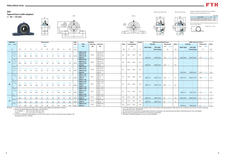





Variations of tolerance of distance from mounting bottom to center of spherical bore  $(\varDelta_{H\mathrm{s}})$ 





#### **ZKP**

Forms and dimensions of  $H_{2c}$  of P205JE3 (housing with cast iron cover) are shown below.

|                                   |                                   | Unit: mm           |
|-----------------------------------|-----------------------------------|--------------------|
| Housing No.                       |                                   | $\Delta H_{\rm S}$ |
| P205~P210   PX05~PX10   P305~P310 |                                   | $+0.15$            |
|                                   | P211~P212   PX11~PX12   P311~P312 | $+0.2$             |

**Tapered bore (with adapter)** *<sup>d</sup>*1**<sup>45</sup>**~ **55 mm**





P205JE3 *H*2c = 77 mm

|    | <b>Shaft Dia.</b>           |               |                 |           |         |                   | <b>Dimensions</b> |         |         |              |                | Bolt            |                        | <b>Standard</b> |                      |             |             | <b>Basic</b>        | <b>Factor</b> |                                 | <b>With Pressed Steel Cover</b> |                                  |                          |                                 |                          | <b>With Cast Iron Cover</b> |                                                      |                          |                                 |
|----|-----------------------------|---------------|-----------------|-----------|---------|-------------------|-------------------|---------|---------|--------------|----------------|-----------------|------------------------|-----------------|----------------------|-------------|-------------|---------------------|---------------|---------------------------------|---------------------------------|----------------------------------|--------------------------|---------------------------------|--------------------------|-----------------------------|------------------------------------------------------|--------------------------|---------------------------------|
|    | mm inch                     |               |                 |           |         |                   | inch              |         |         |              |                | Size            | Unit                   | <b>Housing</b>  | <b>Bearing</b>       | <b>Mass</b> |             | <b>Load Ratings</b> |               | <b>Unit No.</b>                 |                                 |                                  | <b>Dimension</b>         | Mass                            | <b>Unit No.</b>          |                             |                                                      | <b>Dimension</b>         | Mass                            |
|    |                             |               |                 |           |         |                   | mm                |         |         |              |                |                 | No.                    | No.             | No.                  |             |             | kN                  |               |                                 |                                 | mm                               | inch                     |                                 |                          |                             | mm                                                   | inch                     |                                 |
|    |                             |               |                 |           |         |                   |                   |         |         |              |                | inch            |                        |                 |                      |             |             |                     |               | <b>Open Type</b>                | <b>One Side</b>                 |                                  |                          |                                 | <b>Open Type</b>         | <b>One Side</b>             |                                                      |                          |                                 |
|    | $d_1$                       | H             |                 | A         | $\cdot$ | $\,N$             | $N_{1}$           | $H_{1}$ | $H_{2}$ | $L_1$        | $B_1$          | mm              |                        |                 |                      | kg          | $C_{\rm r}$ | $C_{0r}$            | $f_0$         |                                 | <b>Closed Type</b>              |                                  | $A_{\rm s}$              | kg                              |                          | <b>Closed Type</b>          |                                                      | $A_{c}$                  | kg                              |
|    | 1 <sup>5</sup> /8           |               |                 |           |         |                   |                   |         |         |              |                |                 | <b>ZKP210-26</b>       |                 | ZK210-26             |             |             |                     |               |                                 | $\overline{\phantom{m}}$        | $\overline{\phantom{a}}$         |                          | $\hspace{0.1mm}-\hspace{0.1mm}$ |                          | $\frac{1}{2}$               | $\overline{\phantom{m}}$                             |                          |                                 |
|    | $1^{11}/_{16}$              | $2^{1/4}$     |                 |           |         |                   |                   |         |         |              | $2^{1/8}$      |                 | <b>ZKP210-27</b>       | P210            | ZK210-27             | 3.0         | 35.1        | 23.3                | 14.4          |                                 |                                 |                                  |                          |                                 |                          |                             | $\qquad \qquad$                                      |                          |                                 |
|    | $1^{3}/4$                   | 57.2          | 206             | 60        | 159     | 20                | 22                | 21      | 113     | 60           | -54            | M16             | <b>ZKP210-28</b>       |                 | ZK210-28             |             |             |                     |               |                                 |                                 | $\overline{\phantom{a}}$         |                          | $\overline{\phantom{a}}$        |                          |                             | $\overline{\phantom{a}}$                             |                          |                                 |
|    |                             |               |                 |           |         |                   |                   |         |         |              |                |                 | <b>ZKP210</b>          |                 | ZK210                |             |             |                     |               | <b>ZKP210C</b>                  | ZKP210CD                        | 74.0                             | $2^{29}/32$              | 3.0 <sub>2</sub>                | ZKP210FC                 | ZKP210FCD                   | 97.0                                                 | $3^{13}/16$              | -4.1                            |
|    | 15/8                        |               |                 |           |         |                   |                   |         |         |              |                |                 | <b>ZKPX10-26</b>       |                 | ZKX10-26             |             |             |                     |               |                                 | $\overline{\phantom{m}}$        | $\overline{\phantom{a}}$         |                          |                                 |                          |                             | $\overline{\phantom{a}}$                             |                          |                                 |
| 45 | 111/                        |               |                 |           |         |                   |                   |         |         |              | $2^{1}/8$      |                 | <b>ZKPX10-27</b>       | <b>PX10</b>     | ZKX10-27             | 4.6         | 43.4        | 29.4                | 14.4          |                                 |                                 |                                  |                          |                                 |                          |                             |                                                      |                          |                                 |
|    | $1^{3}/4$                   | 63.5          | 241             | 73        | 171     | 20                | 36                | 22      | 126     | 76           | 54             | M16             | <b>ZKPX10-28</b>       |                 | ZKX10-28             |             |             |                     |               |                                 |                                 | $\hspace{0.1mm}-\hspace{0.1mm}$  |                          | $\overline{\phantom{a}}$        |                          |                             |                                                      |                          |                                 |
|    | $1^{5}/8$                   |               |                 |           |         |                   |                   |         |         |              |                |                 | ZKPX10<br>ZKP310-26    |                 | ZKX10<br>ZK310-26    |             |             |                     |               | ZKPX10C                         | ZKPX10CD<br>$\qquad \qquad -$   | 76.0<br>$\overline{\phantom{a}}$ |                          | 4.6<br>$\overline{\phantom{a}}$ |                          |                             | $\overline{\phantom{a}}$<br>$\overline{\phantom{m}}$ |                          |                                 |
|    | $1^{11}/1$                  | $2^{61}/64$   | $10^{13}/_{16}$ |           |         |                   |                   |         |         |              | $2^{1/8}$      |                 | ZKP310-27              |                 | ZK310-27             |             |             |                     |               |                                 |                                 |                                  |                          |                                 |                          |                             |                                                      |                          |                                 |
|    | $1^{3}/4$                   | 75            | 275             | 75        | 212     | 20                | 35                | 24      | 148     | 88           | 54             | M <sub>16</sub> | ZKP310-28              | P310            | ZK310-28             | 6.7         | 62.0        | 38.3                | 13.2          |                                 |                                 |                                  |                          | $\overline{\phantom{0}}$        |                          |                             | $\qquad \qquad$                                      |                          |                                 |
|    |                             |               |                 |           |         |                   |                   |         |         |              |                |                 | <b>ZKP310</b>          |                 | ZK310                |             |             |                     |               |                                 | $\sim$                          | $\overline{\phantom{m}}$         |                          | $\overline{\phantom{a}}$        | <b>ZKP3100</b>           | ZKP310CD                    | 110.0                                                | $^{1}/32$                | 8.4                             |
|    | $1^{7}/_8$                  |               |                 |           |         |                   |                   |         |         |              |                |                 | ZKP211-30              |                 | ZK211-30             |             |             |                     |               |                                 | $\overline{\phantom{m}}$        | $\overline{\phantom{0}}$         |                          |                                 |                          |                             | $\overline{\phantom{a}}$                             |                          |                                 |
|    | $1^{15}/16$                 | $2^{1/2}$     |                 |           |         |                   |                   |         |         |              | $2^{13}/_{32}$ |                 | ZKP211-31              | P211            | ZK211-31             |             |             |                     |               |                                 |                                 |                                  |                          | $\overline{\phantom{a}}$        |                          |                             | $\overline{\phantom{m}}$                             |                          |                                 |
|    |                             | 63.5          | 219             | 60        | 171     | 20                | 22                | 23      | 125     | 65           | 61             | M16             | <b>ZKP211</b>          |                 | ZK211                | 3.7         | 43.4        | 29.4                | 14.4          | <b>ZKP211C</b>                  | ZKP211CD                        | 76.0                             |                          | 3.7                             | ZKP211FC                 | ZKP211FCD                   | 99.0                                                 |                          | 5.0                             |
|    | $\overline{2}$              |               |                 |           |         |                   |                   |         |         |              |                |                 | <b>ZKP211-32</b>       |                 | ZK211-32             |             |             |                     |               | $\hspace{0.1mm}-\hspace{0.1mm}$ | $\sim$                          | $\hspace{0.1mm}-\hspace{0.1mm}$  |                          | $\hspace{0.1mm}-\hspace{0.1mm}$ | $\overline{\phantom{a}}$ | $\overline{\phantom{a}}$    | $\overline{\phantom{0}}$                             | $\overline{\phantom{a}}$ | $\overline{\phantom{0}}$        |
|    | 17/8                        |               |                 |           |         |                   |                   |         |         |              |                |                 | <b>ZKPX11-30</b>       |                 | ZKX11-30             |             |             |                     |               |                                 | $\sim$                          | $\overline{\phantom{a}}$         |                          |                                 |                          |                             | $\overline{\phantom{m}}$                             |                          |                                 |
| 50 | $1^{15}/1$                  | $2^{3}/4$     |                 |           |         |                   |                   |         |         |              | $2^{13}/_{32}$ |                 | <b>ZKPX11-31</b>       | <b>PX11</b>     | ZKX11-31             | 6.2         | 52.4        | 36.2                | 14.4          |                                 |                                 |                                  |                          |                                 |                          |                             |                                                      |                          |                                 |
|    |                             | 69.8          | 260             | 79        | 184     | 25                | 36                | 28      | 139     | 83           | -61            | M20             | ZKPX11                 |                 | ZKX11                |             |             |                     |               | ZKPX11C                         | ZKPX11CD                        | 89.0                             |                          | 6.2                             |                          |                             | $\qquad \qquad$                                      |                          |                                 |
|    | $\overline{2}$<br>17/8      |               |                 |           |         |                   |                   |         |         |              |                |                 | <b>ZKPX11-32</b>       |                 | ZKX11-32             |             |             |                     |               | $\overline{\phantom{0}}$        | $\hspace{0.1mm}$                | $\hspace{0.1mm}-\hspace{0.1mm}$  |                          |                                 |                          |                             | $\overline{\phantom{a}}$                             |                          |                                 |
|    | $1^{15}/_{16}$              | $3^{5}/_{32}$ | $12^{7}/32$     |           |         |                   |                   |         |         | $\leq 17/32$ | $2^{13}/32$    |                 | ZKP311-30<br>ZKP311-31 |                 | ZK311-30<br>ZK311-31 |             |             |                     |               |                                 | $\overline{\phantom{m}}$        |                                  |                          |                                 |                          |                             | $\overline{\phantom{a}}$                             |                          |                                 |
|    |                             | 80            |                 | 80        | 236     | 20                | 38                | 27      | 158     | 90           | 61             | M16             | <b>ZKP311</b>          | P311            | ZK311                | 8.1         | 71.6        | 45.0                | 13.2          |                                 |                                 |                                  |                          |                                 | <b>ZKP311C</b>           | ZKP311CD                    | 114.0                                                |                          | 10.0                            |
|    | $\overline{2}$              |               |                 |           |         |                   |                   |         |         |              |                |                 | ZKP311-32              |                 | ZK311-32             |             |             |                     |               |                                 | $\overline{\phantom{m}}$        | $\overline{\phantom{a}}$         | $\overline{\phantom{a}}$ | $\overline{\phantom{a}}$        |                          | $\overline{\phantom{0}}$    | $\overline{\phantom{m}}$                             | $\sim$                   | $\hspace{0.1mm}$                |
|    | $\frac{2^{1}}{8}$           | $2^{3}/4$     | $9^{1/2}$       | $2^{3}/4$ |         | 25/ <sub>37</sub> |                   |         | 57/16   | $2^{7}/8$    | $2^{39/64}$    |                 | ZKP212-34              |                 | ZK212-34             |             |             |                     |               | $\hspace{0.1mm}-\hspace{0.1mm}$ | $\frac{1}{2}$                   | $\hspace{0.1mm}-\hspace{0.1mm}$  |                          | $\overline{\phantom{m}}$        |                          |                             | $\overline{\phantom{m}}$                             |                          | $\hspace{0.1mm}-\hspace{0.1mm}$ |
|    |                             | 69.8          | 241             |           | 184     | 2C                | 25                | 25      | 138     | 73           | 66             | M16             | <b>ZKP212</b>          | P212            | ZK212                | 4.8         | 52.4        | 36.2                | 14.4          | <b>ZKP212C</b>                  | ZKP212CD                        | 89                               | $3^{1/2}$                | 4.8                             | ZKP212FC                 | ZKP212FCD                   | 114                                                  |                          | 6.3                             |
|    | $\frac{1}{2}$ $\frac{1}{8}$ |               | $11^{11}$       | $3^{1}/4$ |         | 31/32             | 19/16             | 13/32   | 531/32  | $3^{15}/32$  | $2^{39}/64$    | 3/4             | <b>ZKPX12-34</b>       |                 | ZKX12-34             |             |             |                     |               |                                 | $\equiv$                        | $\overline{\phantom{a}}$         |                          | $\overline{\phantom{a}}$        |                          |                             | $\equiv$                                             |                          |                                 |
| 55 |                             | 76.2          | 286             | 83        | 203     | 25                | 40                | 28      | 152     | 88           | 66             | M20             | ZKPX12                 | <b>PX12</b>     | ZKX12                | 7.5         | 57.2        | 40.1                | 14.4          | ZKPX12C                         | ZKPX12CD                        | 89                               | $3^{1/2}$                | 7.5                             |                          |                             | $\overline{\phantom{a}}$                             |                          |                                 |
|    | $\frac{2^{1}}{8}$           |               | 13              |           |         |                   |                   |         |         |              |                |                 | <b>ZKP312-34</b>       |                 | ZK312-34             |             |             |                     |               |                                 |                                 | $\overline{\phantom{a}}$         |                          |                                 |                          |                             | $\overline{\phantom{a}}$                             |                          |                                 |
|    |                             | 85            | 330             | 85        | 250     | 25                | 38                | 29      | 167     | 103          | 66             | M20             | <b>ZKP312</b>          | P312            | ZK312                | 9.4         | 81.9        | 52.2                | 13.2          |                                 | $\sim$                          | $\overline{\phantom{a}}$         | $\sim$                   | $\hspace{0.1mm}-\hspace{0.1mm}$ | ZKP312C                  | ZKP312CD                    | 124                                                  | $4^{7}/8$                | 11.8                            |

Remarks 1. In Part No. of unit and units with covers, fitting codes follow bore diameter munbers.

2. Part No. of applicable grease fittings are shown below.

A-1/4-28UNF............205~210, X05~X09, 305~308

A-R1/8........................211~212, X10~X12, 309~312

 3. In Part No. of bearing with adapters, turn UK in the Part No. shown in the dimensional tables to ZK. (Example of Part No. : ZK206)

4. As for the triple seal type seal type product (205 is the double seal type prodcut), suffix code L3 (or L2) follows the Part No. of unit or bearing.

(Example of Part No. : ZKP206JL3)

5. For the dimensions and forms of applicable bearings and adapters, see the dimensional tables of ball bearing for unit and adapter.

6. Representative examples of the forms of housing are indicated. 7. Housings of nodular graphite cast iron are also available.



#### With Pressed Steel Cover With Cast Iron Cover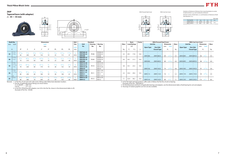

**Tapered bore (with adapter)**  $d_1$  35 ~ 55 mm







Variations of tolerance of distance from mounting bottom to center of spherical bore ( $\Delta$ <sub>*Hs*</sub>) and variationds of distance between centers of bolt holes ( $\triangle Js$ ) and Variations of tolerance of bolt hole diameter  $(\varDelta_{Ns})$ 







#### **ZKIP**

|             |                    |        | Unit: mm |
|-------------|--------------------|--------|----------|
| Housing No. | $\Delta H_{\rm S}$ | Js     | $1_{Ns}$ |
| IP208~IP210 | $+0.15$            | $+0.5$ |          |
| IP211~IP212 | -N J               | +0.7   | $+0.2$   |
|             |                    |        |          |

Remarks 1. In Part No. of unit and units with covers, fitting codes follow bore diameter munbers. 2. Part No. of applicable grease fi ttings are shown below.

| <b>Shaft Dia.</b><br>inch<br>mm   |             |              |    |      | <b>Dimensions</b> |       |       |        | <b>Bolt</b> |                   | <b>Standard</b> |                |             |         | <b>Basic</b>        | <b>Factor</b> |                  | <b>With Pressed Steel Cover</b>       |                          |                |                          |                  | <b>With Cast Iron Cover</b> |                          |      |
|-----------------------------------|-------------|--------------|----|------|-------------------|-------|-------|--------|-------------|-------------------|-----------------|----------------|-------------|---------|---------------------|---------------|------------------|---------------------------------------|--------------------------|----------------|--------------------------|------------------|-----------------------------|--------------------------|------|
|                                   |             |              |    | inch |                   |       |       |        | Size        | Unit              | Housing         | <b>Bearing</b> | <b>Mass</b> |         | <b>Load Ratings</b> |               | <b>Unit No.</b>  |                                       | <b>Dimension</b>         |                | Mass                     | <b>Unit No.</b>  |                             | <b>Dimension</b>         | Mass |
|                                   |             |              |    | mm   |                   |       |       |        |             | No.               | No.             | No.            |             |         | kN                  |               |                  |                                       | mm                       | inch           |                          |                  | <b>One Side</b>             | inch<br>mm               |      |
| $d_1$                             |             | $\mathbf{L}$ |    |      | N                 | $H_1$ | $H_2$ | $B_1$  | inch<br>mm  |                   |                 |                | kg          | $C_{r}$ | $C_{0r}$            | $f_{0}$       | <b>Open Type</b> | <b>One Side</b><br><b>Closed Type</b> | $A_{\rm S}$              |                | kg                       | <b>Open Type</b> | <b>Closed Type</b>          | A <sub>c</sub>           | kg   |
|                                   |             |              |    |      |                   |       |       |        |             |                   |                 |                |             |         |                     |               |                  |                                       |                          |                |                          |                  |                             |                          |      |
| $1^{1/4}$                         | $2^{23}/64$ |              |    |      |                   |       |       |        |             | <b>ZKIP208-20</b> |                 | ZK208-20       |             |         |                     |               |                  |                                       |                          |                |                          |                  |                             |                          |      |
| $1^{3}/8$<br>35                   | 60          | 200          | 60 | 150  |                   | 25    | 115   | 47     | M16         | <b>ZKIP208-22</b> | <b>IP208</b>    | ZK208-22       | 3.5         | 29.1    | 17.8                | 14.0          |                  | $\overline{\phantom{0}}$              |                          |                | $\overline{\phantom{m}}$ |                  |                             |                          |      |
|                                   |             |              |    |      |                   |       |       |        |             | <b>ZKIP208</b>    |                 | <b>ZK208</b>   |             |         |                     |               | ZKIP208C         | ZKIP208CD                             | 69                       |                | 3.5                      | ZKIP208FC        | ZKIP208FCD                  | 86                       | 4.4  |
| $1^{7}/1$                         | $2^{3}/4$   |              |    |      |                   |       |       |        |             | <b>ZKIP209-23</b> |                 | ZK209-23       |             |         |                     |               | $-$              | $\sim$                                | $\overline{\phantom{a}}$ |                | $\overline{\phantom{0}}$ |                  |                             | $\overline{\phantom{0}}$ |      |
| $1^{1/2}$<br>40                   |             | 210          | 60 | 160  |                   | 25    | 128   | 49     | M16         | <b>ZKIP209-24</b> | <b>IP209</b>    | ZK209-24       | 4.0         | 34.1    | 21.3                | 14.0          |                  |                                       |                          |                | $\overline{\phantom{a}}$ |                  |                             |                          |      |
|                                   |             |              |    |      |                   |       |       |        |             | <b>ZKIP209</b>    |                 | ZK209          |             |         |                     |               | ZKIP209C         | ZKIP209CD                             | 69                       | $2^{23}/32$    | 4.0                      | ZKIP209FC        | ZKIP209FCD                  | 88                       | -4.9 |
| $1\frac{5}{8}$                    |             |              |    |      |                   |       |       |        |             | <b>ZKIP210-26</b> |                 | ZK210-26       |             |         |                     |               |                  | $\hspace{0.1mm}-\hspace{0.1mm}$       |                          |                | $\overline{\phantom{m}}$ |                  |                             | $\overline{\phantom{0}}$ |      |
| 111<br>45                         |             |              |    |      |                   |       |       |        |             | <b>ZKIP210-27</b> | <b>IP210</b>    | ZK210-27       | 4.8         | 35.1    | 23.3                | 14.4          |                  | $\overline{\phantom{0}}$              | $\overline{\phantom{0}}$ |                | $\overline{\phantom{a}}$ |                  |                             | $\overline{\phantom{0}}$ |      |
| $1^{3}/4$                         |             | 220          | 60 | 170  | 19                | 28    | 132   | 54     | M16         | <b>ZKIP210-28</b> |                 | ZK210-28       |             |         |                     |               |                  |                                       |                          |                | $\overline{\phantom{0}}$ |                  |                             |                          |      |
|                                   |             |              |    |      |                   |       |       |        |             | <b>ZKIP210</b>    |                 | ZK210          |             |         |                     |               | ZKIP210C         | ZKIP210CD                             | 74                       | $2^{29}/_{32}$ | 4.8                      | ZKIP210FC        | ZKIP210FCD                  | 97                       | -5.8 |
| $1^{7}/8$                         |             |              |    |      |                   |       |       |        |             | <b>ZKIP211-30</b> |                 | ZK211-30       |             |         |                     |               |                  | $\overline{\phantom{0}}$              | $\overline{\phantom{0}}$ |                | $\overline{\phantom{0}}$ |                  |                             | $\overline{\phantom{0}}$ |      |
| $1^{15/1}$<br>50                  |             |              |    |      |                   |       |       | 13/32  |             | <b>ZKIP211-31</b> | <b>IP211</b>    | ZK211-31       | 5.3         | 43.4    | 29.4                | 14.4          |                  |                                       | $\overline{\phantom{m}}$ |                | $\overline{\phantom{0}}$ |                  |                             |                          |      |
|                                   |             | 230          | 60 | 180  | 19                | 28    | 148   | 61     | M16         | <b>ZKIP211</b>    |                 | ZK211          |             |         |                     |               | <b>ZKIP2110</b>  | ZKIP211CD                             | 76                       |                | 5.3                      | ZKIP211FC        | ZKIP211FCD                  | 99                       | -5.9 |
|                                   |             |              |    |      |                   |       |       |        |             | <b>ZKIP211-32</b> |                 | ZK211-32       |             |         |                     |               |                  | $\overline{\phantom{0}}$              | $\overline{\phantom{m}}$ |                | $\overline{\phantom{0}}$ |                  |                             | $\overline{\phantom{0}}$ |      |
| $\frac{1}{2}$ $\frac{1}{8}$<br>55 |             | $10^{1/4}$   |    |      |                   |       |       | 239/64 |             | <b>ZKIP212-34</b> | <b>IP212</b>    | ZK212-34       | 7.1         | 52.4    | 36.2                | 14.4          |                  | $\overline{\phantom{0}}$              | $\overline{\phantom{m}}$ |                | $\overline{\phantom{0}}$ |                  |                             |                          |      |
|                                   | 80          | 260          |    |      |                   |       | 155   | 66     |             | <b>ZKIP212</b>    |                 | ZK212          |             |         |                     |               | ZKIP212C         | ZKIP212CD                             | 89                       |                |                          | ZKIP212FC        | ZKIP212FCD                  | 114                      | 8.6  |

A-1/4-28UNF..........208~210

A-R1/8......................211~212

 3. In Part No. of bearing with adapters, turn UK in the Part No. shown in the dimensional tables to ZK. (Example of Part No. : ZK208)

4. As for the triple seal type product, suffix code L3 follows the Part No. of unit or bearing.

 (Example of Part No. : ZKIP208JL3) 5. For the dimensions and forms of applicable bearings and adapters, see the dimensional tables of ball bearing for unit and adapter.

6. Housings of nodular graphite cast iron are also available.



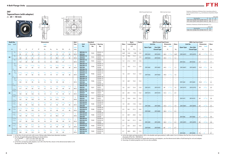



*A*







With Pressed Steel Cover With Cast Iron Cover

#### **ZKF**

Variations of tolerance of distance from mounting surface to center of spherical bore  $(\Delta_{A2s})$  and tolerance of position of bolt hole (*X*)

#### **Tapered bore (with adapter)** *<sup>d</sup>*1**<sup>20</sup>**~ **40 mm**



|               |                                   |              | Unit: mm |
|---------------|-----------------------------------|--------------|----------|
|               | Housing No.                       | $\sqrt{42c}$ |          |
| $F205 - F210$ | FX05~FX10   F305~F310             | $+0.5$       | 0.7      |
| $F211 - F212$ | $FX11 \sim FX12$ $F311 \sim F312$ | $+0.8$       |          |

Variations of tolerance of bolt hole diameter  $(\varDelta_{Ns})$ 

|                                   | Unit mm |
|-----------------------------------|---------|
| Housing No.                       |         |
| F205~F212   FX05~FX12   F305~F312 |         |
|                                   |         |

4. As for the triple seal type product (205 is the double seal type prodcut), suffix code L3 (or L2) follows the Part No. of unit or bearing. (Example of Part No. : ZKF206JL3)

| <b>Shaft Dia.</b> |                                       |                       |                       |                     |                   | <b>Dimensions</b>   |                |                       |                      |                                 | Bolt                 |                                      | <b>Standard</b> |                      |      |                     | Basic    | <b>Factor</b> |                          | <b>With Pressed Steel Cover</b>                      |                        |                          |                                            | <b>With Cast Iron Cover</b> |                                |                  |             |
|-------------------|---------------------------------------|-----------------------|-----------------------|---------------------|-------------------|---------------------|----------------|-----------------------|----------------------|---------------------------------|----------------------|--------------------------------------|-----------------|----------------------|------|---------------------|----------|---------------|--------------------------|------------------------------------------------------|------------------------|--------------------------|--------------------------------------------|-----------------------------|--------------------------------|------------------|-------------|
| mm inch           |                                       |                       |                       |                     |                   | inch                |                |                       |                      |                                 | Size                 | Unit                                 | <b>Housing</b>  | <b>Bearing</b>       | Mass | <b>Load Ratings</b> |          |               |                          | <b>Unit No.</b>                                      | <b>Dimension</b>       | Mass                     |                                            | <b>Unit No.</b>             |                                | <b>Dimension</b> | <b>Mass</b> |
|                   |                                       |                       |                       |                     |                   | mm                  |                |                       |                      |                                 | inch                 | No.                                  | No.             | No.                  |      |                     | kN       |               | <b>Open Type</b>         | <b>One Side</b>                                      | mm<br>inch             |                          | <b>Open Type</b>                           | <b>One Side</b>             | mm                             | inch             |             |
| $d_1$             |                                       | L                     | $\boldsymbol{A}$      | $J_{\rm c}$         | $\boldsymbol{N}$  | $A_1$               | A <sub>2</sub> | $A_0$                 | $B_1$                | $d_{\rm e}$                     | mm                   |                                      |                 |                      | kg   | $C_{r}$             | $C_{0r}$ | fo            |                          | <b>Closed Type</b>                                   | $A_{\rm s}$            | kg                       |                                            | <b>Closed Type</b>          |                                | $A_{c}$          | kg          |
|                   | $^{3}/_{4}$                           | $3^{3}/4$             | $1\frac{1}{16}$       | $2^{3}/4$           | 15/32             | $\frac{1}{2}$       | $^{5}/_{8}$    | $1^{3}/8$             | $1^{15}/_{32}$       | 1 <sup>3</sup> /16              | $^{3}/_{8}$          | <b>ZKF205-12</b>                     |                 | ZK205-12             |      |                     |          |               |                          |                                                      |                        |                          |                                            |                             | $\overline{\phantom{a}}$       |                  |             |
|                   |                                       | 95                    | 27                    | 70                  | 12                | 13                  | 16             | 35                    | 37                   | 30                              | M10                  | <b>ZKF205</b>                        | F205            | ZK205                | 0.87 | 14.0                | 7.85     | 13.9          | <b>ZKF205C</b>           | <b>ZKF205D</b>                                       | $1^{19}/32$<br>40.5    | 0.87                     | ZKF205FC                                   | ZKF205FD                    | 49                             | $1^{15}/_{16}$   | 1.1         |
| 20                | $^{3}/_{4}$                           | $4^{1}/4$             | $1 \frac{3}{16}$      | $3^{17}/_{64}$      | 15/32             | $\frac{1}{2}$       | 45/64          | 133/64                | 115/32               | 1 <sup>3</sup> /16              | $\frac{3}{8}$        | <b>ZKFX05-12</b>                     | <b>FX05</b>     | ZKX05-12             | 1.2  | 19.5                | 11.3     | 13.9          |                          | $\sim$                                               |                        |                          |                                            |                             |                                |                  |             |
|                   |                                       | 108                   | 30                    | 83                  | 12                | 13                  | 18             | 38.5                  | 37                   | 30                              | M10                  | ZKFX05                               |                 | ZKX05                |      |                     |          |               | ZKFX05C                  | ZKFX05D                                              | 44.5<br>$1^{3}/_{4}$   | 1.2                      |                                            |                             |                                |                  |             |
|                   | $^{3}/_{4}$                           | $4^{11}/_{32}$<br>110 | $1\frac{5}{32}$<br>29 | $3^{5}/_{32}$<br>80 | 5/8<br>16         | $\frac{1}{2}$<br>13 | $^{5}/8$<br>16 | $1^{7}/_{16}$<br>36.5 | $1^{15}/_{32}$<br>37 | $\sim$<br>$\sim$                | $\frac{1}{2}$<br>M14 | <b>ZKF305-12</b><br><b>ZKF305</b>    | F305            | ZK305-12<br>ZK305    | 1.4  | 21.2                | 10.9     | 12.6          |                          | $\hspace{0.1mm}-\hspace{0.1mm}$<br>$\equiv$          | $\equiv$               |                          | $\overline{\phantom{a}}$<br><b>ZKF305C</b> | $\sim$<br><b>ZKF305D</b>    | 54                             | $2^{1/8}$        | 1.7         |
|                   | $^{7}/_8$                             |                       |                       |                     |                   |                     |                |                       |                      |                                 |                      | ZKF206-14                            |                 | ZK206-14             |      |                     |          |               |                          | $\overline{\phantom{a}}$                             |                        |                          |                                            |                             |                                |                  |             |
|                   | 15/16                                 | $4^{1}/4$             | $1^{7}/_{32}$         | $3^{17}/_{64}$      | 15/32             | $\frac{1}{2}$       | ،15/4          | 133/64                | 19/16                | 113/32                          | $^{3}/_{8}$          | ZKF206-15                            | F206            | ZK206-15             | 1.3  | 19.5                | 11.3     | 13.9          |                          | $\hspace{0.1mm}-\hspace{0.1mm}$                      |                        | $\overline{\phantom{a}}$ | $\overline{\phantom{a}}$                   | $\qquad \qquad -$           | $\sim$                         |                  |             |
|                   |                                       | 108                   | 31                    | 83                  | 12                | 13                  | 18             | 38.5                  | 40                   | 36                              | M10                  | <b>ZKF206</b>                        |                 | ZK206                |      |                     |          |               | <b>ZKF206C</b>           | <b>ZKF206D</b>                                       | 44.5<br>$1^{3}/4$      | 1.3                      | ZKF206FC                                   | ZKF206FD                    | 53.0                           | $2^{3}/_{32}$    | 1.6         |
|                   | $^{7}/_8$                             |                       |                       |                     |                   |                     |                |                       |                      |                                 |                      | <b>ZKF206-16</b><br><b>ZKFX06-14</b> |                 | ZK206-16<br>ZKX06-14 |      |                     |          |               | $\overline{\phantom{0}}$ | $\overline{\phantom{a}}$<br>$\sim$                   |                        |                          |                                            |                             | $\overline{\phantom{a}}$       |                  |             |
|                   | 15/16                                 |                       | $1^{11}/32$           | $3^{5}/8$           | 5/s               | 9/16                | 3/4            | $1\frac{5}{8}$        | $1\frac{9}{16}$      | $1^{13}/_{32}$                  | $\frac{1}{2}$        | <b>ZKFX06-15</b>                     |                 | ZKX06-15             |      |                     |          |               |                          | $\hspace{0.1mm}-\hspace{0.1mm}$                      |                        |                          |                                            |                             |                                |                  |             |
| 25                |                                       | 117                   | 34                    | 92                  | 16                | 14                  | 19             | 41                    | 40                   | 36                              | M14                  | ZKFX06                               | <b>FX06</b>     | ZKX06                | 1.6  | 25.7                | 15.4     | 13.9          | ZKFX06C                  | ZKFX06D                                              | 49.0<br>$1^{15}/_{16}$ | 1.6                      |                                            |                             |                                |                  |             |
|                   |                                       |                       |                       |                     |                   |                     |                |                       |                      |                                 |                      | <b>ZKFX06-16</b>                     |                 | ZKX06-16             |      |                     |          |               |                          |                                                      |                        |                          |                                            |                             |                                |                  |             |
|                   | $^{7}/_8$<br>15/16                    | $4^{29}/32$           | $1^{1}/4$             | $3^{47}/64$         | 5/s               | 19/32               |                | 1 <sup>9</sup> /16    | 1 <sup>9</sup> /16   | $\sim$                          | $\frac{1}{2}$        | ZKF306-14<br>ZKF306-15               |                 | ZK306-14<br>ZK306-15 |      |                     |          |               |                          |                                                      |                        |                          |                                            |                             |                                |                  |             |
|                   |                                       | 125                   | 32                    | 95                  | 16                | 15                  | 18             | 40                    | 40                   | $\overline{\phantom{a}}$        | M14                  | <b>ZKF306</b>                        | F306            | ZK306                | 1.9  | 26.7                | 15.0     | 13.3          |                          |                                                      |                        |                          | <b>ZKF306C</b>                             | <b>ZKF306D</b>              | 59.0                           | $2^{5/16}$       | 2.2         |
|                   |                                       |                       |                       |                     |                   |                     |                |                       |                      |                                 |                      | ZKF306-16                            |                 | ZK306-16             |      |                     |          |               |                          |                                                      |                        |                          |                                            | $\equiv$                    | $\frac{1}{2}$                  |                  |             |
|                   | $1\frac{1}{8}$                        | $4^{19}/_{32}$        | $1^{11}/_{32}$        | $3^{5}/8$           | 35/ <sub>64</sub> | 19/32               | 3/4            | 1 <sup>5</sup> /8     | 147/64               | 1 <sup>5</sup> /8               | $^{7}/_{16}$         | <b>ZKF207-18</b><br><b>ZKF207</b>    | F207            | ZK207-18<br>ZK207    | 1.6  | 25.7                | 15.4     | 13.9          | <b>ZKF207C</b>           | <b>ZKF207D</b>                                       | 49<br>$1^{15}/_{16}$   |                          | ZKF207FC                                   | $\equiv$<br>ZKF207FD        | $\overline{\phantom{a}}$<br>58 | $2\frac{9}{32}$  | 2.0         |
|                   | $1^{3}/_{16}$                         | 117                   | 34                    | 92                  | 14                | 15                  | 19             | 41                    | 44                   | 41                              | M12                  | <b>ZKF207-19</b>                     |                 | ZK207-19             |      |                     |          |               | $\overline{\phantom{a}}$ | $\sim$                                               |                        | 1.6                      |                                            |                             |                                |                  |             |
|                   | $1^{1/8}$                             | $5^{1}/s$             | $1\frac{1}{2}$        | $4^{1}/_{64}$       | $^{5}/_{8}$       | 9/16                | 53/64          | $1^{25}/_{32}$        | 147/64               | 1 <sup>5</sup> /8               | $^{1/2}$             | <b>ZKFX07-18</b>                     |                 | ZKX07-18             |      |                     |          |               | $\sim$                   | $\equiv$                                             | $\equiv$               | $\overline{\phantom{m}}$ |                                            |                             | $\overline{\phantom{0}}$       |                  |             |
| 30                |                                       | 130                   | 38                    | 102                 | 16                | 14                  | 21             | 45                    | 44                   | 41                              | M14                  | ZKFX07                               | <b>FX07</b>     | ZKX07                | 2.0  | 29.1                | 17.8     | 14.0          | ZKFX07C                  | ZKFX07D                                              | 55.5<br>$2^{3}/_{16}$  | 2.0                      |                                            |                             |                                |                  |             |
|                   | 1 <sup>3</sup> /16<br>$1 \frac{1}{8}$ |                       |                       |                     |                   |                     |                |                       |                      |                                 |                      | <b>ZKFX07-19</b><br><b>ZKF307-18</b> |                 | ZKX07-19<br>ZK307-18 |      |                     |          |               |                          | $\overline{\phantom{a}}$<br>$\overline{\phantom{a}}$ |                        |                          |                                            | $\qquad \qquad -$           |                                |                  |             |
|                   |                                       | 5 <sup>5</sup> /16    | $1^{13}/_{32}$        | $3^{15}/_{16}$      | $^{3}/_{4}$       | 5/8                 | 25/32          | $1^{23}/_{32}$        | 147/64               | $\hspace{0.1mm}-\hspace{0.1mm}$ | $^{5}/8$             | <b>ZKF307</b>                        | F307            | ZK307                | 2.3  | 33.4                | 19.3     | 13.2          |                          |                                                      |                        |                          | <b>ZKF307C</b>                             | <b>ZKF307D</b>              | 64                             | $2^{17}/32$      | 2.8         |
|                   | $1 \frac{3}{16}$                      | 135                   | 36                    | 100                 | 19                | 16                  | 20             | 43.5                  | 44                   |                                 | M16                  | ZKF307-19                            |                 | ZK307-19             |      |                     |          |               |                          |                                                      |                        |                          |                                            |                             |                                |                  |             |
|                   | $1^{1}/4$                             | $5^{1}/s$             | $1^{13}/_{32}$        | $4^{1}/_{64}$       | $^{5}/_{8}$       | 19/32               |                | $1^{13}/_{16}$        | $1^{55}/64$          | $1^{13}/_{16}$                  | $^{1/2}$             | <b>ZKF208-20</b>                     |                 | ZK208-20             |      |                     |          |               |                          |                                                      |                        |                          |                                            |                             |                                |                  |             |
|                   | $1^{3}/8$                             | 130                   | 36                    | 102                 | 16                | 15                  | 21             | 46                    | 47                   | 46                              | M14                  | <b>ZKF208-22</b><br><b>ZKF208</b>    | F208            | ZK208-22<br>ZK208    | 1.9  | 29.1                | 17.8     | 14.0          | ZKF208C                  | $\equiv$<br><b>ZKF208D</b>                           | 55.5<br>$2^{3}/_{16}$  | $\sim$<br>1.9            | ZKF208FC                                   | ZKF208FD                    | 64                             | $2^{17}/_{32}$   | 2.3         |
|                   | $1^{1}/4$                             | $5^{13}/32$           | 1 <sup>9</sup> /16    | $4\frac{9}{64}$     | $^{3}/_{4}$       | 9/16                | 55/64          | $1^{7}/_8$            | 155/64               | $1^{13}/_{16}$                  | 5/8                  | <b>ZKFX08-20</b>                     |                 | ZKX08-20             |      |                     |          |               |                          | $\hspace{0.1mm}-\hspace{0.1mm}$                      |                        |                          |                                            |                             |                                |                  |             |
| 35                | $1^{3}/8$                             | 137                   | 40                    | 105                 | 19                | 14                  | 22             | 48                    | 47                   | 46                              | M16                  | <b>ZKFX08-22</b>                     | FX08            | ZKX08-22             | 2.3  | 34.1                | 21.3     | 14.0          |                          | $\equiv$                                             |                        |                          |                                            |                             |                                |                  |             |
|                   | $1^{1/4}$                             |                       |                       |                     |                   |                     |                |                       |                      |                                 |                      | ZKFX08<br><b>ZKF308-20</b>           |                 | ZKX08<br>ZK308-20    |      |                     |          |               | ZKFX08C                  | ZKFX08D                                              | 56.5<br>$2^{7}/_{32}$  | 2.3                      |                                            |                             |                                |                  |             |
|                   | $1^{3}/8$                             | $5^{29}/_{32}$        | $1\frac{9}{16}$       | $4^{13}/_{32}$      | 3/4               | 21/32               | 29/32          | 129/32                | 155/64               |                                 | 5/8                  | <b>ZKF308-22</b>                     | F308            | ZK308-22             | 3.1  | 40.7                | 24.0     | 13.2          |                          | $\hspace{0.1mm}$                                     |                        |                          |                                            |                             |                                |                  |             |
|                   |                                       | 150                   | 40                    | 112                 | 19                | 17                  | 23             | 48.5                  | 47                   | $\overline{\phantom{a}}$        | M16                  | <b>ZKF308</b>                        |                 | ZK308                |      |                     |          |               |                          |                                                      |                        |                          | <b>ZKF308C</b>                             | <b>ZKF308D</b>              | 71                             | $2^{25}/32$      | 3.6         |
|                   | $1^{7}/_{16}$                         | $5^{13}/_{32}$        | $1^{1/2}$             | $4\frac{9}{64}$     | $^{5}/_{8}$       | $^{5}/8$            | 55/64          | $1^{7}/8$             | $1^{15}/_{16}$       | $2^{1/16}$                      | $\frac{1}{2}$        | <b>ZKF209-23</b>                     |                 | ZK209-23             |      |                     |          |               |                          | $\overline{\phantom{a}}$                             |                        |                          |                                            |                             | $\overline{\phantom{a}}$       |                  |             |
|                   | $1^{1/2}$                             | 137                   | 38                    | 105                 | 16                | 16                  | 22             | 48                    | 49                   | 52                              | M14                  | <b>ZKF209-24</b><br><b>ZKF209</b>    | F209            | ZK209-24<br>ZK209    | 2.3  | 34.1 21.3           |          | 14.0          | ZKF209C                  | $\sim$<br><b>ZKF209D</b>                             | $2^{7}/_{32}$          | $\sim$<br>2.3            | ZKF209FC                                   | ZKF209FD                    | 66                             | $2^{19/32}$      |             |
|                   | $1^{7}/16$                            |                       |                       |                     |                   |                     |                |                       |                      |                                 |                      | <b>ZKFX09-23</b>                     |                 | ZKX09-23             |      |                     |          |               |                          | $\hspace{0.1mm}-\hspace{0.1mm}$                      | 56.5                   |                          |                                            |                             |                                |                  | 2.8         |
| 40                | $1^{1/2}$                             | $5^{5}/s$             | $1\frac{9}{16}$<br>40 | $4^{3}/8$           | $^{3}/_{4}$       | 9/16                | 29/32          | $1^{15}/_{16}$        | $1^{15}/_{16}$       | $2^{1/16}$                      | 5/8                  | <b>ZKFX09-24</b>                     | FX09            | ZKX09-24             | 2.7  | 35.1                | 23.3     | 14.4          |                          | $\sim$                                               |                        |                          |                                            |                             |                                |                  |             |
|                   |                                       | 143                   |                       | 111                 | 19                | 14                  | 23             | 49                    | 49                   | 52                              | M16                  | ZKFX09                               |                 | ZKX09                |      |                     |          |               | ZKFX09C                  | ZKFX09D                                              | 60<br>$2^{3}/8$        | 2.7                      |                                            |                             |                                |                  |             |
|                   | 17/16<br>$1^{1/2}$                    | 6 <sup>5</sup> /16    | $1^{23}/_{32}$        | 459/64              | 3/4               | 23/32               | 63/64          | $2^{1/16}$            | 115/16               | $\rightarrow$                   | 5/8                  | ZKF309-23                            |                 | ZK309-23             |      |                     |          |               |                          |                                                      |                        |                          |                                            |                             |                                |                  |             |
|                   |                                       | 160                   | 44                    | 125                 | 19                | 18                  | 25             | 52                    | 49                   |                                 | M16                  | <b>ZKF309-24</b><br><b>ZKF309</b>    | F309            | ZK309-24<br>ZK309    | 4.1  | 48.9                | 29.5     | 13.3          |                          |                                                      |                        |                          | <b>ZKF309C</b>                             | <b>ZKF309D</b>              | 76                             |                  | 4.7         |
|                   |                                       |                       |                       |                     |                   |                     |                |                       |                      |                                 |                      |                                      |                 |                      |      |                     |          |               |                          |                                                      |                        |                          |                                            |                             |                                |                  |             |

Remarks 1. In Part No. of unit and units with covers, fitting codes follow bore diameter munbers.

2. Part No. of applicable grease fittings are shown below.

A-1/4-28UNF............205~210, X05~X09, 305~308

A-R1/8........................211~212, X10~X12, 309~312

 3. In Part No. of bearing with adapters, turn UK in the Part No. shown in the dimensional tables to ZK. (Example of Part No. : ZK206)

5. For the dimensions and forms of applicable bearings and adapters, see the dimensional tables of ball bearing for unit and adapter.

6. Housings of nodular graphite cast iron are also available.



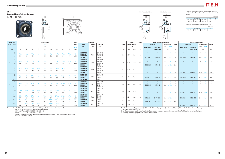10 11









*A*<sup>1</sup> *A*<sup>2</sup> *A*

*A*





#### **ZKF**

Variations of tolerance of distance from mounting surface to center of spherical bore (3*<sup>A</sup>*2s) and tolerance of position of bolt hole (*X*)

#### **Tapered bore (with adapter)** *<sup>d</sup>*1**<sup>45</sup>**~ **55 mm**



|               |                     |                             | Unit: mm |
|---------------|---------------------|-----------------------------|----------|
|               | Housing No.         | $\triangle$ A <sub>2s</sub> |          |
| $F205 - F210$ | FX05~FX10 F305~F310 | $+0.5$                      | 0 7      |
| $F211 - F212$ | FX11~FX12 F311~F312 | $+0.8$                      |          |
|               |                     |                             |          |

Variations of tolerance of bolt hole diameter  $(\varDelta_{Ns})$ 

|                                   | Unit mm |
|-----------------------------------|---------|
| Housing No.                       |         |
| F205~F212   FX05~FX12   F305~F312 |         |
|                                   |         |

4. As for the triple seal type product (205 is the double seal type prodcut), suffix code L3 (or L2) follows the Part No. of unit or bearing. (Example of Part No. : ZKF206JL3)

|    | <b>Shaft Dia.</b>       |           |                 |             |             | <b>Dimensions</b> |        |                |             |                                 | Bolt               |                                      | <b>Standard</b> |                      |             | <b>Basic</b>        |          | Factor |                          | <b>With Pressed Steel Cover</b>                   |                                         |                  |                                                      |                                            | <b>With Cast Iron Cover</b>                                                                                                                             |                                  |                          |                                 |
|----|-------------------------|-----------|-----------------|-------------|-------------|-------------------|--------|----------------|-------------|---------------------------------|--------------------|--------------------------------------|-----------------|----------------------|-------------|---------------------|----------|--------|--------------------------|---------------------------------------------------|-----------------------------------------|------------------|------------------------------------------------------|--------------------------------------------|---------------------------------------------------------------------------------------------------------------------------------------------------------|----------------------------------|--------------------------|---------------------------------|
|    | mm inch                 |           |                 |             |             | inch              |        |                |             |                                 | Size               | Unit                                 | <b>Housing</b>  | <b>Bearing</b>       | <b>Mass</b> | <b>Load Ratings</b> |          |        | <b>Unit No.</b>          |                                                   |                                         | <b>Dimension</b> | Mass                                                 | <b>Unit No.</b>                            |                                                                                                                                                         |                                  | <b>Dimension</b>         | Mass                            |
|    |                         |           |                 |             |             | mm                |        |                |             |                                 |                    | No.                                  | No.             | No.                  |             |                     | kN       |        |                          |                                                   | mm                                      | inch             |                                                      |                                            |                                                                                                                                                         | mm                               | inch                     |                                 |
|    |                         |           |                 |             |             |                   |        |                |             |                                 | inch               |                                      |                 |                      |             |                     |          |        | <b>Open Type</b>         | <b>One Side</b>                                   |                                         |                  |                                                      | <b>Open Type</b>                           | <b>One Side</b>                                                                                                                                         |                                  |                          |                                 |
|    | $d_1$                   |           | A               | J           | N           | A <sub>1</sub>    | $A_2$  | $A_0$          | $B_1$       | $d_e$                           | mm                 |                                      |                 |                      | kg          | $C_{\rm r}$         | $C_{0r}$ | $f_0$  |                          | <b>Closed Type</b>                                |                                         | $A_{\rm s}$      | kg                                                   |                                            | <b>Closed Type</b>                                                                                                                                      |                                  | $A_{c}$                  | kg                              |
|    | $1^{5}/8$               |           |                 |             |             |                   |        |                |             |                                 |                    | ZKF210-26                            |                 | ZK210-26             |             |                     |          |        |                          | $\overline{\phantom{m}}$                          | $\overline{\phantom{a}}$                |                  | $\hspace{0.1mm}-\hspace{0.1mm}$                      |                                            | $\qquad \qquad -$                                                                                                                                       | $\overline{\phantom{a}}$         |                          |                                 |
|    | $1^{11}/_{16}$          | $5^{5}/8$ | $1\frac{9}{16}$ |             |             |                   |        |                |             | $2\frac{9}{32}$                 | $^{1/2}$           | ZKF210-27                            | F210            | ZK210-27             | 2.6         | 35.1                | 23.3     | 14.4   |                          |                                                   |                                         |                  | $\overline{\phantom{0}}$                             |                                            |                                                                                                                                                         | $\overline{\phantom{a}}$         |                          |                                 |
|    | $1^{3}/4$               | 143       | 40              | 111         |             |                   | 22     | 51             | 54          | 58                              | M14                | <b>ZKF210-28</b>                     |                 | ZK210-28             |             |                     |          |        |                          | $\overline{\phantom{0}}$                          | $\overline{\phantom{a}}$                |                  | $\overline{\phantom{0}}$                             |                                            |                                                                                                                                                         | $\overline{\phantom{a}}$         |                          |                                 |
|    |                         |           |                 |             |             |                   |        |                |             |                                 |                    | <b>ZKF210</b>                        |                 | ZK210                |             |                     |          |        | <b>ZKF210C</b>           | <b>ZKF210D</b>                                    | 59.0                                    | $2^{5/16}$       | 2.6                                                  | ZKF210FC                                   | ZKF210FD                                                                                                                                                | 70.5                             | $2^{25}/32$              | 3.1                             |
|    | $1^{5}/8$<br>$1^{11}/1$ | $6^{3}/s$ | $1^{23/32}$     |             |             |                   |        |                |             | $2\frac{9}{32}$                 | $^{5}/_{8}$        | <b>ZKFX10-26</b><br><b>ZKFX10-27</b> |                 | ZKX10-26<br>ZKX10-27 |             |                     |          |        | $\overline{\phantom{0}}$ | $\sim$                                            | $\overline{\phantom{a}}$                |                  | $\overline{\phantom{a}}$                             |                                            | $\hspace{0.1mm}-\hspace{0.1mm}$                                                                                                                         | $\overline{\phantom{a}}$         |                          |                                 |
| 45 | $1^{3}/4$               | 162       | 44              | 130         |             | 20                | 26     | 57             | 54          | 58                              | M16                | <b>ZKFX10-28</b>                     | <b>FX10</b>     | ZKX10-28             | 3.6         | 43.4                | 29.4     | 14.4   |                          | $\hspace{0.1mm}-\hspace{0.1mm}$                   | $\overline{\phantom{a}}$                |                  |                                                      |                                            |                                                                                                                                                         | $\overline{\phantom{0}}$         |                          |                                 |
|    |                         |           |                 |             |             |                   |        |                |             |                                 |                    | ZKFX10                               |                 | ZKX10                |             |                     |          |        | ZKFX100                  | ZKFX10D                                           | 64.0                                    | 17/32            | 3.6                                                  |                                            |                                                                                                                                                         | $\overline{\phantom{a}}$         |                          |                                 |
|    | $1^{5}/8$               |           |                 |             |             |                   |        |                |             |                                 |                    | <b>ZKF310-26</b>                     |                 | ZK310-26             |             |                     |          |        |                          | $\overline{\phantom{0}}$                          |                                         |                  |                                                      |                                            |                                                                                                                                                         |                                  |                          |                                 |
|    | $1^{11}/16$             | $6^{7}/s$ | $1^{7}/8$       |             |             |                   |        |                |             |                                 | $^{3}/_{4}$        | <b>ZKF310-27</b>                     | F310            | ZK310-27             | 5.1         | 62.0                | 38.3     | 13.2   |                          |                                                   |                                         |                  |                                                      |                                            |                                                                                                                                                         |                                  |                          |                                 |
|    | $1^{3}/4$               | 175       | 48              | 132         | 23          | 19                | 28     | 59             | 54          | $\hspace{0.1mm}-\hspace{0.1mm}$ | M20                | <b>ZKF310-28</b>                     |                 | ZK310-28             |             |                     |          |        |                          |                                                   | $\overline{\phantom{a}}$                |                  | $\hspace{0.1mm}-\hspace{0.1mm}$                      |                                            |                                                                                                                                                         | $\overline{\phantom{a}}$         |                          |                                 |
|    |                         |           |                 |             |             |                   |        |                |             |                                 |                    | <b>ZKF310</b>                        |                 | ZK310                |             |                     |          |        |                          |                                                   | $\overline{\phantom{0}}$                |                  | $\overline{\phantom{0}}$                             | <b>ZKF310C</b>                             | <b>ZKF310D</b>                                                                                                                                          | 83.0                             | 9/32                     | 5.9                             |
|    | $1^{7}/_8$              |           |                 |             |             |                   |        |                |             |                                 |                    | ZKF211-30                            |                 | ZK211-30             |             |                     |          |        |                          | $\qquad \qquad -$                                 | $\overline{\phantom{a}}$                |                  |                                                      |                                            |                                                                                                                                                         | $\overline{\phantom{m}}$         |                          |                                 |
|    | $1^{15}/16$             | 162       | 43              | 130         | 19          | 18                | 25     | 56             | 61          | $2^{17}/_{32}$<br>64            | $^{5}/_{8}$<br>M16 | ZKF211-31<br><b>ZKF211</b>           | F211            | ZK211-31<br>ZK211    | 3.5         | 43.4                | 29.4     | 14.4   | <b>ZKF211C</b>           | $\hspace{0.1mm}-\hspace{0.1mm}$<br><b>ZKF211D</b> | $\hspace{0.1mm}-\hspace{0.1mm}$<br>63.0 | $2^{15}/_{32}$   | $\hspace{0.1mm}-\hspace{0.1mm}$<br>3.5               | ZKF211FC                                   | ZKF211FD                                                                                                                                                | $\overline{\phantom{a}}$<br>74.5 | 215/3                    | 4.1                             |
|    | $\overline{2}$          |           |                 |             |             |                   |        |                |             |                                 |                    | <b>ZKF211-32</b>                     |                 | ZK211-32             |             |                     |          |        | $\sim$                   | $\sim$ $-$                                        | $\overline{\phantom{a}}$                |                  | $\overline{\phantom{a}}$                             |                                            | $\overline{\phantom{0}}$                                                                                                                                | $\overline{\phantom{m}}$         |                          | $\hspace{0.1mm}-\hspace{0.1mm}$ |
|    | $1^{7}/8$               |           |                 |             |             |                   |        |                |             |                                 |                    | <b>ZKFX11-30</b>                     |                 | ZKX11-30             |             |                     |          |        |                          | $\qquad \qquad \longleftarrow$                    | $\overline{\phantom{a}}$                |                  |                                                      |                                            |                                                                                                                                                         | $\overline{\phantom{a}}$         |                          |                                 |
|    | $1^{15}/16$             |           |                 |             |             |                   |        |                |             | $2^{17}/_{32}$                  | $^{5}/_{8}$        | <b>ZKFX11-31</b>                     | <b>FX11</b>     | ZKX11-31             | 4.6         | 52.4                | 36.2     | 14.4   |                          | $\sim$                                            | $\overline{\phantom{a}}$                |                  |                                                      |                                            |                                                                                                                                                         | $\overline{\phantom{a}}$         |                          |                                 |
| 50 |                         | 175       | 49              | 143         | 19          | 20                | 29     | 63.5           | -61         | 64                              | M16                | ZKFX11                               |                 | ZKX11                |             |                     |          |        | ZKFX11C                  | ZKFX11D                                           | 73.5                                    | $2^{29}/_{32}$   | 4.6                                                  |                                            |                                                                                                                                                         |                                  |                          |                                 |
|    |                         |           |                 |             |             |                   |        |                |             |                                 |                    | <b>ZKFX11-32</b>                     |                 | ZKX11-32             |             |                     |          |        | $\sim$                   | $\sim$                                            | $\hspace{0.1mm}-\hspace{0.1mm}$         |                  | $\overline{\phantom{a}}$                             |                                            | $\hspace{0.1cm} \hspace{0.1cm} \hspace{0.1cm} \hspace{0.1cm} \hspace{0.1cm} \hspace{0.1cm} \hspace{0.1cm} \hspace{0.1cm} \hspace{0.1cm} \hspace{0.1cm}$ | $\overline{\phantom{a}}$         |                          |                                 |
|    | $1^{7}/_8$              |           |                 |             |             |                   |        |                |             |                                 |                    | ZKF311-30                            |                 | ZK311-30             |             |                     |          |        |                          |                                                   |                                         |                  |                                                      |                                            |                                                                                                                                                         | $\overline{\phantom{a}}$         |                          |                                 |
|    | $1^{15}/_{16}$          | 7 %32     |                 |             |             |                   |        |                | $2^{13}/32$ |                                 | $^{3}/_{4}$        | ZKF311-31<br><b>ZKF311</b>           | F311            | ZK311-31<br>ZK311    | 5.9         | 71.6                | 45.0     | 13.2   |                          |                                                   |                                         |                  |                                                      |                                            | <b>ZKF311D</b>                                                                                                                                          | $\overline{\phantom{a}}$<br>87.0 |                          |                                 |
|    | $\overline{2}$          | 185       | 52              | 140         | 23          | 20                | 30     | 62.5           | 61          | $\hspace{0.1mm}-\hspace{0.1mm}$ | M20                | ZKF311-32                            |                 | ZK311-32             |             |                     |          |        |                          | $\hspace{0.1mm}-\hspace{0.1mm}$                   | $\overline{\phantom{a}}$                |                  | $\overline{\phantom{a}}$<br>$\overline{\phantom{0}}$ | <b>ZKF311C</b><br>$\overline{\phantom{a}}$ | $\sim$                                                                                                                                                  | $\overline{\phantom{m}}$         | $\overline{\phantom{a}}$ | 6.8<br>$\sim$                   |
|    | $2^{1/8}$               | $6^{7}/s$ | $1^{7}/8$       | $5^{5}/8$   | $^{3}/_{4}$ | 23/32             | 9/64   | $2^{15}/_{32}$ | $2^{39/64}$ | $2^{23}/_{32}$                  | 5/8                | ZKF212-34                            |                 | ZK212-34             |             |                     |          |        |                          | $\sim$                                            | $\equiv$                                |                  | $\hspace{0.1mm}-\hspace{0.1mm}$                      |                                            | $-$                                                                                                                                                     | $\overline{\phantom{a}}$         |                          |                                 |
|    |                         | 175       | 48              | 143         | 19          | 18                | 29     | 66.5           | 66          | 69                              | M16                | <b>ZKF212</b>                        | F212            | ZK212                | 4.1         | 52.4                | 36.2     | 14.4   | <b>ZKF212C</b>           | <b>ZKF212D</b>                                    | 73.5                                    | $2^{29}/32$      | 4.1                                                  | ZKF212FC                                   | ZKF212FD                                                                                                                                                | 86                               |                          | 4.9                             |
|    | $\frac{21}{8}$          |           | $2^{5/16}$      | 55/64       | 3/4         | 13/16             | 111/32 | $2^{13}/_{16}$ | $2^{39}/64$ | $2^{23}/_{32}$                  | $^{5}/_{8}$        | <b>ZKFX12-34</b>                     |                 | ZKX12-34             |             |                     |          |        |                          | $\sim$                                            | $\overline{\phantom{a}}$                |                  | $\overline{\phantom{0}}$                             | $\overline{\phantom{m}}$                   | $\overline{\phantom{m}}$                                                                                                                                | $\overline{\phantom{a}}$         |                          |                                 |
| 55 |                         | 187       | 59              | 149         | 19          | 21                | 34     | 71.5           | 66          | 69                              | M16                | ZKFX12                               | <b>FX12</b>     | ZKX12                | 5.5         | 57.2                | 40.1     | 14.4   | ZKFX12C                  | ZKFX12D                                           | 78.5                                    | $3^{3}/_{32}$    | 5.5                                                  |                                            |                                                                                                                                                         | $\overline{\phantom{a}}$         |                          |                                 |
|    | $2^{1/8}$               |           | $2^{7}/32$      | $5^{29}/32$ | 29/32       | 7/s               |        | $2^{25}/32$    | $2^{39}/64$ | $\overline{\phantom{a}}$        | $^{3}/_{4}$        | ZKF312-34                            | F312            | ZK312-34             | 6.8         | 81.9                | 52.2     | 13.2   |                          | $\overline{\phantom{0}}$                          | $\overline{\phantom{a}}$                |                  |                                                      |                                            | $\overline{\phantom{m}}$                                                                                                                                | $\overline{\phantom{a}}$         | $\overline{\phantom{a}}$ |                                 |
|    |                         | 195       | 56              | 150         | 23          | 22                | 33     | 70.5           | 66          | $\overline{\phantom{0}}$        | M20                | <b>ZKF312</b>                        |                 | ZK312                |             |                     |          |        |                          |                                                   | $\hspace{0.1mm}-\hspace{0.1mm}$         |                  |                                                      | ZKF312C                                    | <b>ZKF312D</b>                                                                                                                                          | 95                               | $3^{3}/4$                | -8                              |

Remarks 1. In Part No. of unit and units with covers, fitting codes follow bore diameter munbers.

2. Part No. of applicable grease fi ttings are shown below.

A-1/4-28UNF............205~210, X05~X09, 305~308

A-R1/8........................211~212, X10~X12, 309~312

 3. In Part No. of bearing with adapters, turn UK in the Part No. shown in the dimensional tables to ZK. (Example of Part No. : ZK206)

5. For the dimensions and forms of applicable bearings and adapters, see the dimensional tables of ball bearing for unit and adapter. 6. Housings of nodular graphite cast iron are also available.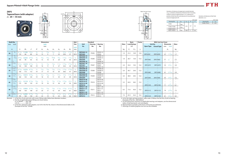





#### **ZKFS**

Variations of tolerance of bolt hole diameter  $(\Delta_{Ns})$ 

Variations of tolerance of spigot joint outside diameter  $(\Delta_{H3s})$ , vartiations of tolerance of distance form mounting surface to center of spherical bore  $(\Delta_{\text{As}})$ , tolerance of position of bolt hole (*X*), and tolerance of circumferential runout of spigot joint (*Y*)





|             |                            |                 |     | Unit: mm |
|-------------|----------------------------|-----------------|-----|----------|
| Housing No. | $\varDelta_{H3\mathrm{s}}$ | $\triangle$ A2s |     |          |
| FS305       | $-0.046$                   |                 |     |          |
| FS306~FS308 | $-0.054$                   | $+0.5$          | 0.7 | 0.2      |
| FS309~FS310 |                            |                 |     |          |
| FS311~FS312 | $-0.063$                   | ±0.8            |     | 0.3      |

|             | Unit: mm                  |
|-------------|---------------------------|
| Housing No. | $\triangle$ <sub>Ns</sub> |
| FS305~FS312 | $+0.2$                    |
|             |                           |

| 'n              | <b>Mass</b>     |
|-----------------|-----------------|
| ch              |                 |
|                 |                 |
|                 | $\lg$           |
|                 |                 |
| $\frac{7}{32}$  | 1.7             |
|                 |                 |
|                 |                 |
|                 | 2.2             |
|                 |                 |
|                 |                 |
| 1/32            | 2.9             |
|                 |                 |
|                 |                 |
|                 |                 |
| $\frac{3}{32}$  | $\frac{3.9}{2}$ |
|                 |                 |
|                 |                 |
| 16              | 5.0             |
|                 |                 |
|                 |                 |
| $\frac{5}{32}$  |                 |
|                 | 6.1             |
|                 |                 |
| 9/32            | 7.2             |
|                 |                 |
|                 |                 |
| $\frac{16}{16}$ | 8.5             |
| hoaring         |                 |

4. As for the triple seal type product, suffix code L3 follows the Part No. of unit or bearing. (Example of Part No. : ZKFS306JL3)

|    | <b>Shaft Dia.</b>               |                           |                 |                    |             |                     | <b>Dimensions</b> |             |                          |                       |                          | <b>Bolt</b>          |                                                                               | <b>Standard</b> |                                           |             | <b>Basic</b>        |          | <b>Factor</b> |                                                                         | <b>With Cast Iron Cover</b>                                            |                                                            |                                           |                                 |
|----|---------------------------------|---------------------------|-----------------|--------------------|-------------|---------------------|-------------------|-------------|--------------------------|-----------------------|--------------------------|----------------------|-------------------------------------------------------------------------------|-----------------|-------------------------------------------|-------------|---------------------|----------|---------------|-------------------------------------------------------------------------|------------------------------------------------------------------------|------------------------------------------------------------|-------------------------------------------|---------------------------------|
|    | mm inch                         |                           |                 |                    |             |                     | inch              |             |                          |                       |                          | <b>Size</b>          | <b>Unit</b>                                                                   | <b>Housing</b>  | <b>Bearing</b>                            | <b>Mass</b> | <b>Load Ratings</b> |          |               | <b>Unit No.</b>                                                         |                                                                        |                                                            | Dimension                                 | Mass                            |
|    |                                 |                           |                 |                    |             | mm                  |                   |             |                          |                       |                          | inch                 | No.                                                                           | No.             | No.                                       |             | kN                  |          |               | <b>Open Type</b>                                                        | <b>Closed Type</b>                                                     | mm                                                         | inch                                      |                                 |
|    | $d_1$                           |                           | $\mathcal{H}_3$ | $\cdot$            | N           | $A_1$               | A <sub>2</sub>    | $A_3$       | $A_4$                    | A5                    | $B_1$                    | mm                   |                                                                               |                 |                                           | kg          | $C_{r}$             | $C_{0r}$ | $f_0$         |                                                                         |                                                                        |                                                            | $A_{c}$                                   | kg                              |
| 20 | $^{3}/_{4}$                     | $4^{11}/_{32}$<br>110     | 3.1496<br>80    | $3^{5}/32$<br>80   | 16          | $\frac{1}{2}$<br>13 | 23/64<br><b>q</b> | 9/32        | $^{7}/_8$<br>22          | $1^{5}/_{32}$<br>29.5 | $1^{15}/_{32}$<br>37     | $\frac{1}{2}$<br>M14 | <b>ZKFS305-12</b><br><b>ZKFS305</b>                                           | FS305           | ZK305-12<br>ZK305                         | 1.4         | 21.2                | 10.9     | 12.6          | ZKFS305C                                                                | $\equiv$<br>ZKFS305D                                                   | 47                                                         | $1^{27}/_{32}$                            | 1.7                             |
| 25 | $^{7}/_8$<br>15/16              | 429/32<br>125             | 3.5433<br>90    | 95                 | 16          | 19/32<br>15         |                   | 8           | 24                       | $1^{17}/64$<br>32     | 1 <sup>9</sup> /16<br>40 | M14                  | <b>ZKFS306-14</b><br><b>ZKFS306-15</b><br><b>ZKFS306</b><br><b>ZKFS306-16</b> | FS306           | ZK306-14<br>ZK306-15<br>ZK306<br>ZK306-16 | 1.9         | 26.7                | 15.0     | 13.3          | ZKFS306C                                                                | ZKFS306D                                                               | 51<br>$\overline{\phantom{a}}$                             |                                           | 2.2<br>$\overline{\phantom{a}}$ |
| 30 | $1^{1/8}$<br>$1^{3}/_{16}$      | 5 <sup>5</sup> /16<br>135 | 3.9370<br>100   | 100                | 19          | 16                  | 11                | 23/a<br>9   | 27                       | $1^{23}/64$<br>34.5   | 147/64<br>44             | $^{5}/_8$<br>M16     | <b>ZKFS307-18</b><br><b>ZKFS307</b><br><b>ZKFS307-19</b>                      | FS307           | ZK307-18<br>ZK307<br>ZK307-19             | 2.4         | 33.4                | 19.3     | 13.2          | ZKFS307C<br>$\overline{\phantom{0}}$                                    | $\frac{1}{2}$<br>ZKFS307D<br>$\qquad \qquad -$                         | $\overline{\phantom{m}}$<br>55<br>$\overline{\phantom{a}}$ | $2^{5}/_{32}$<br>$\overline{\phantom{a}}$ | 2.9<br>$\overline{\phantom{a}}$ |
| 35 | $1^{1/4}$<br>$1^{3}/8$          | 529/32<br>150             | 4.5276<br>115   | 413/32<br>112      | 19          | 21/32<br>17         | 13                | 25/64<br>10 | 13/16<br>30              | 133/64<br>38.5        | 155/64<br>47             | 5/8<br>M16           | <b>ZKFS308-20</b><br><b>ZKFS308-22</b><br><b>ZKFS308</b>                      | FS308           | ZK308-20<br>ZK308-22<br>ZK308             | 3.4         | 40.7                | 24.0     | 13.2          | $\overline{\phantom{0}}$<br>ZKFS308C                                    | $\qquad \qquad \longleftarrow$<br>$\overline{\phantom{0}}$<br>ZKFS308D | $\overline{\phantom{a}}$<br>61                             | $2^{13}/32$                               | 3.9                             |
| 40 | $1^{7/16}$<br>$\frac{1}{2}$     | $6^{5/16}$<br>160         | 4.9213<br>125   | 125                | 19          | 23/32<br>18         | 14                |             | 33                       | $1^{5}/8$<br>41       | $1^{15}/16$<br>49        | $^{5}/_{8}$<br>M16   | <b>ZKFS309-23</b><br><b>ZKFS309-24</b><br><b>ZKFS309</b>                      | FS309           | ZK309-23<br>ZK309-24<br>ZK309             | 4.4         | 48.9                | 29.5     | 13.3          | ZKFS309C                                                                | ZKFS309D                                                               | 65                                                         | 2 <sup>9</sup> /16                        | 5.0                             |
| 45 | $1^{5}/8$<br>11/16<br>$1^{3}/4$ | $6^{7}/s$<br>175          | 5.5118<br>140   | 132                | 23          | 19                  | 16                | 15/32<br>12 | 13/32<br>36              | $1^{55}/64$<br>47     | $2^{1}/8$<br>54          | $^{3}/_{4}$<br>M20   | <b>ZKFS310-26</b><br><b>ZKFS310-27</b><br><b>ZKFS310-28</b><br><b>ZKFS310</b> | FS310           | ZK310-26<br>ZK310-27<br>ZK310-28<br>ZK310 | 5.3         | 62.0                | 38.3     | 13.2          | ZKFS310C                                                                | $\overline{\phantom{m}}$<br>$\overline{\phantom{m}}$<br>ZKFS310D       | 71                                                         | $2^{25}/_{32}$                            | 6.1                             |
| 50 | $1^{7}/8$<br>15/16              | 185                       | 5.9055<br>150   | 140                | 23          | $^{25}/_{32}$<br>20 | 17                | 13          | 39                       | 49.5                  | $2^{13}/_{32}$<br>61     | $^{3}/_{4}$<br>M20   | <b>ZKFS311-30</b><br><b>ZKFS311-31</b><br><b>ZKFS311</b><br><b>ZKFS311-32</b> | FS311           | ZK311-30<br>ZK311-31<br>ZK311<br>ZK311-32 | 6.3         | 71.6                | 45.0     | 13.2          | $\overline{\phantom{m}}$<br>ZKFS311C<br>$\hspace{0.1mm}-\hspace{0.1mm}$ | $\overline{\phantom{m}}$<br>ZKFS311D<br>$\qquad \qquad -$              | 74<br>$\overline{\phantom{a}}$                             | $2^{29/32}$                               | 7.2                             |
| 55 | $2^{1/8}$                       | 7 11/1<br>195             | 6.2992<br>160   | $5^{29/32}$<br>150 | 29/32<br>23 | $^{7}/_8$<br>22     | 19                | 35/64<br>14 | 121/x <sub>2</sub><br>42 | $2^{7}/_{32}$<br>56.5 | $2^{39/64}$<br>66        | M20                  | <b>ZKFS312-34</b><br><b>ZKFS312</b>                                           | FS312           | ZK312-34<br>ZK312                         | 7.3         | 81.9                | 52.2     | 13.2          | ZKFS312C                                                                | $\qquad \qquad -$<br>ZKFS312D                                          | 81                                                         | $3^{3}/_{16}$                             | 8.5                             |

Remarks 1. In Part No. of unit and units with covers, fitting codes follow bore diameter munbers.

2. Part No. of applicable grease fittings are shown below.

A-1/4-28UNF..........305~308

A-R1/8......................309~312

 3. In Part No. of bearing with adapters, turn UK in the Part No. shown in the dimensional tables to ZK. (Example of Part No. : ZK306)

5. For the dimensions and forms of applicable bearings and adapters, see the dimensional

tables of ball bearing for unit and adapter. 6. Representative examples of the forms of housing are indicated.

7. Housings of nodular graphite cast iron are also available.

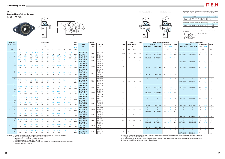



Variations of tolerance of distance from mounting surface to center of spherical bore ( $\triangle_{A2s}$ ) and tolerance of position of bolt hole (*X*)







#### **ZKFL**

**Tapered bore (with adapter)**

Forms and dimensions of  $L_c$  of FL205JE3 (housing with cast iron cover) are shown below.

|                                                                              |                     |             |                             | Unit: mm      |  |  |  |  |  |  |  |  |  |
|------------------------------------------------------------------------------|---------------------|-------------|-----------------------------|---------------|--|--|--|--|--|--|--|--|--|
|                                                                              | Housing No.         |             | $\triangle$ A <sub>2s</sub> | X             |  |  |  |  |  |  |  |  |  |
| FL205~FL210                                                                  | FLX05~FLX10         | FL305~FL310 | ±0.5                        | 0.7           |  |  |  |  |  |  |  |  |  |
| FL211~FL212                                                                  | FL311~FL312<br>±0.8 |             |                             |               |  |  |  |  |  |  |  |  |  |
| Variations of tolerance of bolt hole diameter $(\varDelta_{Ns})$<br>Unit: mm |                     |             |                             |               |  |  |  |  |  |  |  |  |  |
|                                                                              | Housing No.         |             |                             | $\Delta_{Ns}$ |  |  |  |  |  |  |  |  |  |
| FL205~FL212                                                                  | FLX05~FLX10         | FL305~FL311 |                             | $\pm$ 0.2     |  |  |  |  |  |  |  |  |  |
|                                                                              |                     | FL311~FL312 | ±0.3                        |               |  |  |  |  |  |  |  |  |  |
|                                                                              |                     |             |                             |               |  |  |  |  |  |  |  |  |  |



FL205JE3  $L_c = 73$  mm

*<sup>d</sup>*1**<sup>20</sup>**~ **40 mm**

4. As for the triple seal type product (205 is the double seal type prodcut), suffix code L3 (or L2) follows the Part No. of unit or bearing. (Example of Part No. : ZKFL206JL3)

| <b>Shaft Dia.</b> |                            |                    |                 |                    |                  |                   | <b>Dimensions</b> |                   |                   |                  |                          | <b>Bolt</b>   |                                        | <b>Standard</b> |                      |      |             | <b>Basic</b>        | <b>Factor</b> |          | <b>With Pressed Steel Cover</b> |                  |                |             |                 | <b>With Cast Iron Cover</b>     |                          |                                |             |
|-------------------|----------------------------|--------------------|-----------------|--------------------|------------------|-------------------|-------------------|-------------------|-------------------|------------------|--------------------------|---------------|----------------------------------------|-----------------|----------------------|------|-------------|---------------------|---------------|----------|---------------------------------|------------------|----------------|-------------|-----------------|---------------------------------|--------------------------|--------------------------------|-------------|
| mm inch           |                            |                    |                 |                    |                  |                   | inch              |                   |                   |                  |                          | Size          | <b>Unit</b>                            | <b>Housing</b>  | <b>Bearing</b>       | Mass |             | <b>Load Ratings</b> |               |          | Unit No.                        | <b>Dimension</b> |                | <b>Mass</b> | <b>Unit No.</b> |                                 |                          | <b>Dimension</b>               | <b>Mass</b> |
|                   |                            |                    |                 |                    |                  |                   | mm                |                   |                   |                  |                          |               | No.                                    | No.             | No.                  |      |             | kN                  |               |          | <b>Open Type Closed Type</b>    | mm               | inch           |             |                 | Open Type   Closed Type         | mm                       | inch                           |             |
| $d_1$             |                            | Н                  |                 |                    |                  | N                 | A <sub>1</sub>    | $A_2$             | $A_0$             | $B_1$            | $d_{\rm e}$              | inch<br>mm    |                                        |                 |                      | kg   | $C_{\rm r}$ | $C_{0r}$            | $f_0$         |          |                                 | $A_{\rm s}$      |                | kg          |                 |                                 |                          | $A_{c}$                        | kg          |
|                   | $^{3}/_{4}$                | $5^{1}/8$          | $2^{11}/_{16}$  | $1\frac{1}{16}$    | $3^{57}/64$      | 5/8               | $\frac{1}{2}$     | $^{5}/_{8}$       | $1^{3}/8$         | $1^{15}/_{32}$   | $1^{3}/_{16}$            | $\frac{1}{2}$ | <b>ZKFL205-12</b>                      |                 | ZK205-12             |      |             |                     |               |          | $\qquad \qquad -$               |                  |                |             |                 |                                 | $\overline{\phantom{a}}$ |                                |             |
|                   |                            | 130                | 68              | 27                 | 99               | 16                | 13                | 16                | 35                | 37               | 30                       | M14           | <b>ZKFL205</b>                         | FL205           | ZK205                | 0.68 | 14.0        | 7.85                | 13.9          | ZKFL205C | ZKFL205D                        | 40.5             | $1^{19}/_{32}$ | 0.68        | ZKFL205FC       | ZKFL205FD                       | 49                       | $1^{15}/_{16}$                 | 0.89        |
|                   | $^{3}/_{4}$                | 5 <sup>9</sup> /16 | $3\frac{9}{32}$ | 1 <sup>3</sup> /16 | $4^{39/64}$      | 15/32             | $\frac{1}{2}$     | 45/64             | $1^{33}/64$       | $1^{15}/_{32}$   | $1 \frac{3}{16}$         | $\frac{3}{8}$ | <b>ZKFLX05-12</b>                      |                 | ZKX05-12             |      |             |                     |               |          | $\hspace{0.1mm}-\hspace{0.1mm}$ |                  |                |             |                 |                                 |                          |                                |             |
| 20                |                            | 141                | 83              | 30                 | 117              | 12                | 13                | 18                | 38.5              | 37               | 30                       | M10           | ZKFLX05                                | FLX05           | ZKX05                | 1.0  | 19.5        | 11.3                | 13.9          | ZKFLX05C | ZKFLX05D                        | 44.5             | $1^{3}/4$      |             |                 |                                 |                          |                                |             |
|                   | $^{3}/_{4}$                | $5^{29}/_{32}$     | $3^{5}/_{32}$   | $1\frac{5}{32}$    | $4^{29}/64$      | $^{3}/_{4}$       | $\frac{1}{2}$     | $^{5}/_{8}$       | $1^{7}/6$         | $1^{15}/_{32}$   | $\overline{\phantom{a}}$ | $^{5}/_{8}$   | <b>ZKFL305-12</b>                      |                 | ZK305-12             |      |             |                     |               |          | $\frac{1}{2}$                   |                  |                | $\sim$      |                 | $\equiv$                        | $\overline{\phantom{a}}$ |                                |             |
|                   |                            | 150                | 80              | 29                 | 113              | 19                | 13                | 16                | 36.5              | 37               | $\equiv$                 | M16           | <b>ZKFL305</b>                         | FL305           | ZK305                | 1.1  | 21.2        | 10.9                | 12.6          |          | $\sim$                          |                  |                |             | ZKFL305C        | ZKFL305D                        | 54                       | $2^{1/8}$                      | 1.4         |
|                   | $^{7}/_8$                  |                    |                 |                    |                  |                   |                   |                   |                   |                  |                          |               | <b>ZKFL206-14</b>                      |                 | ZK206-14             |      |             |                     |               |          | $\hspace{0.1mm}-\hspace{0.1mm}$ |                  |                |             |                 | $\hspace{0.1mm}-\hspace{0.1mm}$ |                          |                                |             |
|                   | 15/16                      | $5^{13}/16$        | $3^{5}/_{32}$   | $1^{7}/_{32}$      | $4^{39}/_{64}$   |                   | $\frac{1}{2}$     | <sup>45</sup> /64 | $1^{33}/64$       | $1\frac{9}{16}$  | $1^{13}/_{32}$           | $\frac{3}{8}$ | <b>ZKFL206-15</b>                      | FL206           | ZK206-15             | 1.0  | 19.5        | 11.3                | 13.9          |          | $\qquad \qquad -$               |                  |                |             |                 |                                 |                          |                                |             |
|                   |                            | 148                | 80              | 31                 | 117              | 16                | 13                | 18                | 38.5              | 40               | 36                       | M14           | <b>ZKFL206</b>                         |                 | ZK206                |      |             |                     |               | ZKFL206C | ZKFL206D                        | 44.5             | $1^{3}/_{4}$   | 1.0         | ZKFL206FC       | ZKFL206FD                       | 53                       | $2^{3}/_{32}$                  | 1.2         |
|                   | $^{7}/_8$                  |                    |                 |                    |                  |                   |                   |                   |                   |                  |                          |               | <b>ZKFL206-16</b><br><b>ZKFLX06-14</b> |                 | ZK206-16<br>ZKX06-14 |      |             |                     |               |          | $\overline{\phantom{a}}$        |                  |                |             |                 |                                 |                          |                                |             |
|                   | 15/16                      | $6\frac{5}{32}$    | $3^{3}/4$       | $1^{11}/_{32}$     | $5\frac{1}{8}$   |                   |                   |                   | $1\frac{5}{8}$    | $1\frac{9}{16}$  | $1^{13}/_{32}$           | $\frac{3}{8}$ | <b>ZKFLX06-15</b>                      |                 | ZKX06-15             |      |             |                     |               |          | $\frac{1}{2}$                   |                  |                |             |                 |                                 |                          |                                |             |
| 25                |                            | 156                | 95              | 34                 | 130              | 16                | 14                | 19                | 41                | 40               | 36                       | M14           | ZKFLX06                                | FLX06           | ZKX06                | 1.5  | 25.7        | 15.4                | 13.9          | ZKFLX06C | ZKFLX06D                        | 49               | 115/16         | 1.5         |                 |                                 |                          |                                |             |
|                   |                            |                    |                 |                    |                  |                   |                   |                   |                   |                  |                          |               | <b>ZKFLX06-16</b>                      |                 | ZKX06-16             |      |             |                     |               |          |                                 |                  |                |             |                 |                                 |                          |                                |             |
|                   | $^{7}/_8$                  |                    |                 |                    |                  |                   |                   |                   |                   |                  |                          |               | <b>ZKFL306-14</b>                      |                 | ZK306-14             |      |             |                     |               |          |                                 |                  |                |             |                 |                                 |                          |                                |             |
|                   | 15/16                      | 7 <sup>3</sup> /32 | $3^{17}/_{32}$  | $1^{1}/4$          | $5\frac{9}{32}$  | 29/32             | $^{19}/_{32}$     | <sup>45</sup> /64 | $1\frac{9}{16}$   | $1\frac{9}{16}$  | $\overline{\phantom{a}}$ | $^{3}/_{4}$   | <b>ZKFL306-15</b>                      | FL306           | ZK306-15             | 1.5  | 26.7        | 15.0                | 13.3          |          |                                 |                  |                |             |                 |                                 |                          |                                |             |
|                   |                            | 180                | 90              | 32                 | 134              | 23                | 15                | 18                | 40                | 40               |                          | M20           | <b>ZKFL306</b>                         |                 | ZK306                |      |             |                     |               |          |                                 |                  |                |             | ZKFL306C        | ZKFL306D                        | 59                       | $2^{5}/_{16}$                  | 1.8         |
|                   | $1^{1/8}$                  |                    |                 |                    |                  |                   |                   |                   |                   |                  |                          |               | <b>ZKFL306-16</b><br><b>ZKFL207-18</b> |                 | ZK306-16<br>ZK207-18 |      |             |                     |               |          |                                 |                  |                |             |                 | $\hspace{0.1mm}$                | $\overline{\phantom{a}}$ |                                |             |
|                   |                            | $6\frac{11}{32}$   | $3^{17}/_{32}$  | $1^{11}/_{32}$     | $5^{1}/s$        | $^{5}/_{8}$       | 9/16              | $^{3}/_{4}$       | 1 <sup>5</sup> /8 | 147/64           | $1^{5}/8$                | $^{3}/_{8}$   | <b>ZKFL207</b>                         | FL207           | ZK207                | 1.3  | 25.7        | 15.4                | 13.9          | ZKFL207C | ZKFL207D                        | 49               | $1^{15}/_{16}$ | 1.3         | ZKFL207FC       | ZKFL207FD                       | 58                       | 2 <sup>9</sup> / <sub>32</sub> | 1.7         |
|                   | $1^{3}/_{16}$              | 161                | 90              | 34                 | 130              | 16                | 14                | 19                | 41                | 44               | 41                       | M14           | <b>ZKFL207-19</b>                      |                 | ZK207-19             |      |             |                     |               |          | $\equiv$                        |                  |                |             |                 |                                 |                          |                                |             |
|                   | $1^{1/8}$                  | $6^{23}/_{32}$     | $4^{1}/8$       |                    | $5^{43}/64$      |                   |                   | 53/64             | $1^{25}/_{32}$    | 147/64           |                          | $^{3}/_{8}$   | <b>ZKFLX07-18</b>                      |                 | ZKX07-18             |      |             |                     |               | $\sim$   | $\hspace{0.1mm}-\hspace{0.1mm}$ |                  |                |             |                 |                                 |                          |                                |             |
| 30                |                            | 171                | 105             | $1^{1/2}$<br>38    | 144              | $^{5}/_{8}$<br>16 | 9/16<br>14        | 21                | 45                | 44               | 1 <sup>5</sup> /8<br>-41 | M14           | ZKFLX07                                | FLX07           | ZKX07                | 1.8  | 29.1        | 17.8                | 14.0          | ZKFLX07C | ZKFLX07D                        | 55.5             | $2^{3}/_{16}$  | 1.8         |                 |                                 |                          |                                |             |
|                   | $1 \frac{3}{16}$           |                    |                 |                    |                  |                   |                   |                   |                   |                  |                          |               | <b>ZKFLX07-19</b>                      |                 | ZKX07-19             |      |             |                     |               |          |                                 |                  |                |             |                 |                                 |                          |                                |             |
|                   | $1^{1/8}$                  | $7\frac{9}{32}$    | $3^{15}/_{16}$  | $1^{13}/_{32}$     | $5\frac{35}{64}$ | 29/32             | 5/8               | 25/32             | 123/32            | 147/64           |                          | $^{3}/_{4}$   | <b>ZKFL307-18</b>                      |                 | ZK307-18             |      |             |                     |               |          |                                 |                  |                |             |                 |                                 |                          |                                |             |
|                   | $1^{3}/_{16}$              | 185                | 100             | 36                 | 141              | 23                | 16                | 20                | 43.5              | 44               |                          | M20           | <b>ZKFL307</b><br><b>ZKFL307-19</b>    | FL307           | ZK307<br>ZK307-19    | 1.9  | 33.4        | 19.3                | 13.2          |          |                                 |                  |                |             | ZKFL307C        | ZKFL307D                        | 64                       | $2^{17}/_{32}$                 | 2.4         |
|                   | $1^{1}/4$                  |                    |                 |                    |                  |                   |                   |                   |                   |                  |                          |               | <b>ZKFL208-20</b>                      |                 | ZK208-20             |      |             |                     |               |          | $\qquad \qquad -$               |                  |                |             |                 |                                 |                          |                                |             |
|                   | $1^{3}/8$                  | $6^{7}/s$          | $3^{15}/_{16}$  | $1^{13}/_{32}$     | $5^{43}/64$      | $^{5}/_{8}$       | $^{9}/_{16}$      | 53/64             | $1^{13}/_{16}$    | $1\frac{55}{64}$ | $1^{13}/_{16}$           | $^{3}/_{8}$   | <b>ZKFL208-22</b>                      | <b>FL208</b>    | ZK208-22             | 1.6  | 29.1        | 17.8                | 14.0          |          | $\overline{\phantom{m}}$        |                  |                |             |                 |                                 |                          |                                |             |
|                   |                            | 175                | 100             | 36                 | 144              | 16                | 14                | 21                | 46                | 47               | 46                       | M14           | <b>ZKFL208</b>                         |                 | ZK208                |      |             |                     |               | ZKFL208C | ZKFL208D                        | 55.5             | $2^{3}/_{16}$  | 1.6         | ZKFL208FC       | ZKFL208FD                       | 64                       | $2^{17}/32$                    | 2.0         |
|                   | $1^{1/4}$                  |                    | $4^{3}/8$       | 1 <sup>9</sup> /16 | $5^{53}/64$      | 5/ر               | 9/16              | <sup>55</sup> /64 | $1^{7}/8$         | $1^{55}/64$      | $1^{13}/_{16}$           | $^{3}/_{8}$   | <b>ZKFLX08-20</b>                      |                 | ZKX08-20             |      |             |                     |               |          | $\hspace{0.1mm}-\hspace{0.1mm}$ |                  |                |             |                 |                                 |                          |                                |             |
| 35                | $1^{3}/8$                  | 179                | 111             | 40                 | 148              | 16                | 14                | 22                | 48                | 47               | 46                       | M14           | <b>ZKFLX08-22</b>                      | FLX08           | ZKX08-22             | 2.1  | 34.1        | 21.3                | 14.0          |          | $\equiv$                        |                  |                |             |                 |                                 |                          |                                |             |
|                   |                            |                    |                 |                    |                  |                   |                   |                   |                   |                  |                          |               | ZKFLX08                                |                 | ZKX08                |      |             |                     |               | ZKFLX08C | ZKFLX08D                        | 56.5             | $2^{7}/_{32}$  | 2.1         |                 |                                 |                          |                                |             |
|                   | $1^{1/4}$<br>$1^{3}/8$     | $7^{7}/_8$         | $4^{13}/_{32}$  | $1\frac{9}{16}$    | $6^{7}/_{32}$    | <sup>29</sup> /32 | 21/32             | 29/32             | $1 \frac{29}{32}$ | 155/64           |                          | 3/4           | <b>ZKFL308-20</b><br><b>ZKFL308-22</b> | <b>FL308</b>    | ZK308-20<br>ZK308-22 | 2.5  | 40.7        | 24.0                | 13.2          |          | $\overline{\phantom{a}}$        |                  |                |             |                 |                                 |                          |                                |             |
|                   |                            | 200                | 112             | 40                 | 158              | 23                | 17                | 23                | 48.5              | 47               |                          | M20           | <b>ZKFL308</b>                         |                 | ZK308                |      |             |                     |               |          | $\hspace{0.1mm}-\hspace{0.1mm}$ |                  |                |             | ZKFL308C        | ZKFL308D                        | 71                       | $2^{25}/_{32}$                 | 3.0         |
|                   | $1^{7}/_{16}$              |                    |                 |                    |                  |                   |                   |                   |                   |                  |                          |               | <b>ZKFL209-23</b>                      |                 | ZK209-23             |      |             |                     |               |          |                                 |                  |                |             |                 |                                 |                          |                                |             |
|                   | $1^{1/2}$                  | 713/32             | $4^{1}/_{4}$    | $1 \frac{1}{2}$    | $5^{53}/_{64}$   | $^{3}/_{4}$       | 19/32             | 55/64             | $1^{7}/_8$        | 115/16           | $2^{1/16}$               | 5/8           | <b>ZKFL209-24</b>                      | FL209           | ZK209-24             | 2.0  | 34.1 21.3   |                     | 14.0          |          |                                 |                  |                |             |                 |                                 |                          |                                |             |
|                   |                            | 188                | 108             | 38                 | 148              | 19                | 15                | 22                | 48                | 49               | 52                       | M16           | <b>ZKFL209</b>                         |                 | ZK209                |      |             |                     |               | ZKFL209C | ZKFL209D                        | 56.5             | $2^{7}/_{32}$  | 2.0         | ZKFL209FC       | ZKFL209FD                       | 66                       | $2^{19}/_{32}$                 | 2.5         |
|                   | $1\frac{7}{16}$            | $7^{7/16}$         | $4\frac{9}{16}$ | $1\frac{9}{16}$    | $6^{3}/_{16}$    | $^{5}/_{8}$       | 9/16              | $^{29}/_{32}$     | $1^{15}/_{16}$    | $1^{15}/_{16}$   | $2^{1/16}$               | $^{3}/_{8}$   | <b>ZKFLX09-23</b>                      |                 | ZKX09-23             |      |             |                     |               |          | $\sim$                          |                  |                |             |                 |                                 |                          |                                |             |
| 40                | $1^{1/2}$                  | 189                | 116             | 40                 | 157              | 16                | 14                | 23                | 49                | 49               | 52                       | M14           | <b>ZKFLX09-24</b>                      | FLX09           | ZKX09-24             | 2.5  | 35.1        | 23.3                | 14.4          |          |                                 |                  |                |             |                 |                                 |                          |                                |             |
|                   |                            |                    |                 |                    |                  |                   |                   |                   |                   |                  |                          |               | ZKFLX09                                |                 | ZKX09                |      |             |                     |               | ZKFLX09C | ZKFLX09D                        | 60               | $2^{3}/8$      | 2.5         |                 |                                 |                          |                                |             |
|                   | $1^{7}/_{16}$<br>$1^{1/2}$ | $9\frac{1}{16}$    | $4^{29}/_{32}$  | $1^{23}/_{32}$     | 631/32           | 63/64             | 23/32             | 63/64             | $2^{3}/_{64}$     | $1^{15}/_{16}$   |                          | $^{7}/_8$     | <b>ZKFL309-23</b><br><b>ZKFL309-24</b> | FL309           | ZK309-23<br>ZK309-24 | 3.6  | 48.9        | 29.5                | 13.3          |          |                                 |                  |                |             |                 |                                 |                          |                                |             |
|                   |                            | 230                | 125             | 44                 | 177              | 25                | 18                | 25                | 52                | 49               |                          | M22           | <b>ZKFL309</b>                         |                 | ZK309                |      |             |                     |               |          |                                 |                  |                |             | ZKFL309C        | ZKFL309D                        | 76                       |                                | 4.2         |
|                   |                            |                    |                 |                    |                  |                   |                   |                   |                   |                  |                          |               |                                        |                 |                      |      |             |                     |               |          |                                 |                  |                |             |                 |                                 |                          |                                |             |

Remarks 1. In Part No. of unit and units with covers, fitting codes follow bore diameter munbers.

2. Part No. of applicable grease fittings are shown below.

A-1/4-28UNF..........205~210, X05~X09, 305~308

A-R1/8......................211~212, X10, 309~312

 3. In Part No. of bearing with adapters, turn UK in the Part No. shown in the dimensional tables to ZK. (Example of Part No. : ZK206)

5. For the dimensions and forms of applicable bearings and adapters, see the dimensional tables of ball bearing for unit and adapter. 6. Housings of nodular graphite cast iron are also available.



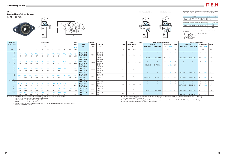*A*<sup>1</sup> *A*<sup>2</sup> *A* Variations of tolerance of distance from mounting surface to center of spherical bore ( $\triangle_{A2s}$ ) and tolerance of position of bolt hole (*X*)









#### **ZKFL**

**Tapered bore (with adapter)**

 $d_1$  **45** ~ **55 mm** 

Forms and dimensions of  $L_c$  of FL205JE3 (housing with cast iron cover) are shown below.

|                                                                              |                     |             |                             | Unit: mm      |  |  |  |  |  |  |  |  |  |
|------------------------------------------------------------------------------|---------------------|-------------|-----------------------------|---------------|--|--|--|--|--|--|--|--|--|
|                                                                              | Housing No.         |             | $\triangle$ A <sub>2s</sub> | X             |  |  |  |  |  |  |  |  |  |
| FL205~FL210                                                                  | FLX05~FLX10         | FL305~FL310 | ±0.5                        | 0.7           |  |  |  |  |  |  |  |  |  |
| FL211~FL212                                                                  | FL311~FL312<br>±0.8 |             |                             |               |  |  |  |  |  |  |  |  |  |
| Variations of tolerance of bolt hole diameter $(\varDelta_{Ns})$<br>Unit: mm |                     |             |                             |               |  |  |  |  |  |  |  |  |  |
|                                                                              | Housing No.         |             |                             | $\Delta_{Ns}$ |  |  |  |  |  |  |  |  |  |
| FL205~FL212                                                                  | FLX05~FLX10         | FL305~FL311 |                             | $\pm$ 0.2     |  |  |  |  |  |  |  |  |  |
|                                                                              |                     | FL311~FL312 | ±0.3                        |               |  |  |  |  |  |  |  |  |  |
|                                                                              |                     |             |                             |               |  |  |  |  |  |  |  |  |  |



FL205JE3  $L_c = 73$  mm

4. As for the triple seal type product (205 is the double seal type prodcut), suffix code L3 (or L2) follows the Part No. of unit or bearing.

| <b>Shaft Dia.</b> |                   |                 |       |                    |     |    | <b>Dimensions</b> |       |       |            |                                 | Bolt      |                                     | <b>Standard</b> |                   |      |         | Basic               | <b>Factor</b> |                 | <b>With Pressed Steel Cover</b>      |                          |                          |                                                      |                              | <b>With Cast Iron Cover</b> |                                                      |                  |       |
|-------------------|-------------------|-----------------|-------|--------------------|-----|----|-------------------|-------|-------|------------|---------------------------------|-----------|-------------------------------------|-----------------|-------------------|------|---------|---------------------|---------------|-----------------|--------------------------------------|--------------------------|--------------------------|------------------------------------------------------|------------------------------|-----------------------------|------------------------------------------------------|------------------|-------|
| mm inch           |                   |                 |       |                    |     |    | inch              |       |       |            |                                 | Size      | Unit                                | <b>Housing</b>  | <b>Bearing</b>    | Mass |         | <b>Load Ratings</b> |               | <b>Unit No.</b> |                                      |                          | <b>Dimension</b>         | Mass                                                 | <b>Unit No.</b>              |                             |                                                      | <b>Dimension</b> | Mass  |
|                   |                   |                 |       |                    |     |    | mm                |       |       |            |                                 |           | No.                                 | No.             | No.               |      |         | kN                  |               |                 | <b>Open Type Closed Type</b>         | mm                       | inch                     |                                                      | <b>Open Type Closed Type</b> |                             | mm                                                   | inch             |       |
|                   |                   |                 |       |                    |     |    |                   |       |       |            |                                 | inch      |                                     |                 |                   |      |         |                     |               |                 |                                      |                          |                          |                                                      |                              |                             |                                                      |                  |       |
| $d_1$             |                   | H               |       | А                  |     |    | A <sub>1</sub>    | $A_2$ | $A_0$ | $B_1$      | $a_e$                           | mm        |                                     |                 |                   | kg   | $C_{r}$ | $C_{0r}$            | $f_0$         |                 |                                      |                          | $A_{\rm s}$              | kg                                                   |                              |                             |                                                      | $A_{c}$          | kg    |
|                   | $1^{5}/8$         |                 |       |                    |     |    |                   |       |       |            |                                 |           | <b>ZKFL210-26</b>                   |                 | ZK210-26          |      |         |                     |               |                 | $\overline{\phantom{0}}$             |                          |                          | $\overline{\phantom{a}}$                             |                              |                             | $\qquad \qquad \longleftarrow$                       |                  |       |
|                   | $1^{11}/_{16}$    |                 |       |                    |     |    |                   |       |       |            |                                 | $^{5}/_8$ | <b>ZKFL210-27</b>                   | FL210           | ZK210-27          | 2.3  | 35.1    | 23.3                | 14.4          |                 |                                      |                          |                          |                                                      |                              |                             |                                                      |                  |       |
|                   | $1^{3}/4$         | 197             | 115   |                    |     |    |                   |       |       |            | 58                              | M16       | <b>ZKFL210-28</b>                   |                 | ZK210-28          |      |         |                     |               |                 | $\overline{\phantom{0}}$             |                          |                          | $\overline{\phantom{a}}$                             |                              |                             |                                                      |                  |       |
|                   | 1 <sup>5</sup> /8 |                 |       |                    |     |    |                   |       |       |            |                                 |           | <b>ZKFL210</b><br><b>ZKFLX10-26</b> |                 | ZK210<br>ZKX10-26 |      |         |                     |               | ZKFL210C        | ZKFL210D                             | 59                       |                          |                                                      | ZKFL210FC                    | ZKFL210FD                   | 70.5                                                 |                  | 2.8   |
|                   | $1^{11}/16$       |                 |       |                    |     |    |                   |       |       |            | $2\frac{9}{32}$                 | $^{5}/_8$ | <b>ZKFLX10-27</b>                   |                 | ZKX10-27          |      |         |                     |               |                 | $\sim$<br>$\overline{\phantom{0}}$   |                          | $\overline{\phantom{a}}$ | $\overline{\phantom{a}}$<br>$\overline{\phantom{0}}$ |                              |                             | $\overline{\phantom{a}}$<br>$\overline{\phantom{0}}$ |                  |       |
| 45                | $1^{3}/4$         | 216             | 133   |                    |     |    |                   |       |       |            | 58                              | M16       | <b>ZKFLX10-28</b>                   | FLX10           | ZKX10-28          | 3.7  | 43.4    | 29.4                | 14.4          |                 |                                      |                          |                          |                                                      |                              |                             |                                                      |                  |       |
|                   |                   |                 |       |                    |     |    |                   |       |       |            |                                 |           | ZKFLX10                             |                 | ZKX10             |      |         |                     |               | ZKFLX100        | ZKFLX10D                             | 64                       |                          | 3.7                                                  |                              |                             | $\overline{\phantom{a}}$                             |                  |       |
|                   | $1^{5}/8$         |                 |       |                    |     |    |                   |       |       |            |                                 |           | <b>ZKFL310-26</b>                   |                 | ZK310-26          |      |         |                     |               |                 | $\overline{\phantom{0}}$             |                          |                          | $\overline{\phantom{0}}$                             |                              |                             |                                                      |                  |       |
|                   | $1^{11}/16$       |                 |       |                    |     |    |                   |       |       |            |                                 | $^{7}/_8$ | <b>ZKFL310-27</b>                   | FL310           | ZK310-27          | 4.4  | 62.0    | 38.3                | 13.2          |                 |                                      |                          |                          |                                                      |                              |                             |                                                      |                  |       |
|                   | $1^{3}/4$         | 240             | 140   |                    |     | 25 |                   |       | 59    | 54         | $\hspace{0.1mm}-\hspace{0.1mm}$ | M22       | <b>ZKFL310-28</b>                   |                 | ZK310-28          |      |         |                     |               |                 |                                      |                          |                          | $\overline{\phantom{0}}$                             |                              |                             |                                                      |                  |       |
|                   |                   |                 |       |                    |     |    |                   |       |       |            |                                 |           | <b>ZKFL310</b>                      |                 | ZK310             |      |         |                     |               |                 | $\sim$                               |                          | $\overline{\phantom{a}}$ | $\overline{\phantom{a}}$                             | ZKFL310C                     | ZKFL310D                    | 83                                                   | $3\frac{9}{32}$  | 5.2   |
|                   | $1^{7}/_8$        | $8^{13}/1$      |       |                    |     |    |                   |       |       |            |                                 |           | <b>ZKFL211-30</b>                   |                 | ZK211-30          |      |         |                     |               |                 | $\overline{\phantom{a}}$             |                          | $\overline{\phantom{a}}$ | $\overline{\phantom{a}}$                             |                              |                             | $\hspace{0.1mm}-\hspace{0.1mm}$                      |                  |       |
|                   | $1^{15}/_{16}$    | 224             | 130   | 43                 | 184 |    |                   |       |       |            | $^{17}/$ 32<br>64               | M16       | <b>ZKFL211-31</b><br><b>ZKFL211</b> | FL211           | ZK211-31<br>ZK211 | 3.3  | 43.4    | 29.4                | 14.4          | ZKFL211C        | $\overline{\phantom{0}}$<br>ZKFL211D | 63                       |                          | $\hspace{0.1mm}-\hspace{0.1mm}$<br>3.3               | ZKFL <sub>21</sub><br>1FC    | ZKFL211FD                   | $\overline{\phantom{a}}$<br>74.5                     |                  | 3.9   |
|                   |                   |                 |       |                    |     |    |                   |       |       |            |                                 |           | <b>ZKFL211-32</b>                   |                 | ZK211-32          |      |         |                     |               |                 | $\overline{\phantom{0}}$             | $\overline{\phantom{a}}$ | $\sim$                   | $\overline{\phantom{a}}$                             |                              |                             | $\overline{\phantom{a}}$                             |                  |       |
| 50                | $1^{7}/8$         |                 |       |                    |     |    |                   |       |       |            |                                 |           | <b>ZKFL311-30</b>                   |                 | ZK311-30          |      |         |                     |               |                 | $\overline{\phantom{0}}$             |                          |                          | $\overline{\phantom{a}}$                             |                              |                             | $\overline{\phantom{a}}$                             |                  |       |
|                   | $1^{15}/_{16}$    | $9^{27}/32$     |       |                    |     |    |                   |       |       |            |                                 | $^{7}/_8$ | <b>ZKFL311-31</b>                   | FL311           | ZK311-31          |      |         |                     |               |                 |                                      |                          |                          | $\overline{\phantom{a}}$                             |                              |                             |                                                      |                  |       |
|                   |                   | 250             | 150   |                    | 198 | 25 | 20                | 30    | 62.5  | 61         | $\overline{\phantom{a}}$        | M22       | <b>ZKFL311</b>                      |                 | ZK311             | 5.6  | 71.6    | 45.0                | 13.2          |                 |                                      |                          |                          | $\hspace{0.1mm}-\hspace{0.1mm}$                      | ZKFL311C                     | ZKFL311D                    | 87                                                   |                  | 6.5   |
|                   |                   |                 |       |                    |     |    |                   |       |       |            |                                 |           | <b>ZKFL311-32</b>                   |                 | ZK311-32          |      |         |                     |               |                 | $\hspace{0.1mm}-\hspace{0.1mm}$      |                          |                          | $\overline{\phantom{a}}$                             |                              |                             | $\hspace{0.1mm}-\hspace{0.1mm}$                      |                  |       |
|                   | $2^{1/8}$         | <b>9</b> 27 / 3 |       |                    |     |    |                   |       |       |            | $2^{23/32}$                     |           | <b>ZKFL212-34</b>                   | FL212           | ZK212-34          | 4.1  | 52.4    | 36.2                | 14.4          |                 | $\overline{\phantom{a}}$             | $\overline{\phantom{0}}$ |                          | $\overline{\phantom{a}}$                             |                              |                             | $\overline{\phantom{m}}$                             |                  |       |
| 55                |                   | 250             | 140   |                    |     | 23 |                   |       | 66.5  |            | 69                              | M20       | <b>ZKFL212</b>                      |                 | ZK212             |      |         |                     |               | ZKFL212C        | ZKFL212D                             | 73.5                     |                          | 4.1                                                  | ZKFL212FC                    | ZKFL212FD                   | 86                                                   | $3^{3}/8$        | 4.9   |
|                   | $\frac{2^{1}}{8}$ | $10^{5}/$       | 6.5/1 | 27/a <sub>22</sub> |     |    |                   |       | 25/2  | $2^{39/6}$ |                                 |           | <b>ZKFL312-34</b>                   | FL312           | ZK312-34          | 6.9  | 81.9    | 52.2                | 13.2          |                 | $\sim$                               |                          |                          | $\overline{\phantom{0}}$                             |                              |                             | $\overline{\phantom{0}}$                             |                  |       |
|                   |                   | 270             | 160   | 56                 | 212 |    |                   | 33    | 70.5  |            |                                 | M27       | <b>ZKFL312</b>                      |                 | ZK312             |      |         |                     |               |                 |                                      |                          |                          | $\overline{\phantom{a}}$                             | ZKFL312C                     | ZKFL312D                    | 95                                                   | $3^{3}/8$        | - 8.1 |

Remarks 1. In Part No. of unit and units with covers, fitting codes follow bore diameter munbers.

2. Part No. of applicable grease fittings are shown below.

A-1/4-28UNF..........205~210, X05~X09, 305~308

A-R1/8......................211~212, X10, 309~312

 3. In Part No. of bearing with adapters, turn UK in the Part No. shown in the dimensional tables to ZK. (Example of Part No. : ZK206)

(Example of Part No. : ZKFL206JL3)

5. For the dimensions and forms of applicable bearings and adapters, see the dimensional tables of ball bearing for unit and adapter.

6. Housings of nodular graphite cast iron are also available.



With Pressed Steel Cover With Cast Iron Cover

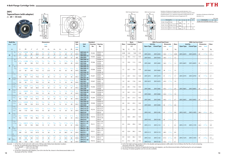Variations of tolerance of bolt hole diameter ( $\triangle$ *Ns*)

Variations of tolerance of spigot joint outside diameter (3*<sup>H</sup>*3s), vartiations of tolerance of distance form mounting surface to center of spherical bore (3*<sup>A</sup>*2s), tolerance of position of bolt hole (*X*), and tolerance of circumferential runout of spigot joint (*Y*)



Housing No. 3*<sup>H</sup>*3s 3*<sup>A</sup>*2s *X Y*

|             |                             |                 |     | Unit: mm |
|-------------|-----------------------------|-----------------|-----|----------|
| No.         | $\triangle$ H <sub>3s</sub> | $\triangle$ A2s | X   |          |
| X05         | $-0.046$                    | ±0.5            | 0.7 | 0.2      |
| X06~FCX10   | $-0.054$                    |                 |     |          |
| 2X11~ FCX12 | $-0.063$                    | ±0.8            |     | 0.3      |

|             |                           | Unit: mm |
|-------------|---------------------------|----------|
| Housing No. |                           |          |
|             | FC204~FC212   FCX05~FCX12 | $+0.2$   |
|             |                           |          |

#### **ZKFC**

Remarks 1. In Part No. of unit and units with covers, fitting codes follow bore diameter munbers. 2. Part No. of applicable grease fi ttings are shown below.

18 (Example of Lattrice, Lattrice) (Example of Part No. : ZK206)

4. As for the triple seal type product (205 is the double seal type prodcut), suffix code L3 (or L2) follows the Part No. of unit or bearing.

| <b>Shaft Dia.</b> |                                    |                        |                                                 | <b>Dimensions</b>                      |                                |                   |                          | Bolt               |                            | <b>Standard</b>             |                                        |               |                                        | <b>Basic</b>   | <b>Factor</b>        |      | <b>With Pressed Steel Cover</b> |                     |         |                                           |                                                                    | <b>With Cast Iron Cover</b> |                          |                                 |                              |           |                          |                |        |
|-------------------|------------------------------------|------------------------|-------------------------------------------------|----------------------------------------|--------------------------------|-------------------|--------------------------|--------------------|----------------------------|-----------------------------|----------------------------------------|---------------|----------------------------------------|----------------|----------------------|------|---------------------------------|---------------------|---------|-------------------------------------------|--------------------------------------------------------------------|-----------------------------|--------------------------|---------------------------------|------------------------------|-----------|--------------------------|----------------|--------|
| mm inch           |                                    |                        |                                                 |                                        |                                |                   | inch                     |                    |                            |                             |                                        | Size          | <b>Unit</b>                            | <b>Housing</b> | <b>Bearing</b>       | Mass |                                 | <b>Load Ratings</b> |         | <b>Unit No.</b>                           |                                                                    | <b>Dimension</b>            |                          | Mass                            | Unit No.                     |           | <b>Dimension</b>         |                | Mass   |
|                   |                                    |                        |                                                 |                                        |                                |                   | mm                       |                    |                            |                             |                                        | inch          | No.                                    | No.            | No.                  |      |                                 | kN                  |         |                                           | Open Type    Closed Type                                           | mm                          | inch                     |                                 | <b>Open Type Closed Type</b> |           | mm                       | inch           |        |
| $d_1$             |                                    | L                      | $H_3$                                           |                                        | $J_1$                          | N                 | $A_1$                    | A <sub>2</sub>     | $A_3$                      | $A_4$                       | $B_1$                                  | mm            |                                        |                |                      | kg   | $C_{\rm r}$                     | $C_{0r}$            | $f_{0}$ |                                           |                                                                    | $A_{\rm s}$                 |                          | kg                              |                              |           | $A_{c}$                  |                | kg     |
|                   | $^{3}/_{4}$                        | $4^{17}/_{32}$         | 2.7559                                          | $3^{35}/_{64}$                         | $2^{1/2}$                      | 15/32             | 13/16                    | 25/64              | 15/64                      | $1\frac{5}{32}$             | 115/32                                 | $^{3}/_{8}$   | <b>ZKFC205-12</b>                      | FC205          | ZK205-12             | 0.99 | 14.0                            | 7.85                | 13.9    |                                           |                                                                    |                             |                          |                                 |                              | $\equiv$  | $\overline{\phantom{a}}$ |                |        |
| - 20              | $^{3}/_{4}$                        | 115<br>$4^{3}/_8$      | 70<br>2.9921                                    | 90<br>$3^{5}/8$                        | 63.6<br>$2\frac{9}{16}$        | 12<br>3/8         | 21<br>15/16              | 10<br>25/64        | 6<br>15/64                 | 29<br>$1^{13}/64$           | 37<br>115/32                           | M10           | <b>ZKFC205</b><br><b>ZKFCX05-12</b>    |                | ZK205<br>ZKX05-12    |      |                                 |                     |         | ZKFC205C                                  | ZKFC205D<br>$\hspace{0.1cm}$                                       | 34.5                        | $1^{11}/_{32}$           | 0.99                            | ZKFC205FC                    | ZKFC205FD | 43                       | $1^{21}/_{32}$ | 1.2    |
|                   |                                    | 111                    | 76                                              | 92                                     | 65                             | 9.5               | 24                       | 10                 | 6                          | 30.5                        | 37                                     | M8            | <b>ZKFCX05</b>                         | FCX05          | ZKX05                | 1.2  | 19.5                            | 11.3                | 13.9    | ZKFCX05C                                  | ZKFCX05D                                                           | 36.5                        | $1^{7}/_{16}$            | 1.2                             |                              |           |                          |                |        |
|                   | $^{7}/_8$<br>15/16                 | $4^{29}/32$            | 3.1496                                          |                                        |                                |                   | 29/32                    |                    | 16/5                       | $1^{13}/_{64}$              | $1\frac{9}{16}$                        | $\frac{3}{8}$ | <b>ZKFC206-14</b><br><b>ZKFC206-15</b> |                | ZK206-14<br>ZK206-15 |      |                                 |                     |         |                                           |                                                                    |                             |                          |                                 |                              |           |                          |                |        |
|                   |                                    | 125                    | 80                                              | 100                                    | 70.7                           |                   | 23                       | 10                 | 8                          | 30.5                        | 40                                     | M10           | <b>ZKFC206</b>                         | FC206          | ZK206                | 1.3  |                                 | 19.5 11.3           | 13.9    | ZKFC206C                                  | ZKFC206D                                                           | 36.5                        | $1^{7/16}$               | 1.3                             | ZKFC206FC                    | ZKFC206FD | 45                       | 125/32         | 1.6    |
| 25                |                                    |                        |                                                 |                                        |                                |                   |                          |                    |                            |                             |                                        |               | <b>ZKFC206-16</b>                      |                | ZK206-16             |      |                                 |                     |         |                                           |                                                                    |                             |                          |                                 |                              |           |                          |                |        |
|                   | $^{7}/_8$<br>15/16                 |                        | 3.3465                                          |                                        | $2^{59}/_{64}$                 | 15/32             |                          | $^{5}/_{16}$       | $\frac{3}{8}$              | $1\frac{3}{16}$             | $1\frac{9}{16}$                        | $\frac{3}{8}$ | <b>ZKFCX06-14</b><br><b>ZKFCX06-15</b> |                | ZKX06-14<br>ZKX06-15 |      |                                 |                     |         |                                           |                                                                    |                             |                          |                                 |                              |           |                          |                |        |
|                   |                                    | 127                    | 85                                              | 105                                    | 74.2                           | 12                | 22.5                     |                    | 9.5                        | 30                          | 40                                     | M10           | <b>ZKFCX06</b>                         | FCX06          | ZKX06                | 1.5  | 25.7                            | 15.4                | 13.9    | ZKFCX06C                                  | ZKFCX06D                                                           | 38                          | $1 \frac{1}{2}$          | 1.5                             |                              |           |                          |                |        |
|                   | $1 \frac{1}{8}$                    |                        |                                                 |                                        |                                |                   |                          |                    |                            |                             |                                        |               | <b>ZKFCX06-16</b><br><b>ZKFC207-18</b> |                | ZKX06-16<br>ZK207-18 |      |                                 |                     |         |                                           | $\hspace{0.1mm}-\hspace{0.1mm}$<br>$\hspace{0.1mm}-\hspace{0.1mm}$ |                             |                          |                                 |                              |           |                          |                |        |
|                   |                                    | $5\frac{5}{16}$<br>135 | 3.5433<br>90                                    | $4^{21}/_{64}$<br>110                  | $3\frac{1}{16}$<br>77.8        | 35/64             | $1\frac{1}{32}$          | $^{7}/_{16}$<br>11 | 5/16<br>8                  | $1\frac{5}{16}$<br>33       | 147/64<br>44                           | M1.           | <b>ZKFC207</b>                         | FC207          | ZK207                | 1.7  | 25.7                            | 15.4                | 13.9    | ZKFC207C                                  | ZKFC207D                                                           | 41                          | $1\frac{5}{8}$           | 1.7                             | ZKFC207FC                    | ZKFC207FD | 50                       | 131/32         | 2.1    |
| 30 <sub>2</sub>   | $1 \frac{3}{16}$<br>$1\frac{1}{8}$ |                        |                                                 |                                        |                                | 14                | 26                       |                    |                            |                             |                                        |               | <b>ZKFC207-19</b><br><b>ZKFCX07-18</b> |                | ZK207-19             |      |                                 |                     |         |                                           |                                                                    |                             |                          |                                 |                              |           |                          |                |        |
|                   |                                    | $5^{1}/4$              | 3.6220                                          | $4^{3}/8$                              | $3^{3}/_{32}$                  | 15/32             | $1\frac{1}{32}$          | $^{23}/_{64}$      | $^{7/16}$                  | $1\frac{5}{16}$             | 147/64                                 |               | ZKFCX07                                | FCX07          | ZKX07-18<br>ZKX07    | 1.9  | 29.1                            | 17.8                | 14.0    | ZKFCX07C                                  | ZKFCX07D                                                           | 43.5                        | $1^{23}/32$              | 1.9                             |                              |           |                          |                |        |
|                   | 1 <sup>3</sup> /16                 | 133                    | 92                                              | 111                                    | 78.5                           | 12                | 26                       | 9                  | 11                         | 33                          | 44                                     | M10           | <b>ZKFCX07-19</b>                      |                | ZKX07-19             |      |                                 |                     |         |                                           |                                                                    |                             |                          |                                 |                              |           |                          |                |        |
|                   | $1^{1}/4$<br>$1^{3}/8$             | 523/32                 | 3.9370                                          | $4^{23}/_{32}$                         | $3^{11}/_{32}$                 |                   | $1\frac{1}{32}$          | $^{7}/_{16}$       | 25/64                      | $1^{13}/_{32}$              | $1 \frac{55}{64}$                      |               | <b>ZKFC208-20</b><br><b>ZKFC208-22</b> | FC208          | ZK208-20<br>ZK208-22 | 2.0  | 29.1                            | 17.8                | 14.0    |                                           |                                                                    |                             |                          | $\overline{\phantom{a}}$        |                              |           |                          |                |        |
| 35                |                                    | 145                    | 100                                             | 120                                    | 84.8                           |                   | 26                       | 11                 | 10                         | 36                          | 47                                     | M12           | <b>ZKFC208</b>                         |                | ZK208                |      |                                 |                     |         | ZKFC208C                                  | ZKFC208D                                                           | 45.5                        | $1^{25}/32$              | 2.0                             | ZKFC208FC                    | ZKFC208FD | 54                       | $2^{1}/8$      | 2.4    |
|                   | $1^{1/4}$<br>$1 \frac{3}{8}$       | $5^{1}/4$              | 3.6220                                          | $4^{3}/8$                              | $3^{3}/_{32}$                  | 15/32             | $1\frac{1}{32}$          | $^{23}/_{64}$      | $^{7}/_{16}$               | $1^{3}/8$                   | $1 \frac{55}{64}$                      |               | <b>ZKFCX08-20</b><br><b>ZKFCX08-22</b> | FCX08          | ZKX08-20<br>ZKX08-22 | 1.9  | 34.1                            | 21.3                | 14.0    |                                           | $\hspace{0.1mm}-\hspace{0.1mm}$                                    |                             |                          |                                 |                              |           |                          |                |        |
|                   |                                    | 133                    | 92                                              | 111                                    | 78.5                           | 12                | 26                       | q                  | 11                         | 35                          | 47                                     | M10           | <b>ZKFCX08</b>                         |                | ZKX08                |      |                                 |                     |         | ZKFCX08C                                  | ZKFCX08D                                                           | 43.5                        | $1^{23}/_{32}$           | 1.9                             |                              |           |                          |                |        |
|                   | $1\frac{7}{16}$                    | $6^{5/16}$             | 4.1339                                          | $5^{13}/_{64}$                         | $3^{43}/64$                    | $^{5}/_8$         | $1\frac{1}{32}$          | $^{25}/_{64}$      | <sup>15</sup> /32          | $1^{13}/_{32}$              | $1^{15}/_{16}$                         |               | <b>ZKFC209-23</b>                      |                | ZK209-23             |      |                                 |                     |         |                                           |                                                                    |                             |                          |                                 |                              |           |                          |                |        |
|                   | $1^{1/2}$                          | 160                    | 105                                             | 132                                    | 93.3                           | 16                | 26                       | 10                 | 12                         | 36                          | 49                                     | M14           | <b>ZKFC209-24</b><br><b>ZKFC209</b>    | FC209          | ZK209-24<br>ZK209    | 2.7  |                                 | 34.1 21.3           | 14.0    | ZKFC209C                                  | ZKFC209D                                                           | 44.5                        | $1^{3}/4$                | 2.7                             | ZKFC209FC                    | ZKFC209FD | 54                       | $2^{1}/8$      | 3.2    |
| 40                | $1^{7}/16$                         | $6\frac{3}{32}$        | 4.2520                                          | $5^{1}/8$                              | $3^{5}/8$                      | 35/64             | 31/32                    | $^{5}/_{16}$       | 15/32                      | $1^{11}/_{32}$              | $1^{15}/_{16}$                         |               | <b>ZKFCX09-23</b>                      |                | ZKX09-23             |      |                                 |                     |         |                                           |                                                                    |                             |                          |                                 |                              |           |                          |                |        |
|                   | $1^{1/2}$                          | 155                    | 108                                             | 130                                    | 91.9                           | 14                | 25                       |                    | $12 \overline{ }$          | 34                          | 49                                     | M12           | <b>ZKFCX09-24</b><br><b>ZKFCX09</b>    | FCX09          | ZKX09-24<br>ZKX09    | 2.6  | 35.1                            | 23.3                | 14.4    | ZKFCX09C                                  | $\overline{\phantom{a}}$<br>ZKFCX09D                               | 45                          | $1^{25}/_{32}$           | 2.6                             |                              |           |                          |                |        |
|                   | $1\frac{5}{8}$                     |                        |                                                 |                                        |                                |                   |                          |                    |                            |                             |                                        |               | <b>ZKFC210-26</b>                      |                | ZK210-26             |      |                                 |                     |         |                                           |                                                                    |                             |                          |                                 |                              |           |                          |                |        |
|                   | 111/1<br>$1^{3}/4$                 | $6^{1/2}$<br>165       | 4.3307<br>110                                   | 138                                    | 97.6                           | 16                | 1 <sup>3</sup> /32<br>28 | $^{25}/64$<br>10   | 15/32<br>$12 \overline{ }$ | $1^{17}/_{32}$<br>39        | $2^{1}/8$<br>54                        | M14           | <b>ZKFC210-27</b><br><b>ZKFC210-28</b> | FC210          | ZK210-27<br>ZK210-28 | 3.0  | 35.1                            | 23.3                | 14.4    |                                           |                                                                    |                             |                          |                                 |                              |           |                          |                |        |
| 45                |                                    |                        |                                                 |                                        |                                |                   |                          |                    |                            |                             |                                        |               | <b>ZKFC210</b>                         |                | ZK210                |      |                                 |                     |         | ZKFC210C                                  | ZKFC210D                                                           | 47                          | $1^{27}/32$              | 3.0                             | ZKFC210FC                    | ZKFC210FD | 58.5                     | $2^{5}/_{16}$  | 3.5    |
|                   | $1^{5}/8$<br>$1^{11}/_{16}$        | $6^{3}/8$              | 4.6457                                          | $5^{23}/64$                            | $3^{25}/_{32}$                 |                   | 31/32                    | $\frac{9}{32}$     |                            | $1^{1/2}$                   | $2^{1}/8$                              |               | <b>ZKFCX10-26</b><br><b>ZKFCX10-27</b> |                | ZKX10-26<br>ZKX10-27 |      |                                 |                     |         |                                           |                                                                    |                             |                          |                                 |                              |           |                          |                |        |
|                   | $1^{3}/4$                          | 162                    | 118                                             | 136                                    | 96.2                           |                   | 25                       |                    | 16                         | 38                          | 54                                     | M12           | <b>ZKFCX10-28</b>                      | FCX10          | ZKX10-28             | 3.1  |                                 | 43.4 29.4           | 14.4    |                                           |                                                                    |                             |                          |                                 |                              |           |                          |                |        |
|                   |                                    |                        |                                                 |                                        |                                |                   |                          |                    |                            |                             |                                        |               | ZKFCX10                                |                | ZKX10                |      |                                 |                     |         | ZKFCX10C                                  | ZKFCX10D                                                           | 45                          | $1^{25}/32$              | 3.1                             |                              |           |                          |                |        |
|                   | $1^{7}/_8$<br>115/16               |                        | $7\frac{9}{32}$ 4.9213 $5\frac{29}{32}$ 4.11/64 |                                        |                                | $^{3}/_{4}$       | $1^{7}/_{32}$            | 33/64              | 15/32                      |                             | $1^{23}/_{32}$ $2^{13}/_{32}$ $5/_{8}$ |               | <b>ZKFC211-30</b><br><b>ZKFC211-31</b> |                | ZK211-30<br>ZK211-31 |      |                                 |                     |         |                                           |                                                                    |                             | $\sim$                   | $\hspace{0.1mm}-\hspace{0.1mm}$ |                              |           |                          |                |        |
|                   |                                    | 185                    | 125                                             |                                        | 150 106.1                      | 19                | 31                       | 13                 | 12                         |                             | 61                                     |               | M <sub>16</sub> ZKFC <sub>211</sub>    | FC211          | ZK211                | 4.3  | 43.4                            | 29.4                | 14.4    | ZKFC211C                                  | ZKFC211D                                                           |                             |                          |                                 | ZKFC211FC                    | ZKFC211FD |                          |                |        |
| 50                | <sup>2</sup><br>$1^{7}/8$          |                        |                                                 |                                        |                                |                   |                          |                    |                            |                             |                                        |               | <b>ZKFC211-32</b><br><b>ZKFCX11-30</b> |                | ZK211-32<br>ZKX11-30 |      |                                 |                     |         |                                           | $\hspace{0.1mm}-\hspace{0.1mm}$                                    |                             | $\overline{\phantom{a}}$ |                                 |                              |           | $\overline{\phantom{a}}$ |                |        |
|                   | $1^{15}/_{16}$                     | $7^{3}/_{32}$          | - 5                                             |                                        | $5^{63}/_{64}$ 4 $^{15}/_{64}$ | 5/8               | $1^{1}/_{32}$            | $^{5}/_{32}$       |                            | $55/64$ 1 $33/64$ 2 $13/32$ |                                        | $^{1/2}$      | <b>ZKFCX11-31</b>                      | FCX11          | ZKX11-31             | 4.0  |                                 | 52.4 36.2           | 14.4    |                                           | $\sim$                                                             |                             | $\overline{\phantom{a}}$ |                                 |                              |           |                          |                |        |
|                   |                                    | 180                    | 127                                             | 152                                    | 107.5                          | 16                | 26                       |                    | 22                         | 38.5                        | 61                                     | M14           | ZKFCX11                                |                | ZKX11                |      |                                 |                     |         | ZKFCX11C                                  | ZKFCX11D                                                           | 48.5 $1^{29}/_{32}$         |                          | 4.0                             |                              |           |                          |                |        |
|                   | $\vert 2^{1/8} \vert$              | $7^{11}/_{16}$         |                                                 | 5.3150 6 <sup>19</sup> / <sub>64</sub> | $4^{29}/_{64}$                 | $^{3}/_{4}$       | $1^{13}/_{32}$           | 43/64              | 15/32                      | $2\frac{9}{64}$             | 239/64                                 | $^{5}/_{8}$   | <b>ZKFCX11-32</b><br>ZKFC212-34        |                | ZKX11-32<br>ZK212-34 |      |                                 |                     |         | $\sim$ $-$<br>$\alpha \rightarrow \alpha$ | $\sim$<br>$\alpha \rightarrow \alpha$                              | $\frac{1}{2}$               | $\sim$                   |                                 |                              | $\sim$    | $\overline{\phantom{a}}$ |                | $\sim$ |
| 55                |                                    | 195                    | 135                                             | 160                                    | 113.1                          |                   | 36                       | 17                 | 12                         | 54.5                        | 66                                     |               | M <sub>16</sub> ZKFC <sub>212</sub>    | FC212          | ZK212                | 4.9  |                                 | 52.4 36.2           | 14.4    | ZKFC212C                                  | ZKFC212D                                                           | 61.5 $2^{13}/_{32}$         |                          | 4.9                             | ZKFC212FC                    | ZKFC212FD | 74                       | $2^{29}/_{32}$ | 5.7    |
|                   | $\sqrt{2^1/s}$                     | $7^{5}/8$              | 5.5118                                          | $6^{1/2}$                              | $4^{19}/_{32}$                 | $^{5}/\mathrm{s}$ | 1 <sup>5</sup> /16       | $^{7}/_{16}$       | 25/32                      | $1^{29}/32$                 | $2^{39}/64$ $1/2$                      |               | <b>ZKFCX12-34</b><br>  M14   ZKFCX12   | FCX12          | ZKX12-34<br>ZKX12    | 5.1  |                                 | 57.2 40.1           | 14.4    | ZKFCX12C                                  | $\sim$<br>ZKFCX12D                                                 | 55.5 $2^{3}/_{16}$ 5.1      |                          |                                 |                              |           |                          |                |        |
|                   |                                    | 194                    |                                                 | 140 165 116.7                          |                                | 16                | 33                       | 11                 | 20                         | 48.5                        | 66                                     |               |                                        |                |                      |      |                                 |                     |         |                                           |                                                                    |                             |                          |                                 | $\sim$                       |           |                          | $\sim$         |        |

A-1/4-28UNF............205~210, X05~X09

A-R1/8........................211~212, X10~X12

3. In Part No. of bearing with adapters, turn UK in the Part No. shown in the dimensional tables to ZK.

(Example of Part No. : ZKFC206JL3)

5. For the dimensions and forms of applicable bearings and adapters, see the dimensional tables of ball bearing for unit and adapter.

6. Housings of nodular graphite cast iron are also available.

 $A_{\rm S}$  *A* C

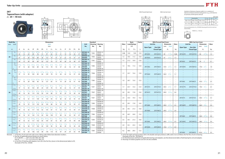







*B*<sup>1</sup>





 $L_3$ 

Variations of tolerance of groove width (3*<sup>A</sup>*1s), variations of tolerance of distance between both grooves  $(\Delta_{H1s})$ , and tolerance of symmetry of both groove sides (*X*)

Forms and dimensions of  $L_c$  of T205JE3 (housing with cast iron cover) are shown below.

*L*<sub>C</sub> T205JE3 *L*<sub>c</sub> = 102 mm



|               |                                   |                           |              | Unit: mm |
|---------------|-----------------------------------|---------------------------|--------------|----------|
|               | Housing No.                       | $\triangle$ <sup>1s</sup> | $\Delta H1s$ |          |
| $T205 - T210$ | TX05~TX10   T305~T310             | $+0.2$<br>0               | $-0.5$       | 0.5      |
|               | T211~T212   TX11~TX12   T311~T312 | $+0.2$<br>O               | $-0.8$       | 0.6      |

#### **ZKT**

**Tapered bore (with adapter)** *<sup>d</sup>*1**<sup>20</sup>**~ **40 mm**



| <b>Shaft Dia.</b> |                                    | <b>Dimensions</b><br>inch<br>mm |                                                                                                                          |                  |                                                                                                               |             |               |                |                                                                                                                                                                         |                 |                                 |                                             |                   |                                                    |                                      | <b>Standard</b>  |                      |      |         |                     |        |                  | <b>With Pressed Steel Cover</b> |                          |                          |                                 |                                   |                                         |                         |                          |
|-------------------|------------------------------------|---------------------------------|--------------------------------------------------------------------------------------------------------------------------|------------------|---------------------------------------------------------------------------------------------------------------|-------------|---------------|----------------|-------------------------------------------------------------------------------------------------------------------------------------------------------------------------|-----------------|---------------------------------|---------------------------------------------|-------------------|----------------------------------------------------|--------------------------------------|------------------|----------------------|------|---------|---------------------|--------|------------------|---------------------------------|--------------------------|--------------------------|---------------------------------|-----------------------------------|-----------------------------------------|-------------------------|--------------------------|
|                   |                                    |                                 |                                                                                                                          |                  |                                                                                                               |             |               |                |                                                                                                                                                                         |                 |                                 |                                             |                   |                                                    |                                      |                  |                      |      |         | Basic               | Factor |                  |                                 |                          |                          |                                 | <b>With Cast Iron Cover</b>       |                                         |                         |                          |
|                   | mm inch                            |                                 |                                                                                                                          |                  |                                                                                                               |             |               |                |                                                                                                                                                                         |                 |                                 |                                             |                   |                                                    | Unit                                 | <b>Housing</b>   | <b>Bearing</b>       | Mass |         | <b>Load Ratings</b> |        | Unit No.         |                                 | <b>Dimension</b>         | <b>Mass</b>              | <b>Unit No.</b>                 |                                   | <b>Dimension</b>                        |                         | Mass                     |
|                   |                                    |                                 |                                                                                                                          |                  |                                                                                                               |             |               |                |                                                                                                                                                                         |                 |                                 |                                             |                   |                                                    | No.                                  | No.              | No.                  |      |         | kΝ                  |        | <b>Open Type</b> | <b>One Side</b>                 | mm inch                  |                          | <b>Open Type</b>                | <b>One Side</b>                   | mm                                      | inch                    |                          |
| $d_1$             |                                    | A                               | $A_1$                                                                                                                    | $A_2$            | Н                                                                                                             | $H_1$       | $H_{2}$       | L              | $L_1$                                                                                                                                                                   | $L_{\rm 2}$     | $L_3$                           | N                                           | $N_{1}$           | $N_2$ $B_1$                                        |                                      |                  |                      | kg   | $C_{r}$ | $C_{0r}$            | $f_0$  |                  | <b>Closed Type</b>              | $A_{\rm s}$              | kg                       |                                 | <b>Closed Type</b>                | $A_{c}$                                 |                         | kg                       |
|                   | $^{3}/_{4}$                        | $1^{1}/4$                       |                                                                                                                          | 15/16            | $3^{1/2}$                                                                                                     | $2^{63}/64$ |               | $3^{13}/_{16}$ | $2^{7}/_{16}$                                                                                                                                                           | 13/32           |                                 | $^{3}/_{4}$                                 |                   | $1^{1}/_{4}$                                       | <b>ZKT205-12</b>                     |                  | ZK205-12             |      |         |                     |        |                  |                                 |                          |                          |                                 |                                   | $\equiv$                                |                         |                          |
|                   |                                    | 32                              | 15/32<br>12                                                                                                              | 24               | 89                                                                                                            | 76          | 51            | 97             | 62                                                                                                                                                                      | 10 <sup>°</sup> | 51                              | 19                                          | 5/8<br>16         | 32<br>37                                           | <b>ZKT205</b>                        | T <sub>205</sub> | ZK205                | 0.88 | 14.0    | 7.85                | 13.9   | <b>ZKT205C</b>   | ZKT205CD                        | 49<br>$1^{15}/_{16}$     | 0.88                     | ZKT205FC                        | ZKT205FCD                         | 66                                      | $2^{19}/_{32}$          | 1.3                      |
|                   | $^{3}/_{4}$                        | $1\frac{15}{32}$                | 15/32                                                                                                                    | $1 \frac{3}{32}$ | $4^{1/32}$                                                                                                    | $3^{1/2}$   | $2^{7}/_{32}$ | 47/16          | $2^{3}/4$                                                                                                                                                               | 13/32           | $2^{1/4}$                       | $^{7}/_8$                                   | 5/8               | $1^{15}/_{32}$ 1 $1^{5}/_3$                        | <b>ZKTX05-12</b>                     |                  | ZKX05-12             |      |         |                     |        | $\sim$           | $\sim$                          |                          |                          |                                 |                                   |                                         |                         |                          |
| 20                |                                    | 37                              | 12                                                                                                                       | 28               | 102                                                                                                           | 89          | 56            | 113            | 70                                                                                                                                                                      | 10              | 57                              | 22                                          | 16                | 37<br>37                                           | <b>ZKTX05</b>                        | TX05             | ZKX05                | 1.3  | 19.5    | 11.3                | 13.9   | ZKTX05C          | ZKTX05CD                        | 53<br>$2^{3}/_{32}$      | 1.3                      |                                 | $\sim$                            | $\equiv$                                |                         |                          |
|                   | $^{3}/_{4}$                        | $1^{13}/_{32}$                  | 15/32                                                                                                                    | $1\frac{1}{32}$  | $3^{1/2}$                                                                                                     | $3^{5}/32$  | $2^{7/16}$    | $4^{13}/_{16}$ | $\overline{\mathbf{3}}$                                                                                                                                                 | 15/32           | 2 <sup>9</sup> /16              | $1\frac{1}{32}$                             | $^{5}/_8$         | $1^{13}/_{32}$ $1^{15}/_3$                         | <b>ZKT305-12</b>                     |                  | ZK305-12             |      |         |                     |        |                  | $\hspace{0.1mm}-\hspace{0.1mm}$ |                          |                          |                                 | $\hspace{0.1cm}$ $\hspace{0.1cm}$ | $\hspace{0.1mm}-\hspace{0.1mm}$         |                         | $\overline{\phantom{a}}$ |
|                   |                                    | 36                              | 12                                                                                                                       | 26               | 89                                                                                                            | 80          | 62            | 122            | 76                                                                                                                                                                      | 12              | 65                              | 26                                          | 16                | 36 37                                              | <b>ZKT305</b>                        | T305             | ZK305                | 1.5  | 21.2    | 10.9                | 12.6   |                  |                                 |                          |                          | <b>ZKT305C</b>                  | ZKT305CD                          | 76                                      | $\overline{\mathbf{3}}$ | 2.1                      |
|                   | $^{7}/_8$                          |                                 |                                                                                                                          |                  |                                                                                                               |             |               |                |                                                                                                                                                                         |                 |                                 |                                             |                   |                                                    | ZKT206-14                            |                  | ZK206-14             |      |         |                     |        |                  |                                 |                          |                          |                                 |                                   |                                         |                         |                          |
|                   | 15/16                              |                                 | $1^{15}/_{32}$ $1^{5}/_{32}$ $1^{3}/_{32}$ $4^{1}/_{32}$ $3^{1}/_{2}$ $2^{7}/_{32}$ $4^{7}/_{16}$ $2^{3}/_{4}$           |                  |                                                                                                               |             |               |                |                                                                                                                                                                         | 13/32           | $2^{1/4}$                       | $^{7}/\mathrm{s}$                           | $^{5}/\mathrm{s}$ | $1^{15}/_{32}$ $1^{9}/_{16}$                       | ZKT206-15                            | T206             | ZK206-15             | 1.3  | 19.5    | 11.3                | 13.9   |                  |                                 |                          | $\overline{\phantom{a}}$ | $\equiv$                        | $\equiv$                          | $\hspace{0.1mm}-\hspace{0.1mm}$         |                         |                          |
|                   |                                    | 37                              | 12                                                                                                                       | 28               | 102                                                                                                           | 89          | 56            | 113            | 70                                                                                                                                                                      | 10              | 57                              | 22                                          | 16                | 37<br>40                                           | <b>ZKT206</b>                        |                  | ZK206                |      |         |                     |        | <b>ZKT206C</b>   | ZKT206CD                        | 53.0<br>$2^{3}/_{32}$    | 1.3                      | ZKT206FC                        | ZKT206FCD                         | 70.0 $2^{3}/4$                          |                         | 1.8                      |
|                   | $\overline{1}$                     |                                 |                                                                                                                          |                  |                                                                                                               |             |               |                |                                                                                                                                                                         |                 |                                 |                                             |                   |                                                    | ZKT206-16                            |                  | ZK206-16             |      |         |                     |        |                  | $\sim$                          |                          |                          |                                 |                                   |                                         |                         |                          |
|                   | $^{7}/_{8}$                        |                                 |                                                                                                                          |                  |                                                                                                               |             |               |                |                                                                                                                                                                         |                 |                                 |                                             |                   |                                                    | <b>ZKTX06-14</b>                     |                  | ZKX06-14             |      |         |                     |        |                  | $\hspace{0.1mm}-\hspace{0.1mm}$ | $\overline{\phantom{a}}$ |                          |                                 |                                   | $\overline{\phantom{a}}$                |                         |                          |
| 25                | 15/16                              |                                 | $1^{15}/_{32}$ $1^{5}/_{32}$ $1^{3}/_{16}$ $4^{1}/_{32}$ $3^{1}/_2$ $2^{17}/_{32}$ $5^{3}/_{32}$ $3^{1}/_{16}$           |                  |                                                                                                               |             |               |                |                                                                                                                                                                         | $^{1}/_{2}$     | $2^{17}/_{32}$                  | $^{7}/_8$                                   | $^{5}/\mathrm{s}$ | $1^{15}/_{32}$ 1 $\frac{9}{1}$                     | <b>ZKTX06-15</b>                     | <b>TX06</b>      | ZKX06-15             | 1.7  | 25.7    | 15.4                | 13.9   |                  |                                 |                          |                          |                                 |                                   |                                         |                         |                          |
|                   | $\overline{1}$                     | 37                              | 12                                                                                                                       | 30               | 102                                                                                                           | 89          | 64            | 129            | 78                                                                                                                                                                      | 13              | 64                              | 22                                          | 16                | 37<br>40                                           | ZKTX06<br><b>ZKTX06-16</b>           |                  | ZKX06<br>ZKX06-16    |      |         |                     |        | ZKTX06C          | ZKTX06CD<br>$\sim$              | 60.0<br>$2^{3}/8$        | 1.7                      |                                 |                                   |                                         |                         |                          |
|                   | $^{7}/_8$                          |                                 |                                                                                                                          |                  |                                                                                                               |             |               |                |                                                                                                                                                                         |                 |                                 |                                             |                   |                                                    | ZKT306-14                            |                  | ZK306-14             |      |         |                     |        |                  | $\overline{\phantom{0}}$        |                          |                          |                                 |                                   | $\overline{\phantom{a}}$                |                         |                          |
|                   | 15/16                              | $1\frac{5}{8}$                  | 5/8                                                                                                                      |                  |                                                                                                               |             |               |                | $1^{3}/_{32}$ 3 $15/_{16}$ 3 $35/_{64}$ 2 $3/_{4}$ 5 $13/_{32}$ 3 $11/_{32}$                                                                                            | $^{9}/_{16}$    |                                 | $2^{29}/_{32}$ 1 $3/_{32}$                  | $^{23}/_{32}$     | $15/8$ 1%                                          | <b>ZKT306-15</b>                     |                  | ZK306-15             |      |         |                     |        |                  |                                 |                          |                          |                                 | $\equiv$                          |                                         |                         |                          |
|                   |                                    | 41                              | 16                                                                                                                       | 28               | 100                                                                                                           | 90          | 70            | 137            | 85                                                                                                                                                                      | 14              | 74                              | 28                                          | 18                | 40<br>41                                           | <b>ZKT306</b>                        | T306             | ZK306                | 1.9  | 26.7    | 15.0                | 13.3   |                  |                                 |                          |                          | <b>ZKT306C</b>                  | ZKT306CD                          | 82.0                                    | $3^{7}/_{32}$           | 2.5                      |
|                   |                                    |                                 |                                                                                                                          |                  |                                                                                                               |             |               |                |                                                                                                                                                                         |                 |                                 |                                             |                   |                                                    | ZKT306-16                            |                  | ZK306-16             |      |         |                     |        |                  |                                 |                          |                          |                                 | $\overline{\phantom{a}}$          |                                         |                         |                          |
|                   | $1^{1/8}$                          |                                 | $1^{15}/_{32}$ $1^{5}/_{32}$ $1^{3}/_{16}$ $4^{1}/_{32}$ $3^{1}/_2$ $2^{17}/_{32}$ $5^{3}/_{32}$ $3^{1}/_{16}$           |                  |                                                                                                               |             |               |                |                                                                                                                                                                         |                 | $\frac{1}{2}$ 2 $\frac{17}{32}$ | $^{7}/_8$                                   | 5/8               | $1^{15/32}$ $1^{47/6}$                             | <b>ZKT207-18</b>                     |                  | ZK207-18             |      |         |                     |        |                  |                                 |                          | $\equiv$                 |                                 | $\equiv$                          | $\overline{\phantom{a}}$                |                         |                          |
|                   |                                    | 37                              | 12                                                                                                                       | 30               | 102                                                                                                           | 89          | 64            | 129            | 78                                                                                                                                                                      | 13              | 64                              | 22                                          | 16                | 37 44                                              | <b>ZKT207</b>                        | T207             | ZK207                | 1.7  | 25.7    | 15.4                | 13.9   | <b>ZKT207C</b>   | ZKT207CD                        | 60.0<br>$2^{3}/8$        | 1.7                      | ZKT207FC                        | ZKT207FCD                         | 78.0 $3\frac{1}{6}$                     |                         | 2.5                      |
|                   | $1^{3}/_{16}$                      |                                 |                                                                                                                          |                  |                                                                                                               |             |               |                |                                                                                                                                                                         |                 |                                 |                                             |                   |                                                    | <b>ZKT207-19</b>                     |                  | ZK207-19             |      |         |                     |        |                  | $\sim$                          |                          |                          |                                 |                                   |                                         |                         |                          |
|                   | $1\frac{1}{8}$                     | $1^{15}/_{16}$                  |                                                                                                                          |                  |                                                                                                               |             |               |                | $\frac{5}{8}$ 1 $\frac{13}{32}$ 4 $\frac{1}{2}$ 4 $\frac{1}{64}$ 3 $\frac{9}{32}$ 5 $\frac{21}{32}$ 3 $\frac{15}{32}$ $\frac{19}{32}$ 3 $\frac{9}{32}$ 1 $\frac{5}{32}$ |                 |                                 |                                             |                   | $\frac{3}{4}$ 1 $\frac{15}{16}$ 1 $\frac{47}{6}$   | <b>ZKTX07-18</b>                     |                  | ZKX07-18             |      |         |                     |        | $\sim$ $-$       | $\sim$                          | $\overline{\phantom{a}}$ |                          |                                 | $\overline{\phantom{0}}$          | $\overline{\phantom{0}}$                |                         |                          |
| 30 <sub>2</sub>   |                                    | 49                              | 16                                                                                                                       | 36               | 114                                                                                                           | 102         | 83            | 144            | 88                                                                                                                                                                      | 15              | 83                              | 29                                          | 19                | -44<br>49                                          | <b>ZKTX07</b>                        | <b>TX07</b>      | ZKX07                | 2.6  | 29.1    | 17.8                | 14.0   | ZKTX07C          | ZKTX07CD                        | 69.0<br>$2^{23}/_{32}$   | 2.6                      |                                 |                                   |                                         |                         |                          |
|                   | $1^{3}/_{16}$<br>$1^{1/8}$         |                                 |                                                                                                                          |                  |                                                                                                               |             |               |                |                                                                                                                                                                         |                 |                                 |                                             |                   |                                                    | <b>ZKTX07-19</b><br><b>ZKT307-18</b> |                  | ZKX07-19<br>ZK307-18 |      |         |                     |        |                  | $\sim$                          |                          |                          |                                 |                                   |                                         |                         |                          |
|                   |                                    | $1^{25}/32$                     | $^{5}/_{8}$                                                                                                              |                  |                                                                                                               |             |               |                | $1\frac{1}{4}$ $4\frac{3}{8}$ $3\frac{15}{16}$ $2\frac{15}{16}$ $5\frac{29}{32}$ $3\frac{11}{16}$                                                                       |                 | $19/32$ $35/32$ $13/16$         |                                             |                   | $\frac{25}{32}$ 1 $\frac{25}{32}$ 1 $\frac{47}{3}$ | <b>ZKT307</b>                        | T307             | ZK307                | 2.4  |         | 33.4 19.3           | 13.2   |                  |                                 |                          |                          | ZKT307C                         | ZKT307CD                          | $\hspace{0.1mm}-\hspace{0.1mm}$<br>88.0 | $3^{15}/_{32}$          | 3.3                      |
|                   | $1 \frac{3}{16}$                   | 45                              | 16                                                                                                                       |                  | 32 111 100                                                                                                    |             | 75            | 150            | 94                                                                                                                                                                      | 15              | 80                              | 30                                          | 20                | 45 44                                              | ZKT307-19                            |                  | ZK307-19             |      |         |                     |        |                  |                                 |                          |                          |                                 | $\sim$                            | $\overline{\phantom{m}}$                |                         |                          |
|                   | $1^{1}/4$                          |                                 |                                                                                                                          |                  |                                                                                                               |             |               |                |                                                                                                                                                                         |                 |                                 |                                             |                   |                                                    | <b>ZKT208-20</b>                     |                  | ZK208-20             |      |         |                     |        |                  | $\hspace{0.1mm}-\hspace{0.1mm}$ |                          | $\overline{\phantom{a}}$ | $\hspace{0.1mm}-\hspace{0.1mm}$ | $\sim$                            | $\equiv$                                |                         |                          |
|                   | $1^{3}/8$                          | 115/16                          | 5/8                                                                                                                      |                  |                                                                                                               |             |               |                | $1\frac{5}{16}$ $4\frac{1}{2}$ $4\frac{1}{64}$ $3\frac{9}{32}$ $5\frac{21}{32}$ $3\frac{15}{32}$                                                                        | $^{5}/_{8}$     | $3\frac{9}{32}$                 | $1\frac{5}{32}$                             | $^{3}/_{4}$       | $1^{15/16}$ 1 <sup>55</sup>                        | <b>ZKT208-22</b>                     | T208             | ZK208-22             | 2.5  | 29.1    | 17.8                | 14.0   |                  | $\hspace{0.1mm}-\hspace{0.1mm}$ |                          |                          |                                 |                                   |                                         |                         |                          |
|                   |                                    | 49                              | 16                                                                                                                       | 33               | 114                                                                                                           | 102         | 83            | 144            | 88                                                                                                                                                                      | 16              | 83                              | 29                                          | 19                | 49<br>- 47                                         | <b>ZKT208</b>                        |                  | <b>ZK208</b>         |      |         |                     |        | <b>ZKT208C</b>   | ZKT208CD                        | 69.0<br>$2^{23}/32$      | 2.5                      | ZKT208FC                        | ZKT208FCD                         | $86.0\quad 3^{3}/_{8}$                  |                         | 3.4                      |
|                   | $1^{1/4}$                          | 15/16                           | 5/8                                                                                                                      |                  |                                                                                                               |             |               |                | $1^{13}/_{32}$ $4^{19}/_{32}$ $4^{1}/_{64}$ $3^{9}/_{32}$ $5^{21}/_{32}$ $3^{7}/_{16}$                                                                                  |                 | $19/32$ $39/32$ $15/32$         |                                             |                   | $\frac{3}{4}$ 1 $\frac{15}{16}$ 1 $\frac{55}{16}$  | <b>ZKTX08-20</b>                     |                  | ZKX08-20             |      |         |                     |        | $\sim$           | $\sim$                          |                          | $\overline{\phantom{a}}$ |                                 |                                   |                                         |                         |                          |
| 35                | $1^{3}/8$                          | 49                              | 16                                                                                                                       | 36               | 117                                                                                                           | 102         | 83            |                | 87                                                                                                                                                                      | 15              | 83                              | 29                                          | 19                | - 47<br>49                                         | <b>ZKTX08-22</b>                     | TX08             | ZKX08-22             | 2.6  |         | 34.1 21.3           | 14.0   | $\sim$ $-$       | $\sim$                          |                          | $\overline{\phantom{a}}$ |                                 |                                   | $\overline{\phantom{a}}$                |                         |                          |
|                   |                                    |                                 |                                                                                                                          |                  |                                                                                                               |             |               |                |                                                                                                                                                                         |                 |                                 |                                             |                   |                                                    | ZKTX08                               |                  | ZKX08                |      |         |                     |        | ZKTX08C          | ZKTX08CD                        | 69.0<br>$2^{23}/32$      | 2.6                      |                                 |                                   |                                         |                         |                          |
|                   | $1^{1}/4$                          |                                 | $1^{31/32}$ $4^{5/64}$ $1^{11/32}$ $4^{7/8}$ $4^{13/32}$ $3^{9/32}$ $6^{3/8}$ $3^{15/16}$ $2^{1/32}$ $3^{1/2}$ $1^{1/4}$ |                  |                                                                                                               |             |               |                |                                                                                                                                                                         |                 |                                 |                                             |                   | $^{7}/_8$ 1 $^{31}/_{32}$ 1 $^{55}/_8$             | <b>ZKT308-20</b>                     |                  | ZK308-20             |      |         |                     |        |                  | $\sim$                          |                          |                          |                                 | $\equiv$                          | $\hspace{0.1mm}-\hspace{0.1mm}$         |                         |                          |
|                   | $1^{3}/8$                          | 50                              | 18                                                                                                                       |                  | 34 124 112 83                                                                                                 |             |               | 162            | 100                                                                                                                                                                     | 17              | 89                              | 32                                          | 22                | 50 47                                              | <b>ZKT308-22</b>                     | T308             | ZK308-22             | 3.0  | 40.7    | 24.0                | 13.2   |                  | $\sim$                          | $\overline{\phantom{a}}$ |                          |                                 | $\sim$                            |                                         |                         |                          |
|                   |                                    |                                 |                                                                                                                          |                  |                                                                                                               |             |               |                |                                                                                                                                                                         |                 |                                 |                                             |                   |                                                    | <b>ZKT308</b>                        |                  | ZK308                |      |         |                     |        |                  |                                 |                          | $\equiv$                 | ZKT308C                         | ZKT308CD                          | 96.0<br>$\equiv$                        | $3^{25}/_{32}$          | 4.0                      |
|                   | $1\frac{7}{16}$<br>$1 \frac{1}{2}$ | $1\frac{15}{16}$                | $^{5}/_8$                                                                                                                |                  |                                                                                                               |             |               |                | $1^{3}/_{8}$ 4 $^{19}/_{32}$ 4 $^{1}/_{64}$ 3 $^{9}/_{32}$ 5 $^{21}/_{32}$ 3 $^{7}/_{16}$                                                                               | $^{5}/_8$       | $3\frac{9}{32}$ $1\frac{5}{32}$ |                                             |                   | $\frac{3}{4}$ 1 $\frac{15}{16}$ 1 $\frac{15}{15}$  | <b>ZKT209-23</b><br><b>ZKT209-24</b> | T209             | ZK209-23<br>ZK209-24 | 2.5  | 34.1    | 21.3                | 14.0   |                  | $\sim$<br>$\equiv$              | $\overline{\phantom{a}}$ | $\overline{\phantom{a}}$ |                                 | $\sim$                            |                                         |                         |                          |
|                   |                                    | 49                              | 16                                                                                                                       | 35               | 117                                                                                                           | 102         | 83            | 144            | 87                                                                                                                                                                      | 16              | 83                              | 29                                          | 19                | 49<br>49                                           | <b>ZKT209</b>                        |                  | ZK209                |      |         |                     |        | <b>ZKT209C</b>   | ZKT209CD                        | 69.0<br>$2^{23}/32$      | 2.5                      | ZKT209FC                        | ZKT209FCD                         | 88.0 $3^{15}/32$                        |                         | 3.4                      |
|                   | $1\frac{7}{16}$                    |                                 |                                                                                                                          |                  |                                                                                                               |             |               |                |                                                                                                                                                                         |                 |                                 |                                             |                   |                                                    | <b>ZKTX09-23</b>                     |                  | ZKX09-23             |      |         |                     |        |                  | $\hspace{0.1mm}-\hspace{0.1mm}$ |                          |                          |                                 |                                   |                                         |                         |                          |
| 40                | $1^{1/2}$                          | 15/16                           | 5/8                                                                                                                      |                  |                                                                                                               |             |               |                | $1\frac{1}{2}$ $4\frac{19}{32}$ $4\frac{1}{64}$ $3\frac{9}{32}$ $5\frac{7}{8}$ $3\frac{17}{32}$                                                                         | 5/8             |                                 | $3^{3}/_{8}$ 1 <sup>5</sup> / <sub>32</sub> |                   | $\frac{3}{4}$ 1 15/ <sub>16</sub> 1 15             | <b>ZKTX09-24</b>                     | TX09             | ZKX09-24             | 2.9  | 35.1    | 23.3                | 14.4   | $\sim$           | $\equiv$                        |                          | $\overline{\phantom{a}}$ |                                 |                                   |                                         |                         |                          |
|                   |                                    | 49                              | 16                                                                                                                       | 38               | 117                                                                                                           | 102         | 83            | 149            | 90                                                                                                                                                                      | 16              | 86                              | 29                                          | 19                | 49 49                                              | ZKTX09                               |                  | ZKX09                |      |         |                     |        | ZKTX09C          | ZKTX09CD                        | 74.0<br>$2^{29}/_{32}$   | 2.9                      |                                 |                                   |                                         |                         |                          |
|                   | $1^{7}/_{16}$                      | $2^{5/32}$                      | 45/64                                                                                                                    |                  | $1\frac{1}{2}$ 5 <sup>7</sup> / <sub>16</sub> 4 <sup>59</sup> / <sub>64</sub> 3 <sup>17</sup> / <sub>32</sub> |             |               |                | $4^{11}/_{32}$                                                                                                                                                          | $^{23}/_{32}$   |                                 |                                             |                   | $15/16$ 2 $5/32$ 1 $15$                            | ZKT309-23                            |                  | ZK309-23             |      |         |                     |        |                  |                                 |                          |                          |                                 |                                   |                                         |                         |                          |
|                   | $1^{1/2}$                          | 55                              | 18                                                                                                                       |                  |                                                                                                               |             |               |                |                                                                                                                                                                         |                 |                                 | $3^{13}/_{16}$ 1 $^{11}/_{32}$              |                   |                                                    | <b>ZKT309-24</b>                     | T309             | ZK309-24             | 4.2  | 48.9    | 29.5                | 13.3   |                  |                                 |                          |                          |                                 | $\overline{\phantom{a}}$          |                                         |                         |                          |
|                   |                                    |                                 |                                                                                                                          | 38               | 138                                                                                                           | 125         | 90            | 178            | 110                                                                                                                                                                     | 18              | 97                              | 34                                          | 24                | 55<br>-49                                          | <b>ZKT309</b>                        |                  | ZK309                |      |         |                     |        |                  |                                 |                          | $\sim$                   | <b>ZKT309C</b>                  | ZKT309CD                          | 102.0                                   | $4^{1/32}$              | 5.5                      |

Remarks 1. In Part No. of unit and units with covers, fitting codes follow bore diameter munbers.

2. Part No. of applicable grease fittings are shown below.

B-1/4-28UNF............205~210, X05~X09, 305~308

B-R1/8........................211~212, X10~X12, 309~312

 3. In Part No. of bearing with adapters, turn UK in the Part No. shown in the dimensional tables to ZK. (Example of Part No. : ZK206)

4. As for the triple seal type product (205 is the double seal type prodcut), suffix code L3 (or L2) follows the Part No. of unit or bearing.

(Example of Part No. : ZKT206JL3)

5. For the dimensions and forms of applicable bearings and adapters, see the dimensional tables of ball bearing for unit and adapter. 6. Housings of nodular graphite cast iron are also available.

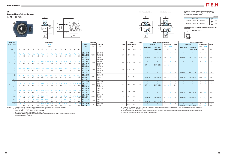Variations of tolerance of groove width (3*<sup>A</sup>*1s), variations of tolerance of distance between both grooves (3*<sup>H</sup>*1s), and tolerance of symmetry of both groove sides (*X*)

Forms and dimensions of  $L_c$  of T205JE3 (housing with cast iron cover) are shown below.

*L*<sub>C</sub> T205JE3 *L*<sub>c</sub> = 102 mm



|           |                                   |                           |              | Unit: mm |
|-----------|-----------------------------------|---------------------------|--------------|----------|
|           | Housing No.                       | $\triangle$ <sup>1s</sup> | $\Delta H1s$ |          |
| T205~T210 | TX05~TX10   T305~T310             | $+0.2$<br>O               | 0<br>$-0.5$  | 0.5      |
|           | T211~T212   TX11~TX12   T311~T312 | $+0.2$<br>O               | 0<br>$-0.8$  | 0.6      |

#### **ZKT**









 $L_3$ 

4. As for the triple seal type product (205 is the double seal type prodcut), suffix code L3 (or L2) follows the Part No. of unit or bearing. (Example of Part No. : ZKT206JL3)

|    |                                | <b>Dimensions</b><br>inch |       |                     |     |       |             |     |  |       |                 |               |                |           |                                      |    |                                      |                |                      |               |                     |                                 |       |                          |                           |                                 |                             |                                        |                          |                          |                                 |                          |                          |
|----|--------------------------------|---------------------------|-------|---------------------|-----|-------|-------------|-----|--|-------|-----------------|---------------|----------------|-----------|--------------------------------------|----|--------------------------------------|----------------|----------------------|---------------|---------------------|---------------------------------|-------|--------------------------|---------------------------|---------------------------------|-----------------------------|----------------------------------------|--------------------------|--------------------------|---------------------------------|--------------------------|--------------------------|
|    | <b>Shaft Dia.</b>              |                           | mm    |                     |     |       |             |     |  |       |                 |               |                |           | <b>Standard</b>                      |    |                                      |                | <b>Basic</b>         | <b>Factor</b> |                     | <b>With Pressed Steel Cover</b> |       |                          |                           |                                 | <b>With Cast Iron Cover</b> |                                        |                          |                          |                                 |                          |                          |
|    | mm inch                        |                           |       |                     |     |       |             |     |  |       |                 |               |                |           |                                      |    | Unit                                 | <b>Housing</b> | <b>Bearing</b>       | Mass          | <b>Load Ratings</b> |                                 |       | <b>Unit No.</b>          |                           |                                 | <b>Dimension</b>            | <b>Mass</b>                            | <b>Unit No.</b>          |                          |                                 | <b>Dimension</b>         | <b>Mass</b>              |
|    |                                |                           |       |                     |     |       |             |     |  |       |                 |               |                |           |                                      |    | No.                                  | No.            | No.                  |               | kN                  |                                 |       | <b>Open Type</b>         | <b>One Side</b>           | mm                              | inch                        |                                        | <b>Open Type</b>         | <b>One Side</b>          | mm                              | inch                     |                          |
|    | $d_1$                          | A                         | $A_1$ | $A_2$               | H   | $H_1$ | $H_{\rm 2}$ | L   |  | $L_1$ | $\mathcal{L}_2$ | $L_3$         | N              | $N_{1}$   | $N_2$ $B_1$                          |    |                                      |                |                      | kg            | $C_{r}$             | $C_{0r}$                        | $f_0$ |                          | <b>Closed Type</b>        |                                 | $A_{\rm s}$                 | kg                                     |                          | <b>Closed Type</b>       |                                 | $A_{c}$                  | kg                       |
|    |                                |                           |       |                     |     |       |             |     |  |       |                 |               |                |           |                                      |    |                                      |                |                      |               |                     |                                 |       |                          |                           |                                 |                             |                                        |                          |                          |                                 |                          |                          |
|    | $1^{5}/8$                      |                           |       |                     |     |       |             |     |  |       |                 |               |                |           |                                      |    | <b>ZKT210-26</b>                     |                | ZK210-26             |               |                     |                                 |       |                          | $-$                       | $\overline{\phantom{a}}$        |                             | $\overline{\phantom{a}}$               |                          |                          | $\hspace{0.1mm}-\hspace{0.1mm}$ |                          |                          |
|    | $1^{11}/_{16}$                 | 115/16                    |       |                     |     |       |             |     |  |       |                 |               |                |           |                                      |    | ZKT210-27                            | T210           | ZK210-27             | 2.7           | 35.1                | 23.3                            | 14.4  |                          |                           |                                 |                             |                                        |                          |                          |                                 |                          |                          |
|    | $1^{3}/4$                      | 49                        | 16    | 37                  | 117 | 102   | 83          | 149 |  | -90   |                 |               | 2ç             |           |                                      |    | <b>ZKT210-28</b>                     |                | ZK210-28             |               |                     |                                 |       |                          | $\frac{1}{2}$             | $\hspace{0.1mm}-\hspace{0.1mm}$ |                             | $\hspace{0.1mm}-\hspace{0.1mm}$        |                          |                          | $\overline{\phantom{a}}$        |                          |                          |
|    |                                |                           |       |                     |     |       |             |     |  |       |                 |               |                |           |                                      |    | <b>ZKT210</b>                        |                | ZK210                |               |                     |                                 |       | <b>ZKT210C</b>           | ZKT210CD                  | 74.0                            | 29/32                       | 2.7                                    | ZKT210FC                 | ZKT210FCD                | 97.0                            |                          | 3.8                      |
|    | $1^{5}/8$                      |                           |       |                     |     |       |             |     |  |       |                 |               |                |           |                                      |    | <b>ZKTX10-26</b>                     |                | ZKX10-26             |               |                     |                                 |       |                          | $\overline{\phantom{a}}$  | $\overline{\phantom{a}}$        |                             | $\overline{\phantom{0}}$               |                          | $\overline{\phantom{0}}$ | $\equiv$                        |                          |                          |
| 45 | $1^{11}/_{16}$                 | $2^{17}/32$               |       |                     |     |       |             |     |  |       |                 |               |                |           | $2^{17}/32$                          |    | <b>ZKTX10-27</b>                     | <b>TX10</b>    | ZKX10-27             | 4.4           | 43.4                | 29.4                            | 14.4  |                          |                           |                                 |                             | $\overline{\phantom{0}}$               |                          |                          |                                 |                          |                          |
|    | $1^{3}/4$                      | -64                       | 22    |                     |     | 130   | 102         |     |  |       |                 | 95            | 35             | 25        |                                      |    | <b>ZKTX10-28</b>                     |                | ZKX10-28             |               |                     |                                 |       |                          | $\frac{1}{2}$             | $\hspace{0.1mm}-\hspace{0.1mm}$ |                             | $\overline{\phantom{a}}$               |                          |                          |                                 |                          |                          |
|    |                                |                           |       |                     |     |       |             |     |  |       |                 |               |                |           |                                      |    | ZKTX10                               |                | ZKX10                |               |                     |                                 |       | ZKTX10C                  | ZKTX10CD                  | 76.0                            |                             |                                        |                          |                          | $\overline{\phantom{a}}$        |                          |                          |
|    | $1^{5}/8$                      |                           |       |                     |     |       |             |     |  |       |                 |               |                |           |                                      |    | <b>ZKT310-26</b>                     |                | ZK310-26             |               |                     |                                 |       |                          | $\qquad \qquad -$         | $\overline{\phantom{a}}$        |                             | $\overline{\phantom{a}}$               |                          |                          | $\overline{\phantom{a}}$        |                          |                          |
|    | $1^{11}/_{16}$ 2 $^{13}/_{32}$ |                           | 25/32 |                     |     |       |             |     |  |       |                 |               |                |           |                                      |    | <b>ZKT310-27</b>                     | T310           | ZK310-27             | 5.0           | 62.0                | 38.3                            | 13.2  |                          |                           |                                 |                             | $\overline{\phantom{0}}$               |                          |                          |                                 |                          |                          |
|    | $1^{3}/4$                      | 61                        | 20    | 40                  | 151 | 140   | 98          | 191 |  | 117   | 20              |               | -37            | 27        |                                      | 54 | <b>ZKT310-28</b>                     |                | ZK310-28             |               |                     |                                 |       |                          |                           |                                 |                             | $\overline{\phantom{a}}$               |                          |                          |                                 |                          |                          |
|    |                                |                           |       |                     |     |       |             |     |  |       |                 |               |                |           |                                      |    | <b>ZKT310</b>                        |                | ZK310                |               |                     |                                 |       |                          | $\overline{\phantom{m}}$  | $\overline{\phantom{a}}$        |                             | $\overline{\phantom{a}}$               | <b>ZKT310C</b>           | ZKT310CD                 | 110.0                           | 1/32                     | 6.7                      |
|    | $1^{7}/_8$                     |                           |       |                     |     |       |             |     |  |       |                 |               |                |           |                                      |    | <b>ZKT211-30</b>                     |                | ZK211-30             |               |                     |                                 |       |                          | $\qquad \qquad -$         | $\overline{\phantom{a}}$        |                             | $\overline{\phantom{a}}$               | $\overline{\phantom{a}}$ | $\qquad \qquad -$        | $\overline{\phantom{a}}$        |                          |                          |
|    | $1^{15}/_{16}$ $2^{17}/_{32}$  |                           | 55/64 |                     |     |       |             |     |  |       |                 |               |                | 31/32     | 2 $17/32$ 2 15                       |    | ZKT211-31                            | T211           | ZK211-31             | 4.1           | 43.4                | 29.4                            | 14.4  |                          | $\overline{\phantom{0}}$  | $\overline{\phantom{a}}$        |                             | $\overline{\phantom{a}}$               |                          |                          | $\overline{\phantom{a}}$        |                          |                          |
|    |                                | 64                        | 22    | 38                  | 146 | 130   | 102         | 171 |  |       |                 | 95            | 35             | 25        |                                      |    | <b>ZKT211</b>                        |                | ZK211                |               |                     |                                 |       | <b>ZKT211C</b>           | ZKT211CD                  | 76.0                            |                             | 4.1                                    | ZKT211FC                 | ZKT211FCD                | 99.0                            | $3^{29}/_{32}$           | 5.4                      |
|    | $\overline{2}$<br>$1^{7}/8$    |                           |       |                     |     |       |             |     |  |       |                 |               |                |           |                                      |    | ZKT211-32                            |                | ZK211-32             |               |                     |                                 |       | $\sim$ $-$               | $\sim$                    | $\hspace{0.1mm}-\hspace{0.1mm}$ |                             | $\overline{\phantom{0}}$               | $\overline{\phantom{a}}$ | $\sim$                   | $\overline{\phantom{a}}$        |                          |                          |
|    | $1^{15}/_{16}$                 | $2^{17}/32$               |       |                     |     |       |             |     |  |       |                 |               |                |           |                                      |    | <b>ZKTX11-30</b>                     |                | ZKX11-30             |               |                     |                                 |       |                          | $\overline{\phantom{m}}$  |                                 |                             |                                        |                          |                          |                                 |                          |                          |
| 50 |                                |                           |       |                     |     |       |             |     |  |       |                 |               |                | $1^{1}/4$ | $2^{17}/_{32}$ 2 <sup>13</sup>       |    | <b>ZKTX11-31</b>                     | <b>TX11</b>    | ZKX11-31<br>ZKX11    | 5.1           | 52.4                | 36.2                            | 14.4  |                          |                           | $\overline{\phantom{a}}$        |                             |                                        |                          |                          |                                 |                          |                          |
|    |                                | 64                        |       |                     | 146 | 130   | 102         |     |  |       |                 |               | 35             | 32        |                                      |    | ZKTX11                               |                |                      |               |                     |                                 |       | ZKTX11C                  | ZKTX11CD                  | 89.0                            | $3\frac{1}{2}$              | 5.1                                    |                          |                          |                                 |                          |                          |
|    | - 2<br>$1^{7}/_8$              |                           |       |                     |     |       |             |     |  |       |                 |               |                |           |                                      |    | <b>ZKTX11-32</b>                     |                | ZKX11-32             |               |                     |                                 |       | $\frac{1}{2}$            | $\overline{\phantom{a}}$  | $\hspace{0.1mm}-\hspace{0.1mm}$ |                             | $\hspace{0.1mm}-\hspace{0.1mm}$        |                          |                          |                                 |                          |                          |
|    | $1^{15}/_{16}$ 2 $^{19}/_{32}$ |                           | 55/64 | $1^{23}/32$         |     |       |             |     |  |       |                 |               |                |           |                                      |    | <b>ZKT311-30</b><br><b>ZKT311-31</b> |                | ZK311-30<br>ZK311-31 |               |                     |                                 |       |                          |                           |                                 |                             |                                        |                          |                          |                                 |                          |                          |
|    |                                |                           |       |                     |     |       |             |     |  |       |                 |               |                |           |                                      |    |                                      | T311           | ZK311                | 6.4           | 71.6                | 45.0                            | 13.2  |                          |                           |                                 |                             |                                        |                          |                          |                                 |                          |                          |
|    |                                | 66                        | 22    | 44                  | 163 | 150   | 105         | 207 |  | 127   | 21              | 115           | - 39           | 29        |                                      |    | <b>ZKT311</b><br>ZKT311-32           |                | ZK311-32             |               |                     |                                 |       |                          |                           |                                 |                             | $\overline{\phantom{a}}$               | ZKT311C                  | ZKT311CD                 | 114.0                           |                          | 8.3                      |
|    | $\frac{2^{1}}{8}$              | $2^{17/32}$               | 55/64 | 121/x <sub>22</sub> |     |       |             |     |  |       | 3/4             | $4^{1}/_{32}$ |                |           | $1^{1}/_{4}$ $2^{17}/_{32}$ $2^{39}$ |    | <b>ZKT212-34</b>                     |                | ZK212-34             |               |                     |                                 |       | $\overline{\phantom{0}}$ | $\sim$                    | $\overline{\phantom{a}}$        |                             | $\overline{\phantom{0}}$               | $\overline{\phantom{a}}$ | $\sim$                   | $\overline{\phantom{a}}$        | $\overline{\phantom{a}}$ | $\overline{\phantom{a}}$ |
|    |                                | 64                        |       |                     | 146 |       |             |     |  |       |                 | 102           | 35             | 32        |                                      | 66 | <b>ZKT212</b>                        | T212           | ZK212                | 4.8           | 52.4                | 36.2                            | 14.4  | $\sim$<br><b>ZKT212C</b> | $\frac{1}{2}$<br>ZKT212CD | $\overline{\phantom{a}}$<br>89  | $3^{1/2}$                   | $\hspace{0.1mm}-\hspace{0.1mm}$<br>4.8 | ZKT212FC                 | ZKT212FCD                | $\overline{\phantom{a}}$<br>114 | $4^{1/2}$                | 6.3                      |
|    | $\frac{1}{2}$ $\frac{1}{8}$    | $2^{3}/4$                 |       |                     |     |       |             |     |  |       |                 |               |                |           | $2^{3}/4$                            |    | <b>ZKTX12-34</b>                     |                | ZKX12-34             |               |                     |                                 |       |                          | $\overline{\phantom{0}}$  | $\overline{\phantom{a}}$        |                             | $\overline{\phantom{a}}$               |                          |                          | $\overline{\phantom{a}}$        |                          |                          |
| 55 |                                | 70                        | 26    |                     | 167 | 151   | 111         | 224 |  | 137   | 21              | 121           | 4 <sup>1</sup> | 32        | 70                                   | 66 | ZKTX12                               | <b>TX12</b>    | ZKX12                | 7.3           | 57.2                | 40.1                            | 14.4  | ZKTX12C                  | ZKTX12CD                  | 89                              | $3^{1/2}$                   | 7.3                                    |                          |                          | $\overline{\phantom{a}}$        | $\overline{\phantom{a}}$ |                          |
|    | $\frac{21}{8}$                 | $2^{25}/_{32}$            |       |                     |     |       |             |     |  |       |                 | $4^{27}/32$   |                | 1'/32     |                                      |    | <b>ZKT312-34</b>                     |                | ZK312-34             |               |                     |                                 |       |                          | $\overline{\phantom{m}}$  |                                 |                             |                                        |                          | $\overline{\phantom{a}}$ | $\equiv$                        |                          |                          |
|    |                                | 71                        | 22    | 46                  | 178 | 160   | 113         | 220 |  | 135   | 23              | 123           | - 41           | 31        | 71                                   | 66 | <b>ZKT312</b>                        | T312           | ZK312                | 7.5           | 81.9                | 52.2                            | 13.2  |                          |                           |                                 |                             | $\overline{\phantom{a}}$               | <b>ZKT312C</b>           | ZKT312CD                 | 124                             | $4^{1/2}$                | 9.9                      |
|    |                                |                           |       |                     |     |       |             |     |  |       |                 |               |                |           |                                      |    |                                      |                |                      |               |                     |                                 |       |                          |                           |                                 |                             |                                        |                          |                          |                                 |                          |                          |

Remarks 1. In Part No. of unit and units with covers, fitting codes follow bore diameter munbers.

2. Part No. of applicable grease fittings are shown below.

B-1/4-28UNF............205~210, X05~X09, 305~308<br>B-R1/8...........................211~212, X10~X12, 309~312

B-R11~212, X10~X12, 309~312, 309

**Tapered bore (with adapter)** *<sup>d</sup>*1**<sup>45</sup>**~ **55 mm**

 3. In Part No. of bearing with adapters, turn UK in the Part No. shown in the dimensional tables to ZK. (Example of Part No. : ZK206)

5. For the dimensions and forms of applicable bearings and adapters, see the dimensional tables of ball bearing for unit and adapter.

6. Housings of nodular graphite cast iron are also available.



With Pressed Steel Cover With Cast Iron Cover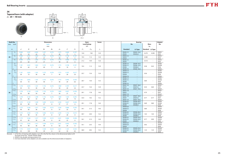

**Tapered bore (with adapter)**  $d_1$ **20** ~ 40 mm



1 /12

#### **ZK**

|    | <b>Shaft Dia.</b>                     |             |              |             |             | <b>Dimensions</b>        |             |                  |              |             | <b>Basic</b>        | <b>Factor</b> |                                           | <b>Bearing</b>                                                                   |                  |                          | Adapter                         |
|----|---------------------------------------|-------------|--------------|-------------|-------------|--------------------------|-------------|------------------|--------------|-------------|---------------------|---------------|-------------------------------------------|----------------------------------------------------------------------------------|------------------|--------------------------|---------------------------------|
|    | $mm$ inch                             |             |              |             | inch        |                          |             |                  |              |             | <b>Load Ratings</b> |               |                                           | No.                                                                              |                  | <b>Mass</b>              | No.                             |
|    |                                       |             |              |             |             | $\rm mm$                 |             |                  |              |             | $\rm{kN}$           |               |                                           |                                                                                  | kg               |                          |                                 |
|    | $d_1$                                 | d           | D            | B           | $B_1$       | $\mathcal{B}_2$          | $d_2$       | $\boldsymbol{C}$ | $C_1$        | $C_{\rm r}$ | $C_{0r}$            | $f_{0}$       | <b>Standard</b>                           | L3 Type                                                                          | Standard L3 Type |                          |                                 |
|    | $^{3}/_{4}$                           | 0.984<br>25 | 2.047<br>52  | 0.945<br>24 | 1.457<br>37 | 0.276<br>$7\overline{ }$ | 1.575<br>40 | 0.669<br>17      | 0.197<br>5   | 14.0        | 7.85                | 13.9          | ZK205-12<br><b>ZK205</b>                  | ZK205-12L2<br>ZK205L2                                                            | 0.270            | 0.290                    | ZKE05<br>ZK05                   |
| 20 | $^{3}/_{4}$                           | 0.984<br>25 | 2.441<br>62  | 1.063<br>27 | 1.457<br>37 | 0.276<br>$\overline{7}$  | 1.575<br>40 | 0.748<br>19      | 0.197<br>5   | 19.5        | 11.3                | 13.9          | ZKX05-12<br>ZKX05                         | $\equiv$                                                                         | 0.380            |                          | ZKE05<br>ZK05                   |
|    | $^{3}/_{4}$                           | 0.984<br>25 | 2.441<br>62  | 1.063<br>27 | 1.457<br>37 | 0.276<br>$\overline{7}$  | 1.575<br>40 | 0.866<br>22      | 0.236<br>6   | 21.2        | 10.9                | 12.6          | ZK305-12<br>ZK305                         | $\equiv$                                                                         | 0.510            | $\equiv$                 | ZKE05<br>ZK05                   |
|    | $^{7}/_8$<br>15/16<br>$\mathbf{1}$    | 1.181<br>30 | 2.441<br>62  | 1.063<br>27 | 1.575<br>40 | 0.276<br>$7\overline{ }$ | 1.772<br>45 | 0.748<br>19      | 0.197<br>5   | 19.5        | 11.3                | 13.9          | ZK206-14<br>ZK206-15<br>ZK206<br>ZK206-16 | ZK206-14L3<br>ZK206-15L3<br>ZK206L3<br>ZK206-16L3                                | 0.38             | 0.42                     | ZKS06<br>ZKA06<br>ZK06<br>ZKE06 |
| 25 | $^{7}/_8$<br>15/16<br>$\mathbf{1}$    | 1.181<br>30 | 2.835<br>72  | 1.181<br>30 | 1.575<br>40 | 0.276<br>$\overline{7}$  | 1.772<br>45 | 0.787<br>20      | 0.217<br>5.5 | 25.7        | 15.4                | 13.9          | ZKX06-14<br>ZKX06-15<br>ZKX06<br>ZKX06-16 | $\overline{\phantom{m}}$<br>$\overline{\phantom{m}}$<br>$\overline{\phantom{0}}$ | 0.56             |                          | ZKS06<br>ZKA06<br>ZK06<br>ZKE06 |
|    | $^{7}/_8$<br>15/16<br>$\mathbf{1}$    | 1.181<br>30 | 2.835<br>72  | 1.181<br>30 | 1.575<br>40 | 0.276<br>$7^{\circ}$     | 1.772<br>45 | 0.945<br>24      | 0.256<br>6.5 | 26.7        | 15.0                | 13.3          | ZK306-14<br>ZK306-15<br>ZK306<br>ZK306-16 | $\qquad \qquad -$<br>$\qquad \qquad -$<br>$\overline{\phantom{a}}$<br>$\equiv$   | 0.60             |                          | ZKS06<br>ZKA06<br>ZK06<br>ZKE06 |
|    | $1 \frac{1}{8}$<br>1 <sup>3</sup> /16 | 1.378<br>35 | 2.835<br>72  | 1.181<br>30 | 1.732<br>44 | 0.276<br>$7\overline{ }$ | 1.969<br>50 | 0.787<br>20      | 0.217<br>5.5 | 25.7        | 15.4                | 13.9          | ZK207-18<br><b>ZK207</b><br>ZK207-19      | ZK207-18L3<br>ZK207L3<br>ZK207-19L3                                              | 0.54             | 0.60                     | ZKS07<br>ZK07<br>ZKA07          |
| 30 | $1^{1/8}$<br>$1 \frac{3}{16}$         | 1.378<br>35 | 3.150<br>80  | 1.339<br>34 | 1.732<br>44 | 0.276<br>$7\overline{ }$ | 1.969<br>50 | 0.827<br>21      | 0.236<br>6   | 29.1        | 17.8                | 14.0          | ZKX07-18<br>ZKX07<br>ZKX07-19             | $\equiv$<br>$\overline{\phantom{m}}$                                             | 0.70             |                          | ZKS07<br>ZK07<br>ZKA07          |
|    | $1^{1/8}$<br>$1 \frac{3}{16}$         | 1.378<br>35 | 3.150<br>80  | 1.299<br>33 | 1.732<br>44 | 0.276<br>$7\overline{ }$ | 1.969<br>50 | 1.024<br>26      | 0.295<br>7.5 | 33.4        | 19.3                | 13.2          | ZK307-18<br>ZK307<br>ZK307-19             | ZK307-18L3<br>ZK307L3<br>ZK307-19L3                                              | 0.77             | 0.77                     | ZKS07<br>ZK07<br>ZKA07          |
|    | $1^{1}/4$<br>$1^{3}/8$                | 1.575<br>40 | 3.150<br>80  | 1.339<br>34 | 1.850<br>47 | 0.315<br>8               | 2.244<br>57 | 0.827<br>21      | 0.236<br>6   | 29.1        | 17.8                | 14.0          | ZK208-20<br>ZK208-22<br><b>ZK208</b>      | ZK208-20L3<br>ZK208-22L3<br><b>ZK208L3</b>                                       | 0.69             | 0.80                     | ZKE08<br>ZKS08<br>ZK08          |
| 35 | 11/4<br>$1 \frac{3}{8}$               | 1.575<br>40 | 3.346<br>85  | 1.417<br>36 | 1.850<br>47 | 0.315<br>8               | 2.244<br>57 | 0.866<br>22      | 0.236<br>6   | 34.1        | 21.3                | 14.0          | ZKX08-20<br>ZKX08-22<br>ZKX08             | $\equiv$<br>$\equiv$<br>$\equiv$                                                 | 0.80             | $\sim$                   | ZKE08<br>ZKS08<br>ZK08          |
|    | 1 <sup>1</sup> /4<br>$1^{3}/8$        | 1.575<br>40 | 3.543<br>90  | 1.378<br>35 | 1.850<br>47 | 0.315<br>8               | 2.244<br>57 | 1.102<br>28      | 0.315<br>8   | 40.7        | 24.0                | 13.2          | ZK308-20<br>ZK308-22<br><b>ZK308</b>      | ZK308-20L3<br>ZK308-22L3<br>ZK308L3                                              | 1.02             | 1.02                     | ZKE08<br>ZKS08<br>ZK08          |
|    | $1^{7}/_{16}$<br>$1^{1/2}$            | 1.772<br>45 | 3.346<br>85  | 1.417<br>36 | 1.929<br>49 | 0.315<br>8               | 2.441<br>62 | 0.866<br>22      | 0.236<br>6   | 34.1        | 21.3                | 14.0          | ZK209-23<br>ZK209-24<br>ZK209             | ZK209-23L3<br>ZK209-24L3<br>ZK209L3                                              | 0.77             | 0.90                     | ZKA09<br>ZKE09<br>ZK09          |
| 40 | $1^{7}/_{16}$<br>$1^{1/2}$            | 1.772<br>45 | 3.543<br>90  | 1.417<br>36 | 1.929<br>49 | 0.315<br>8               | 2.441<br>62 | 0.945<br>24      | 0.236<br>6   | 35.1        | 23.3                | 14.4          | ZKX09-23<br>ZKX09-24<br>ZKX09             | $\overline{\phantom{m}}$<br>$\equiv$                                             | 0.92             | $\overline{\phantom{a}}$ | ZKA09<br>ZKE09<br>ZK09          |
|    | $1\frac{7}{16}$<br>$1^{1/2}$          | 1.772<br>45 | 3.937<br>100 | 1.496<br>38 | 1.929<br>49 | 0.315<br>8               | 2.441<br>62 | 1.181<br>30      | 0.335<br>8.5 | 48.9        | 29.5                | 13.3          | ZK309-23<br>ZK309-24<br>ZK309             | ZK309-23L3<br>ZK309-24L3<br>ZK309L3                                              | 1.33             | 1.33                     | ZKA09<br>ZKE09<br>ZK09          |

Remarks 1. In Part No. of bearing with adapters, turn UK in the Part No. shown in the dimensional tables to ZK

(Example of Part No. : ZK206=UK206+ZK06)

2. UK205 is the double seal type prodcut (L2).

3. Inch bore diameter series adapters are aslo available (see the dimensional tables of adapters).

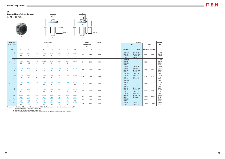

**Tapered bore (with adapter)**  $d_1$ **45** ~ **55 mm** 



#### **ZK**

| <b>Shaft Dia.</b> |                                                |                  |                  |             |             | <b>Dimensions</b> |             |              |                         |             | <b>Basic</b>        | <b>Factor</b> |                                                  | <b>Bearing</b>                                         |                  |                          | Adapter                                |
|-------------------|------------------------------------------------|------------------|------------------|-------------|-------------|-------------------|-------------|--------------|-------------------------|-------------|---------------------|---------------|--------------------------------------------------|--------------------------------------------------------|------------------|--------------------------|----------------------------------------|
| mm                | inch                                           |                  |                  |             |             | inch              |             |              |                         |             | <b>Load Ratings</b> |               |                                                  | No.                                                    | <b>Mass</b>      |                          | No.                                    |
|                   |                                                |                  |                  |             |             | mm                |             |              |                         |             | kN                  |               |                                                  |                                                        | kg               |                          |                                        |
|                   | $d_1$                                          | $\boldsymbol{d}$ | $\boldsymbol{D}$ | B           | $B_1$       | B <sub>2</sub>    | $d_2$       | $\mathcal C$ | $C_1$                   | $C_{\rm r}$ | $C_{0r}$            | $f_0$         | <b>Standard</b>                                  | L3 Type                                                | Standard L3 Type |                          |                                        |
|                   | $1^{5}/8$<br>$1^{11}/_{16}$<br>$1^{3}/4$       | 1.969<br>50      | 3.543<br>90      | 1.417<br>36 | 2.126<br>54 | 0.433<br>11       | 2.638<br>67 | 0.945<br>24  | 0.236<br>6              | 35.1        | 23.3                | 14.4          | ZK210-26<br>ZK210-27<br>ZK210-28<br><b>ZK210</b> | ZK210-26L3<br>ZK210-27L3<br>ZK210-28L3<br>ZK210L3      | 0.92             | 0.98                     | ZKS10<br>ZKA10<br>ZKE10<br><b>ZK10</b> |
| 45                | $1^{5}/8$<br>1 <sup>11</sup> /16<br>$1^{3}/4$  | 1.969<br>50      | 3.937<br>100     | 1.575<br>40 | 2.126<br>54 | 0.433<br>11       | 2.638<br>67 | 0.984<br>25  | 0.276<br>$\overline{7}$ | 43.4        | 29.4                | 14.4          | ZKX10-26<br>ZKX10-27<br>ZKX10-28<br>ZKX10        | $\overline{\phantom{m}}$<br>$-$<br>$-$                 | 1.22             |                          | ZKS10<br>ZKA10<br>ZKE10<br><b>ZK10</b> |
|                   | $1 \frac{5}{8}$<br>$1^{11}/_{16}$<br>$1^{3}/4$ | 1.969<br>50      | 4.331<br>110     | 1.575<br>40 | 2.126<br>54 | 0.433<br>11       | 2.638<br>67 | 1.260<br>32  | 0.354<br>9              | 62.0        | 38.3                | 13.2          | ZK310-26<br>ZK310-27<br>ZK310-28<br>ZK310        | ZK310-26L3<br>ZK310-27L3<br>ZK310-28L3<br>ZK310L3      | 1.71             | 1.71                     | ZKS10<br>ZKA10<br>ZKE10<br><b>ZK10</b> |
|                   | $1^{7}/_8$<br>$1^{15}/_{16}$<br>$\overline{2}$ | 2.165<br>55      | 3.937<br>100     | 1.575<br>40 | 2.402<br>61 | 0.433<br>11       | 2.913<br>74 | 0.984<br>25  | 0.276<br>$\overline{7}$ | 43.4        | 29.4                | 14.4          | ZK211-30<br>ZK211-31<br>ZK211<br>ZK211-32        | ZK211-30L3<br>ZK211-31L3<br>ZK211L3<br>ZK211-32L3      | 1.22             | 1.51                     | ZKS11<br>ZKA11<br>ZK11<br>ZKE11        |
| 50                | $1^{7}/8$<br>$1^{15}/16$<br>$\overline{2}$     | 2.165<br>55      | 4.331<br>110     | 1.850<br>47 | 2.402<br>61 | 0.433<br>11       | 2.913<br>74 | 1.063<br>27  | 0.295<br>7.5            | 52.4        | 36.2                | 14.4          | ZKX11-30<br>ZKX11-31<br>ZKX11<br>ZKX11-32        | $\qquad \qquad -$<br>$\overline{\phantom{m}}$<br>$ \,$ | 1.57             | $\overline{\phantom{m}}$ | ZKS11<br>ZKA11<br><b>ZK11</b><br>ZKE11 |
|                   | $1^{7}/_8$<br>115/16<br>$\overline{2}$         | 2.165<br>55      | 4.724<br>120     | 1.693<br>43 | 2.402<br>61 | 0.433<br>11       | 2.913<br>74 | 1.339<br>34  | 0.394<br>10             | 71.6        | 45.0                | 13.2          | ZK311-30<br>ZK311-31<br>ZK311<br>ZK311-32        | ZK311-30L3<br>ZK311-31L3<br>ZK311L3<br>ZK311-32L3      | 2.20             | 2.20                     | ZKS11<br>ZKA11<br><b>ZK11</b><br>ZKE11 |
|                   | $2^{1/8}$                                      | 2.362<br>60      | 4.331<br>110     | 1.850<br>47 | 2.598<br>66 | 0.551<br>14       | 3.346<br>85 | 1.063<br>27  | 0.295<br>7.5            | 52.4        | 36.2                | 14.4          | ZK212-34<br>ZK212                                | ZK212-34L3<br>ZK212L3                                  | 1.630            | 2.020                    | ZKS12<br><b>ZK12</b>                   |
| 55                | $2^{1/8}$                                      | 2.362<br>60      | 4.724<br>120     | 1.850<br>47 | 2.598<br>66 | 0.551<br>14       | 3.346<br>85 | 1.102<br>28  | 0.295<br>7.5            | 57.2        | 40.1                | 14.4          | ZKX12-34<br>ZKX12                                | $\equiv$                                               | 2.060            | $\overline{\phantom{m}}$ | ZKS12<br><b>ZK12</b>                   |
|                   | $2^{1/8}$                                      | 2.362<br>60      | 5.118<br>130     | 1.850<br>47 | 2.598<br>66 | 0.551<br>14       | 3.346<br>85 | 1.417<br>36  | 0.453<br>11.5           | 81.9        | 52.2                | 13.2          | ZK312-34<br>ZK312                                | ZK312-34L3<br>ZK312L3                                  | 2.670            | 2.670                    | ZKS12<br><b>ZK12</b>                   |

Remarks 1. In Part No. of bearing with adapters, turn UK in the Part No. shown in the dimensional tables to ZK

(Example of Part No. : ZK206=UK206+ZK06)

2. UK205 is the double seal type prodcut (L2).

3. Inch bore diameter series adapters are aslo available (see the dimensional tables of adapters).

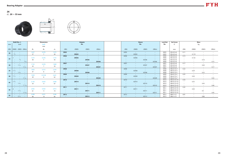

#### **ZK**

#### $d_1$  20  $\sim$  55 mm

|                 |             | Shaft Dia. $d_1$                                         |                                       |       | <b>Dimensions</b> |       |                       |                          | Adapter                  |                          |                          |                                    | <b>Sleeve</b>            |                                   | <b>Lock Nut</b> | <b>Set Screw</b>       |                                 | <b>Mass</b>              |                                                                    |       |
|-----------------|-------------|----------------------------------------------------------|---------------------------------------|-------|-------------------|-------|-----------------------|--------------------------|--------------------------|--------------------------|--------------------------|------------------------------------|--------------------------|-----------------------------------|-----------------|------------------------|---------------------------------|--------------------------|--------------------------------------------------------------------|-------|
| mm              |             | inch                                                     |                                       |       | inch              |       |                       |                          | No.                      |                          |                          |                                    | No.                      |                                   | No.             | G                      |                                 |                          | kg                                                                 |       |
|                 |             |                                                          |                                       |       | mm                |       |                       |                          |                          |                          |                          |                                    |                          |                                   |                 |                        |                                 |                          |                                                                    |       |
| (ZK)            |             |                                                          | $(CKE)$ $(ZKS)$ $(ZKA)$               | $B_1$ | $B_2$             | $d_2$ | (ZK)                  | (ZKE)                    | (ZKS)                    | (ZKA)                    | (ZK)                     | (ZKE)                              | (ZKS)                    | (ZKA)                             |                 | mm                     | (ZK)                            | (ZKE)                    | (ZKS)                                                              | (ZKA) |
|                 |             | <b>Contract Contract</b>                                 |                                       | 1.457 | 0.276             | 1.575 | ZK05                  | $\sim$ $-$               | $\sim$                   | $\sim$                   | AZ05                     | $\overline{\phantom{0}}$           |                          | $\sim$                            | AK05            | $M5\times0.5\times6$   | 0.11                            | $\sim$                   |                                                                    |       |
| 20              | $^{3}/_{4}$ | $\sim$ $-$                                               |                                       | 37    |                   | 40    | $\sim 100$            | ZKE05                    | $\sim$                   | $\sim$ $-$               | $\sim$                   | AZE05                              | $\sim$                   | $\sim$ 100 $\sim$                 | AK05            | $M5\times0.5\times6$   | $\sim$                          | 0.119                    | $\hspace{0.1mm}-\hspace{0.1mm}$                                    |       |
|                 |             |                                                          |                                       |       |                   |       | <b>ZK06</b>           | $\sim$ $ \sim$           | $\sim$                   | $\overline{\phantom{a}}$ | AZ06                     | $\sim$                             |                          | $-$                               | AK06            | $M5\times0.5\times6$   | 0.13                            | $\sim$                   | $\hspace{0.1mm}-\hspace{0.1mm}$                                    |       |
| 25              |             |                                                          |                                       | 1.575 | 0.276             | 1.772 | $\sim$                | <b>ZKE06</b>             | $\sim$                   | $\sim$                   | $\sim$                   | AZE06                              | $\sim$                   | $\sim$                            | AK06            | $M5\times0.5\times6$   | $\sim$                          | 0.125                    | $\hspace{0.1mm}-\hspace{0.1mm}$                                    |       |
|                 | $\sim$      |                                                          | $^{7}/_8$<br>$\overline{\phantom{0}}$ | 40    |                   | 45    | $\sim$                | $\sim$ $ \sim$           | <b>ZKS06</b>             | $\sim$ $ \sim$           | $\sim$                   | $\sim$                             | AZS06                    | $\sim$                            | AK06            | $M5\times0.5\times6$   | $\overline{\phantom{a}}$        | $\sim$                   | 0.16                                                               |       |
|                 | $\sim$      |                                                          | 15/16<br>$\overline{\phantom{0}}$     |       |                   |       |                       |                          |                          | ZKA06                    | $\overline{\phantom{m}}$ |                                    |                          | AZA06                             | AK06            | $M5\times0.5\times6$   |                                 | $\sim$                   | $\hspace{0.1mm}-\hspace{0.1mm}$                                    | 0.15  |
|                 | $\sim$      |                                                          | $\sim$<br>$\sim$                      | 1.732 | 0.276             | 1.969 | ZK07                  | $\overline{\phantom{a}}$ | $\sim$ $-$               | $\sim$ $-$               | AZ07                     | $\hspace{0.1mm}-\hspace{0.1mm}$    | $\sim$                   | $\sim$                            | AK07            | $M5\times0.5\times6$   | 0.17                            | $\equiv$                 | $\hspace{0.1mm}$                                                   |       |
| 30 <sub>2</sub> | $\sim$      | $1^{1}/8$                                                | $\sim$                                | 44    |                   | 50    | $\sim$                | $\hspace{0.1mm}$         | <b>ZKS07</b>             | $\sim$ $-$               |                          |                                    | AZS07                    | $\sim$                            | AK07            | $M5\times0.5\times6$   |                                 | $\overline{\phantom{a}}$ | 0.20                                                               |       |
|                 |             | the company of the company                               | $1 \frac{3}{16}$                      |       |                   |       | $\sim$                | $\overline{\phantom{a}}$ | $\sim$                   | ZKA07                    | $\sim$                   |                                    | $\sim$                   | AZA07                             | AK07            | $M5\times0.5\times6$   | $\hspace{0.1mm}-\hspace{0.1mm}$ | $\sim$                   | $\hspace{0.1mm}-\hspace{0.1mm}$                                    | 0.17  |
|                 |             | the company of the company                               | $\sim 100$                            | 1.850 | 0.315             | 2.244 | <b>ZK08</b>           | $\sim$                   | $\sim$ $ \sim$           | $\sim$                   | AZ08                     | $\overline{\phantom{a}}$           | $\sim$                   | $\sim$                            | AK08            | M6×0.75×7              | 0.22                            | $\sim$                   | $\sim$                                                             |       |
| 35 <sub>2</sub> | $1^{1}/4$   | <b>Contract Contract Contract</b>                        | <b>Contract Contract Contract</b>     | 47    | 8                 | 57    | $\sim$                | ZKE08                    | $\sim$                   | $\overline{\phantom{a}}$ | $\sim$                   | AZE08                              | $\overline{\phantom{0}}$ | $\sim$                            | AK08            | M6×0.75×7              | $\overline{\phantom{m}}$        | 0.29                     | $\hspace{0.1mm}-\hspace{0.1mm}$                                    |       |
|                 |             | $- 1^{3}/_{8}$                                           | $\sim$                                |       |                   |       | <b>Common</b>         | $\sim 100$ m $^{-1}$     | <b>ZKS08</b>             | $\sim$                   | $\sim$                   | $\sim$                             | <b>AZS08</b>             | $\sim$ $-$                        | AK08            | M6×0.75×7              | $\overline{\phantom{a}}$        | $\overline{\phantom{0}}$ | 0.22                                                               |       |
|                 | $1^{1/2}$   |                                                          | and the state of the state of the     | 1.929 | 0.3158            | 2.441 | <b>ZK09</b>           | $\sim$                   | $\sim$                   | $\sim$                   | AZ09                     | $\sim$                             |                          | $\sim$                            | AK09            | M6×0.75×7              | 0.25                            | $\sim$                   | $\hspace{0.1mm}-\hspace{0.1mm}$                                    |       |
| 40              |             | <b>Contract Contract Contract</b><br><b>Carl Command</b> | $\sim$<br>$1^{7}/_{16}$               | 49    |                   | 62    | $\sim$                | ZKE09<br>$\sim 100$      | $\sim$                   | $\sim$<br>ZKA09          | $\sim$                   | AZE09                              |                          | $\overline{\phantom{a}}$<br>AZA09 | AK09<br>AK09    | M6×0.75×7<br>M6×0.75×7 | $\overline{\phantom{m}}$        | 0.30                     | $\overline{\phantom{a}}$                                           | 0.33  |
|                 | $\sim$      |                                                          | $\overline{\phantom{a}}$              |       |                   |       | $\sim$<br><b>ZK10</b> | $\sim$ $-$               | $\sim$<br>$\sim$         | $\sim$                   | $\sim$<br>AZ10           | $\sim$<br>$\overline{\phantom{0}}$ |                          | $\sim$                            | AK10            | M6×0.75×10             | $\sim$<br>0.33                  | $\sim$<br>$\sim$         | $\hspace{0.1mm}-\hspace{0.1mm}$<br>$\hspace{0.1mm}-\hspace{0.1mm}$ |       |
|                 | $1^{3}/4$   |                                                          | $\overline{\phantom{a}}$              | 2.126 | 0.433             | 2.638 | $\sim$ $ \sim$        | <b>ZKE10</b>             | $\overline{\phantom{m}}$ | $\sim$                   | $\sim$                   | AZE10                              | $\sim$                   | $\sim$                            | AK10            | M6×0.75×10             | $\overline{\phantom{a}}$        | 0.35                     | $\overline{\phantom{a}}$                                           |       |
| 45              | $\sim$ $-$  | $1\frac{5}{8}$                                           | $\sim$                                | 54    | 11                | 67    | $\sim$                | $\sim$ $ \sim$           | <b>ZKS10</b>             | $\sim$ $-$               |                          |                                    | AZS10                    | $\sim$                            | AK10            | M6×0.75×10             |                                 | $\overline{\phantom{a}}$ | 0.43                                                               |       |
|                 | $\sim$      | <b>Contract Contract</b>                                 | $1^{11}/_{16}$                        |       |                   |       | $\sim$                | $\sim$ $ \sim$           | $\sim$ $ \sim$           | ZKA10                    | $\sim$                   |                                    | $\sim$                   | AZA10                             | AK10            | M6×0.75×10             |                                 | $\sim$                   | $\hspace{0.1mm}-\hspace{0.1mm}$                                    | 0.40  |
|                 | $\sim$      |                                                          | $\sim$                                |       |                   |       | <b>ZK11</b>           | $\sim$                   | $\sim$                   | $\sim$                   | AZ11                     | $\overline{\phantom{a}}$           |                          | $\sim$                            | <b>AK11</b>     | M6×0.75×10             | 0.42                            | $\sim$                   | $\hspace{0.1mm}$                                                   |       |
|                 |             |                                                          | $\overline{\phantom{a}}$              | 2.402 | 0.433             | 2.913 | $\sim$                | <b>ZKE11</b>             | $\sim$                   | $\sim$                   | $\sim$                   | AZE11                              | $\sim$                   | $\sim$                            | <b>AK11</b>     | M6×0.75×10             |                                 | 0.40                     | $\overline{\phantom{a}}$                                           |       |
| 50              | $\sim$      | $1^{7}/8$                                                |                                       | 61    | 11                | 74    | $\sim$                | $\sim 100$ m $^{-1}$     | <b>ZKS11</b>             | $\sim$                   | $\equiv$                 |                                    | AZS11                    | $\sim$                            | <b>AK11</b>     | M6×0.75×10             |                                 |                          | 0.5                                                                |       |
|                 |             | the company of the company of the                        | $1^{15}/_{16}$                        |       |                   |       |                       |                          |                          | <b>ZKA11</b>             |                          |                                    |                          | AZA11                             | AK11            | M6×0.75×10             |                                 | $\overline{\phantom{m}}$ | $\hspace{0.1mm}-\hspace{0.1mm}$                                    | 0.45  |
|                 | $\sim$      | $\sim$                                                   | $\sim$                                | 2.598 | 0.551             | 3.346 | <b>ZK12</b>           |                          | $\sim$                   | $\sim$                   | AZ12                     |                                    | $\sim$                   | $\sim$                            | AK12            | $M8\times1\times12$    | 0.61                            | $\overline{\phantom{m}}$ | $\hspace{0.1mm}$                                                   |       |
| 55              | $\sim$ .    | $2^{1/8}$                                                |                                       | 66    | 14                | 85    | $\sim$                |                          | <b>ZKS12</b>             | $\sim$ $-$               | $\sim$                   |                                    | AZS12                    | $\sim$                            | <b>AK12</b>     | $M8\times1\times12$    |                                 |                          | 0.66                                                               |       |

## FYH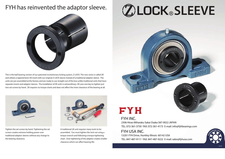## FYH has reinvented the adaptor sleeve.



This is the ball bearing version of our patented revolutionary locking system, Z LOCK. The new series is called ZK and utilizes a tapered bore UK insert with our original Z LOCK sleeve instead of a traditional adaptor sleeve. The units are pre-assembled at the factory and are ready to use straight out of the box unlike traditional units that have separate inserts and adaptor sleeves. The installation of ZK units is extraordinary. ZK uses one key to tighten just two set screws by hand. ZK requires no torque charts and does not affect the inner clearance of the bearing at all.

> 2306 Hirao Miharaku Sakai Osaka 587-0022 JAPAN TEL: 072-361-3750 FAX: 072-361-4173 E-mail: info@fyhbearings.com

A traditional UK unit requires many tools to be assembled. You must tighten the lock nut using a torque wrench and following a torque tightening chart. Over tightening of the adaptor creates smaller clearance which can affect bearing life.

# **ZOLOCK®SLEEVE**



# EYH



Tighten the set screws by hand. Tightening the set screws creates extreme holding power over traditional adaptor sleeves without any change to the bearing clearance.





### FYH USA INC.

13201 FYH Drive, Huntley Illinois 60142 USA TEL: 847-487-9111 FAX: 847-487-9222 E-mail: sales@fyhusa.com



### FYH INC.